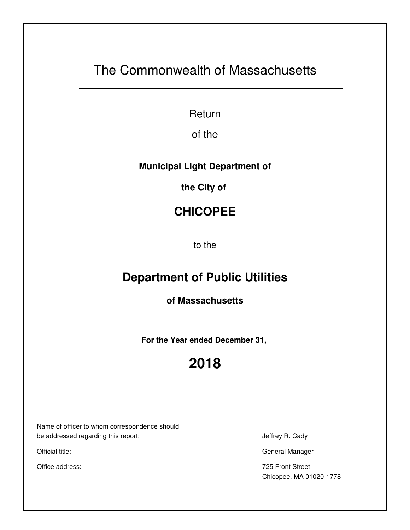# The Commonwealth of Massachusetts

Return

of the

### **Municipal Light Department of**

**the City of** 

## **CHICOPEE**

to the

## **Department of Public Utilities**

**of Massachusetts**

**For the Year ended December 31,** 

# **2018**

Name of officer to whom correspondence should be addressed regarding this report: Jeffrey R. Cady

Official title: General Manager

Office address: 725 Front Street Chicopee, MA 01020-1778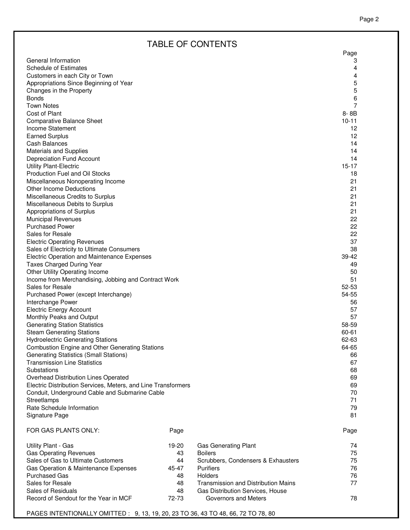### TABLE OF CONTENTS

|                                                               |       |                                            | Page           |
|---------------------------------------------------------------|-------|--------------------------------------------|----------------|
| General Information                                           |       |                                            | 3              |
| <b>Schedule of Estimates</b>                                  |       |                                            | 4              |
| Customers in each City or Town                                |       |                                            | 4              |
| Appropriations Since Beginning of Year                        |       |                                            | 5              |
| Changes in the Property                                       |       |                                            | 5              |
| <b>Bonds</b>                                                  |       |                                            | 6              |
| <b>Town Notes</b>                                             |       |                                            | $\overline{7}$ |
| Cost of Plant                                                 |       |                                            | $8 - 8B$       |
| Comparative Balance Sheet                                     |       |                                            | $10 - 11$      |
| Income Statement                                              |       |                                            | 12             |
| <b>Earned Surplus</b>                                         |       |                                            | 12             |
| <b>Cash Balances</b>                                          |       |                                            | 14             |
| <b>Materials and Supplies</b>                                 |       |                                            | 14             |
| Depreciation Fund Account                                     |       |                                            | 14             |
| <b>Utility Plant-Electric</b>                                 |       |                                            | $15 - 17$      |
| <b>Production Fuel and Oil Stocks</b>                         |       |                                            | 18             |
| Miscellaneous Nonoperating Income                             |       |                                            | 21             |
| <b>Other Income Deductions</b>                                |       |                                            | 21             |
| Miscellaneous Credits to Surplus                              |       |                                            | 21             |
| Miscellaneous Debits to Surplus                               |       |                                            | 21<br>21       |
| Appropriations of Surplus<br><b>Municipal Revenues</b>        |       |                                            | 22             |
| <b>Purchased Power</b>                                        |       |                                            | 22             |
| Sales for Resale                                              |       |                                            | 22             |
| <b>Electric Operating Revenues</b>                            |       |                                            | 37             |
| Sales of Electricity to Ultimate Consumers                    |       |                                            | 38             |
| Electric Operation and Maintenance Expenses                   |       |                                            | 39-42          |
| <b>Taxes Charged During Year</b>                              |       |                                            | 49             |
| Other Utility Operating Income                                |       |                                            | 50             |
| Income from Merchandising, Jobbing and Contract Work          |       |                                            | 51             |
| Sales for Resale                                              |       |                                            | 52-53          |
| Purchased Power (except Interchange)                          |       |                                            | 54-55          |
| Interchange Power                                             |       |                                            | 56             |
| <b>Electric Energy Account</b>                                |       |                                            | 57             |
| Monthly Peaks and Output                                      |       |                                            | 57             |
| <b>Generating Station Statistics</b>                          |       |                                            | 58-59          |
| <b>Steam Generating Stations</b>                              |       |                                            | 60-61          |
| <b>Hydroelectric Generating Stations</b>                      |       |                                            | 62-63          |
| Combustion Engine and Other Generating Stations               |       |                                            | 64-65          |
| <b>Generating Statistics (Small Stations)</b>                 |       |                                            | 66             |
| <b>Transmission Line Statistics</b>                           |       |                                            | 67             |
| Substations                                                   |       |                                            | 68             |
| Overhead Distribution Lines Operated                          |       |                                            | 69             |
| Electric Distribution Services, Meters, and Line Transformers |       |                                            | 69             |
| Conduit, Underground Cable and Submarine Cable                |       |                                            | 70             |
| Streetlamps                                                   |       |                                            | 71             |
| Rate Schedule Information                                     |       |                                            | 79             |
| Signature Page                                                |       |                                            | 81             |
| FOR GAS PLANTS ONLY:                                          | Page  |                                            | Page           |
|                                                               |       |                                            |                |
| Utility Plant - Gas                                           | 19-20 | <b>Gas Generating Plant</b>                | 74             |
| <b>Gas Operating Revenues</b>                                 | 43    | <b>Boilers</b>                             | 75             |
| Sales of Gas to Ultimate Customers                            | 44    | Scrubbers, Condensers & Exhausters         | 75             |
| Gas Operation & Maintenance Expenses                          | 45-47 | <b>Purifiers</b>                           | 76             |
| <b>Purchased Gas</b>                                          | 48    | <b>Holders</b>                             | 76             |
| Sales for Resale                                              | 48    | <b>Transmission and Distribution Mains</b> | 77             |
| Sales of Residuals                                            | 48    | Gas Distribution Services, House           |                |
| Record of Sendout for the Year in MCF                         | 72-73 | Governors and Meters                       | 78             |

PAGES INTENTIONALLY OMITTED : 9, 13, 19, 20, 23 TO 36, 43 TO 48, 66, 72 TO 78, 80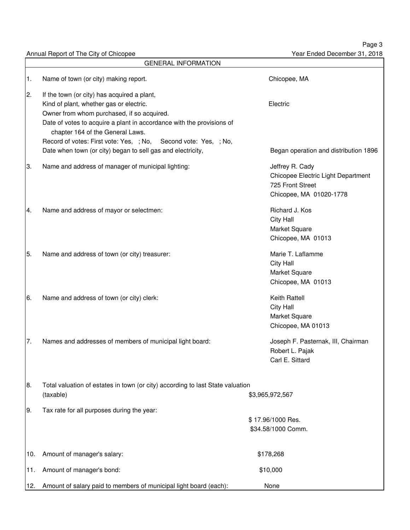Page 3 Year Ended December 31, 2018

Annual Report of The City of Chicopee

|     | <b>GENERAL INFORMATION</b>                                                                                                                                                                                                                        |                                                                                                      |
|-----|---------------------------------------------------------------------------------------------------------------------------------------------------------------------------------------------------------------------------------------------------|------------------------------------------------------------------------------------------------------|
| 1.  | Name of town (or city) making report.                                                                                                                                                                                                             | Chicopee, MA                                                                                         |
| 2.  | If the town (or city) has acquired a plant,<br>Kind of plant, whether gas or electric.<br>Owner from whom purchased, if so acquired.<br>Date of votes to acquire a plant in accordance with the provisions of<br>chapter 164 of the General Laws. | Electric                                                                                             |
|     | Record of votes: First vote: Yes, ; No, Second vote: Yes, ; No,<br>Date when town (or city) began to sell gas and electricity,                                                                                                                    | Began operation and distribution 1896                                                                |
| 3.  | Name and address of manager of municipal lighting:                                                                                                                                                                                                | Jeffrey R. Cady<br>Chicopee Electric Light Department<br>725 Front Street<br>Chicopee, MA 01020-1778 |
| 4.  | Name and address of mayor or selectmen:                                                                                                                                                                                                           | Richard J. Kos<br>City Hall<br>Market Square<br>Chicopee, MA 01013                                   |
| 5.  | Name and address of town (or city) treasurer:                                                                                                                                                                                                     | Marie T. Laflamme<br>City Hall<br>Market Square<br>Chicopee, MA 01013                                |
| 16. | Name and address of town (or city) clerk:                                                                                                                                                                                                         | Keith Rattell<br><b>City Hall</b><br>Market Square<br>Chicopee, MA 01013                             |
| 7.  | Names and addresses of members of municipal light board:                                                                                                                                                                                          | Joseph F. Pasternak, III, Chairman<br>Robert L. Pajak<br>Carl E. Sittard                             |
| 18. | Total valuation of estates in town (or city) according to last State valuation<br>(taxable)                                                                                                                                                       | \$3,965,972,567                                                                                      |
| 9.  | Tax rate for all purposes during the year:                                                                                                                                                                                                        | \$17.96/1000 Res.<br>\$34.58/1000 Comm.                                                              |
| 10. | Amount of manager's salary:                                                                                                                                                                                                                       | \$178,268                                                                                            |
| 11. | Amount of manager's bond:                                                                                                                                                                                                                         | \$10,000                                                                                             |
| 12. | Amount of salary paid to members of municipal light board (each):                                                                                                                                                                                 | None                                                                                                 |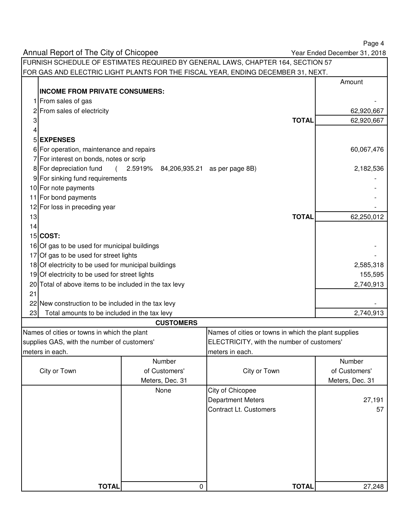Annual Report of The City of Chicopee FURNISH SCHEDULE OF ESTIMATES REQUIRED BY GENERAL LAWS, CHAPTER 164, SECTION 57 FOR GAS AND ELECTRIC LIGHT PLANTS FOR THE FISCAL YEAR, ENDING DECEMBER 31, NEXT. Amount **INCOME FROM PRIVATE CONSUMERS:** 1 From sales of gas 2 From sales of electricity 62,920,667 3 **TOTAL** 62,920,667 4 5 **EXPENSES** 6 For operation, maintenance and repairs 60,067,476 7 For interest on bonds, notes or scrip 8 For depreciation fund ( 2.5919% 84,206,935.21 as per page 8B) 2,182,536 9 For sinking fund requirements 10 For note payments 11 For bond payments  $12$  For loss in preceding year 13 **TOTAL** 62,250,012 14 15 **COST:**  $16$  Of gas to be used for municipal buildings  $17$  Of gas to be used for street lights 18 Of electricity to be used for municipal buildings 2,585,318 and 2,585,318 19 Of electricity to be used for street lights 155,595 or street in the street lights 155,595 or street lights 20 Total of above items to be included in the tax levy 2,740,913 21  $22$  New construction to be included in the tax levy 23 Total amounts to be included in the tax levy 2,740,913 **CUSTOMERS** Names of cities or towns in which the plant **Names of cities or towns** in which the plant supplies supplies GAS, with the number of customers' ELECTRICITY, with the number of customers' meters in each. **meters** in each. Number City or Town of Customers' City or TownMeters, Dec. 31 None **City of Chicopee** Department Meters 27,191 Contract Lt. Customers **67 TOTAL** 0 **TOTAL** 27,248 Year Ended December 31, 2018 Number of Customers' Meters, Dec. 31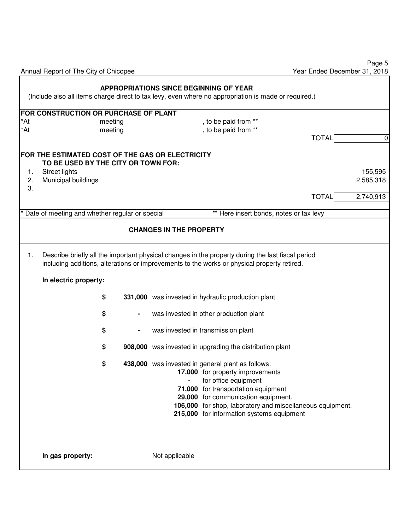|                | Annual Report of The City of Chicopee                                                                                                  | Year Ended December 31, 2018                                                                                                                                                                                                                                                                                                                                                                                                                                                                            | Page 5                            |
|----------------|----------------------------------------------------------------------------------------------------------------------------------------|---------------------------------------------------------------------------------------------------------------------------------------------------------------------------------------------------------------------------------------------------------------------------------------------------------------------------------------------------------------------------------------------------------------------------------------------------------------------------------------------------------|-----------------------------------|
|                |                                                                                                                                        | <b>APPROPRIATIONS SINCE BEGINNING OF YEAR</b><br>(Include also all items charge direct to tax levy, even where no appropriation is made or required.)                                                                                                                                                                                                                                                                                                                                                   |                                   |
| *At<br>*At     | FOR CONSTRUCTION OR PURCHASE OF PLANT<br>meeting<br>meeting                                                                            | , to be paid from **<br>, to be paid from **<br><b>TOTAL</b>                                                                                                                                                                                                                                                                                                                                                                                                                                            | $\pmb{0}$                         |
| 1.<br>2.<br>3. | FOR THE ESTIMATED COST OF THE GAS OR ELECTRICITY<br>TO BE USED BY THE CITY OR TOWN FOR:<br><b>Street lights</b><br>Municipal buildings | <b>TOTAL</b>                                                                                                                                                                                                                                                                                                                                                                                                                                                                                            | 155,595<br>2,585,318<br>2,740,913 |
|                | * Date of meeting and whether regular or special                                                                                       | ** Here insert bonds, notes or tax levy<br><b>CHANGES IN THE PROPERTY</b>                                                                                                                                                                                                                                                                                                                                                                                                                               |                                   |
| 1.             | In electric property:                                                                                                                  | Describe briefly all the important physical changes in the property during the last fiscal period<br>including additions, alterations or improvements to the works or physical property retired.                                                                                                                                                                                                                                                                                                        |                                   |
|                | \$<br>\$<br>\$<br>\$<br>\$                                                                                                             | 331,000 was invested in hydraulic production plant<br>was invested in other production plant<br>was invested in transmission plant<br>908,000 was invested in upgrading the distribution plant<br>438,000 was invested in general plant as follows:<br>17,000 for property improvements<br>for office equipment<br>71,000 for transportation equipment<br>29,000 for communication equipment.<br>106,000 for shop, laboratory and miscellaneous equipment.<br>215,000 for information systems equipment |                                   |
|                | In gas property:                                                                                                                       | Not applicable                                                                                                                                                                                                                                                                                                                                                                                                                                                                                          |                                   |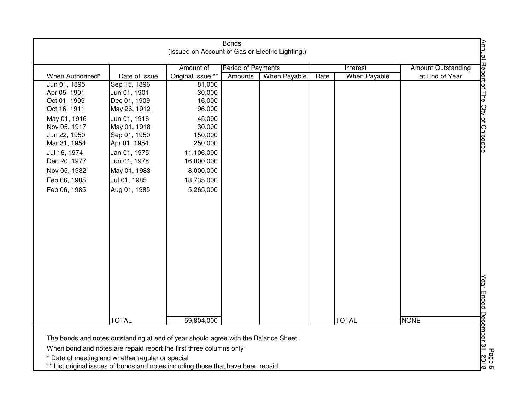|                                                                                                                                                           |                                                                                                                                    | (Issued on Account of Gas or Electric Lighting.) | <b>Bonds</b>                         |              |      |                                 |                                             |                                                          |
|-----------------------------------------------------------------------------------------------------------------------------------------------------------|------------------------------------------------------------------------------------------------------------------------------------|--------------------------------------------------|--------------------------------------|--------------|------|---------------------------------|---------------------------------------------|----------------------------------------------------------|
| When Authorized*                                                                                                                                          | Date of Issue                                                                                                                      | Amount of<br>Original Issue **                   | <b>Period of Payments</b><br>Amounts | When Payable | Rate | Interest<br><b>When Payable</b> | <b>Amount Outstanding</b><br>at End of Year | Annual Report of The City of Chicopee                    |
| Jun 01, 1895                                                                                                                                              | Sep 15, 1896                                                                                                                       | 81,000                                           |                                      |              |      |                                 |                                             |                                                          |
| Apr 05, 1901                                                                                                                                              | Jun 01, 1901                                                                                                                       | 30,000                                           |                                      |              |      |                                 |                                             |                                                          |
| Oct 01, 1909                                                                                                                                              | Dec 01, 1909                                                                                                                       | 16,000                                           |                                      |              |      |                                 |                                             |                                                          |
| Oct 16, 1911                                                                                                                                              | May 26, 1912                                                                                                                       | 96,000                                           |                                      |              |      |                                 |                                             |                                                          |
| May 01, 1916                                                                                                                                              | Jun 01, 1916                                                                                                                       | 45,000                                           |                                      |              |      |                                 |                                             |                                                          |
| Nov 05, 1917                                                                                                                                              | May 01, 1918                                                                                                                       | 30,000                                           |                                      |              |      |                                 |                                             |                                                          |
| Jun 22, 1950                                                                                                                                              | Sep 01, 1950                                                                                                                       | 150,000                                          |                                      |              |      |                                 |                                             |                                                          |
| Mar 31, 1954                                                                                                                                              | Apr 01, 1954                                                                                                                       | 250,000                                          |                                      |              |      |                                 |                                             |                                                          |
| Jul 16, 1974                                                                                                                                              | Jan 01, 1975                                                                                                                       | 11,106,000                                       |                                      |              |      |                                 |                                             |                                                          |
| Dec 20, 1977                                                                                                                                              | Jun 01, 1978                                                                                                                       | 16,000,000                                       |                                      |              |      |                                 |                                             |                                                          |
| Nov 05, 1982                                                                                                                                              | May 01, 1983                                                                                                                       | 8,000,000                                        |                                      |              |      |                                 |                                             |                                                          |
| Feb 06, 1985                                                                                                                                              | Jul 01, 1985                                                                                                                       | 18,735,000                                       |                                      |              |      |                                 |                                             |                                                          |
| Feb 06, 1985                                                                                                                                              | Aug 01, 1985                                                                                                                       | 5,265,000                                        |                                      |              |      |                                 |                                             |                                                          |
|                                                                                                                                                           |                                                                                                                                    |                                                  |                                      |              |      |                                 |                                             |                                                          |
|                                                                                                                                                           |                                                                                                                                    |                                                  |                                      |              |      |                                 |                                             |                                                          |
|                                                                                                                                                           | <b>TOTAL</b>                                                                                                                       | 59,804,000                                       |                                      |              |      | <b>TOTAL</b>                    | <b>NONE</b>                                 |                                                          |
| The bonds and notes outstanding at end of year should agree with the Balance Sheet.<br>When bond and notes are repaid report the first three columns only | Date of meeting and whether regular or special<br>** List original issues of bonds and notes including those that have been repaid |                                                  |                                      |              |      |                                 |                                             | Page 6<br><u>Year Ended D<sub>P</sub>cember 31, 2018</u> |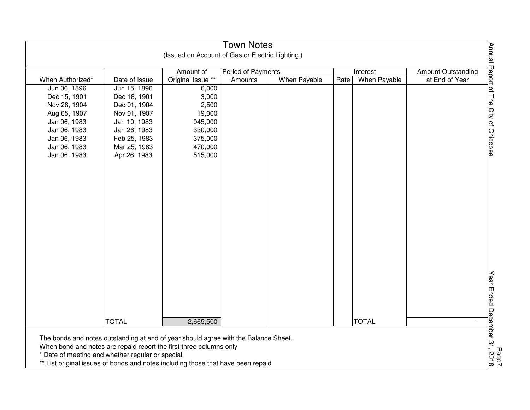| <b>Town Notes</b>                                                                         |               |                   |                    |              |                      |                           |
|-------------------------------------------------------------------------------------------|---------------|-------------------|--------------------|--------------|----------------------|---------------------------|
| Annual Report of The City of Chicopee<br>(Issued on Account of Gas or Electric Lighting.) |               |                   |                    |              |                      |                           |
|                                                                                           |               | Amount of         | Period of Payments |              | Interest             | <b>Amount Outstanding</b> |
| When Authorized*                                                                          | Date of Issue | Original Issue ** | Amounts            | When Payable | When Payable<br>Rate | at End of Year            |
| Jun 06, 1896                                                                              | Jun 15, 1896  | 6,000             |                    |              |                      |                           |
| Dec 15, 1901                                                                              | Dec 18, 1901  | 3,000             |                    |              |                      |                           |
| Nov 28, 1904                                                                              | Dec 01, 1904  | 2,500             |                    |              |                      |                           |
| Aug 05, 1907                                                                              | Nov 01, 1907  | 19,000            |                    |              |                      |                           |
| Jan 06, 1983                                                                              | Jan 10, 1983  | 945,000           |                    |              |                      |                           |
| Jan 06, 1983                                                                              | Jan 26, 1983  | 330,000           |                    |              |                      |                           |
| Jan 06, 1983                                                                              | Feb 25, 1983  | 375,000           |                    |              |                      |                           |
| Jan 06, 1983                                                                              | Mar 25, 1983  | 470,000           |                    |              |                      |                           |
| Jan 06, 1983                                                                              | Apr 26, 1983  | 515,000           |                    |              |                      |                           |
|                                                                                           |               |                   |                    |              |                      |                           |
|                                                                                           |               |                   |                    |              |                      |                           |
|                                                                                           |               |                   |                    |              |                      |                           |
|                                                                                           |               |                   |                    |              |                      |                           |
|                                                                                           |               |                   |                    |              |                      |                           |
|                                                                                           |               |                   |                    |              |                      |                           |
|                                                                                           |               |                   |                    |              |                      |                           |
|                                                                                           |               |                   |                    |              |                      |                           |
|                                                                                           |               |                   |                    |              |                      |                           |
|                                                                                           |               |                   |                    |              |                      |                           |
|                                                                                           |               |                   |                    |              |                      |                           |
|                                                                                           |               |                   |                    |              |                      |                           |
|                                                                                           |               |                   |                    |              |                      |                           |
|                                                                                           |               |                   |                    |              |                      |                           |
|                                                                                           |               |                   |                    |              |                      |                           |
|                                                                                           |               |                   |                    |              |                      |                           |
|                                                                                           |               |                   |                    |              |                      |                           |
|                                                                                           |               |                   |                    |              |                      |                           |
|                                                                                           |               |                   |                    |              |                      |                           |
| Year Ended December 31,<br><b>TOTAL</b><br>2,665,500<br><b>TOTAL</b>                      |               |                   |                    |              |                      |                           |
|                                                                                           |               |                   |                    |              |                      |                           |
| The bonds and notes outstanding at end of year should agree with the Balance Sheet.       |               |                   |                    |              |                      |                           |
| When bond and notes are repaid report the first three columns only                        |               |                   |                    |              |                      |                           |
| Page7<br>. 2018<br>* Date of meeting and whether regular or special                       |               |                   |                    |              |                      |                           |
| ** List original issues of bonds and notes including those that have been repaid          |               |                   |                    |              |                      |                           |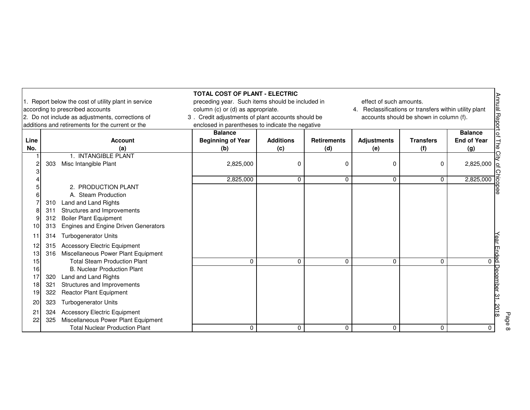|                            | 1. Report below the cost of utility plant in service<br>according to prescribed accounts<br>2. Do not include as adjustments, corrections of<br>additions and retirements for the current or the       | <b>TOTAL COST OF PLANT - ELECTRIC</b><br>preceding year. Such items should be included in<br>column (c) or (d) as appropriate.<br>3. Credit adjustments of plant accounts should be<br>enclosed in parentheses to indicate the negative |                         |                           | effect of such amounts.<br>4. Reclassifications or transfers within utility plant | accounts should be shown in column (f). |                                             |
|----------------------------|--------------------------------------------------------------------------------------------------------------------------------------------------------------------------------------------------------|-----------------------------------------------------------------------------------------------------------------------------------------------------------------------------------------------------------------------------------------|-------------------------|---------------------------|-----------------------------------------------------------------------------------|-----------------------------------------|---------------------------------------------|
| Line<br>No.                | <b>Account</b><br>(a)                                                                                                                                                                                  | <b>Balance</b><br><b>Beginning of Year</b><br>(b)                                                                                                                                                                                       | <b>Additions</b><br>(c) | <b>Retirements</b><br>(d) | <b>Adjustments</b><br>(e)                                                         | <b>Transfers</b><br>(f)                 | <b>Balance</b><br><b>End of Year</b><br>(g) |
|                            | 1. INTANGIBLE PLANT<br>Misc Intangible Plant<br>303                                                                                                                                                    | 2,825,000                                                                                                                                                                                                                               | 0                       | 0                         | 0                                                                                 | 0                                       | $2,825,000$ o                               |
| 10                         | 2. PRODUCTION PLANT<br>A. Steam Production<br>Land and Land Rights<br>310<br>Structures and Improvements<br>311<br><b>Boiler Plant Equipment</b><br>312<br>Engines and Engine Driven Generators<br>313 | 2,825,000                                                                                                                                                                                                                               | $\Omega$                | $\Omega$                  | $\Omega$                                                                          | $\Omega$                                | 2,825,000                                   |
| 12<br>13                   | <b>Turbogenerator Units</b><br>314<br><b>Accessory Electric Equipment</b><br>315<br>Miscellaneous Power Plant Equipment<br>316                                                                         |                                                                                                                                                                                                                                         |                         |                           |                                                                                   |                                         |                                             |
| 15<br>16<br>17<br>18<br>19 | <b>Total Steam Production Plant</b><br><b>B. Nuclear Production Plant</b><br>Land and Land Rights<br>320<br>Structures and Improvements<br>321<br>322<br><b>Reactor Plant Equipment</b>                | $\Omega$                                                                                                                                                                                                                                | $\Omega$                | 0                         | $\Omega$                                                                          | $\Omega$                                | 0 p                                         |
| 20<br>21<br>22             | 323<br><b>Turbogenerator Units</b><br><b>Accessory Electric Equipment</b><br>324<br>Miscellaneous Power Plant Equipment<br>325                                                                         |                                                                                                                                                                                                                                         |                         |                           |                                                                                   |                                         |                                             |
|                            | <b>Total Nuclear Production Plant</b>                                                                                                                                                                  | 0                                                                                                                                                                                                                                       | 0                       | $\Omega$                  | 0                                                                                 | 0                                       | $\Omega$                                    |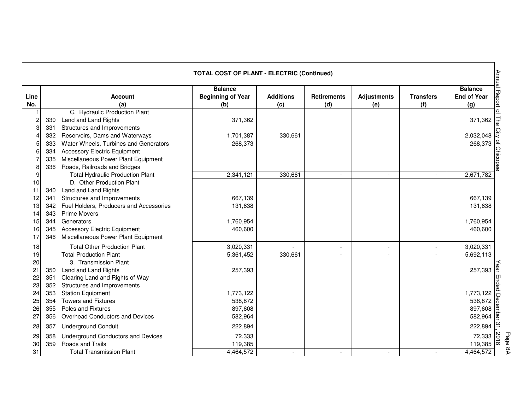|             | Annual Report<br><b>TOTAL COST OF PLANT - ELECTRIC (Continued)</b> |                                           |                                                   |                         |                           |                           |                         |                                             |  |
|-------------|--------------------------------------------------------------------|-------------------------------------------|---------------------------------------------------|-------------------------|---------------------------|---------------------------|-------------------------|---------------------------------------------|--|
| Line<br>No. |                                                                    | <b>Account</b><br>(a)                     | <b>Balance</b><br><b>Beginning of Year</b><br>(b) | <b>Additions</b><br>(c) | <b>Retirements</b><br>(d) | <b>Adjustments</b><br>(e) | <b>Transfers</b><br>(f) | <b>Balance</b><br><b>End of Year</b><br>(g) |  |
|             |                                                                    | C. Hydraulic Production Plant             |                                                   |                         |                           |                           |                         |                                             |  |
| 2           | 330                                                                | Land and Land Rights                      | 371,362                                           |                         |                           |                           |                         | of The<br>371,362                           |  |
| 3           | 331                                                                | Structures and Improvements               |                                                   |                         |                           |                           |                         |                                             |  |
|             | 332                                                                | Reservoirs, Dams and Waterways            | 1,701,387                                         | 330,661                 |                           |                           |                         | 2,032,048                                   |  |
| 5           | 333                                                                | Water Wheels, Turbines and Generators     | 268,373                                           |                         |                           |                           |                         | 268,373                                     |  |
| 6           | 334                                                                | <b>Accessory Electric Equipment</b>       |                                                   |                         |                           |                           |                         |                                             |  |
|             | 335                                                                | Miscellaneous Power Plant Equipment       |                                                   |                         |                           |                           |                         | of Chicope                                  |  |
| 8           | 336                                                                | Roads, Railroads and Bridges              |                                                   |                         |                           |                           |                         |                                             |  |
| 9           |                                                                    | <b>Total Hydraulic Production Plant</b>   | 2,341,121                                         | 330,661                 | $\overline{\phantom{a}}$  | $\overline{\phantom{a}}$  |                         | 2,671,782                                   |  |
| 10          |                                                                    | D. Other Production Plant                 |                                                   |                         |                           |                           |                         |                                             |  |
| 11          | 340                                                                | Land and Land Rights                      |                                                   |                         |                           |                           |                         |                                             |  |
| 12          | 341                                                                | Structures and Improvements               | 667,139                                           |                         |                           |                           |                         | 667,139                                     |  |
| 13          | 342                                                                | Fuel Holders, Producers and Accessories   | 131,638                                           |                         |                           |                           |                         | 131,638                                     |  |
| 14          | 343                                                                | <b>Prime Movers</b>                       |                                                   |                         |                           |                           |                         |                                             |  |
| 15          | 344                                                                | Generators                                | 1,760,954                                         |                         |                           |                           |                         | 1,760,954                                   |  |
| 16          | 345                                                                | <b>Accessory Electric Equipment</b>       | 460,600                                           |                         |                           |                           |                         | 460,600                                     |  |
| 17          | 346                                                                | Miscellaneous Power Plant Equipment       |                                                   |                         |                           |                           |                         |                                             |  |
| 18          |                                                                    | <b>Total Other Production Plant</b>       | 3,020,331                                         |                         |                           |                           |                         | 3,020,331                                   |  |
| 19          |                                                                    | <b>Total Production Plant</b>             | 5,361,452                                         | 330,661                 |                           |                           |                         | 5,692,113                                   |  |
| 20          |                                                                    | 3. Transmission Plant                     |                                                   |                         |                           |                           |                         |                                             |  |
| 21          | 350                                                                | Land and Land Rights                      | 257,393                                           |                         |                           |                           |                         | ear<br>257,393                              |  |
| 22          | 351                                                                | Clearing Land and Rights of Way           |                                                   |                         |                           |                           |                         | End                                         |  |
| 23          | 352                                                                | Structures and Improvements               |                                                   |                         |                           |                           |                         |                                             |  |
| 24          | 353                                                                | <b>Station Equipment</b>                  | 1,773,122                                         |                         |                           |                           |                         | 1,773,122<br>Ō                              |  |
| 25          | 354                                                                | <b>Towers and Fixtures</b>                | 538,872                                           |                         |                           |                           |                         | 538,872                                     |  |
| 26          | 355                                                                | Poles and Fixtures                        | 897,608                                           |                         |                           |                           |                         | 897,608                                     |  |
| 27          | 356                                                                | Overhead Conductors and Devices           | 582,964                                           |                         |                           |                           |                         | $582,964$ <u><math>\boxed{0}</math></u>     |  |
| 28          | 357                                                                | <b>Underground Conduit</b>                | 222,894                                           |                         |                           |                           |                         | 222,894 $\approx$                           |  |
| 29          | 358                                                                | <b>Underground Conductors and Devices</b> | 72,333                                            |                         |                           |                           |                         | 2018<br>72,333                              |  |
| 30          | 359                                                                | Roads and Trails                          | 119,385                                           |                         |                           |                           |                         | 119,385                                     |  |
| 31          |                                                                    | <b>Total Transmission Plant</b>           | 4,464,572                                         | $\blacksquare$          | $\overline{\phantom{a}}$  | $\blacksquare$            | $\overline{a}$          | 4,464,572                                   |  |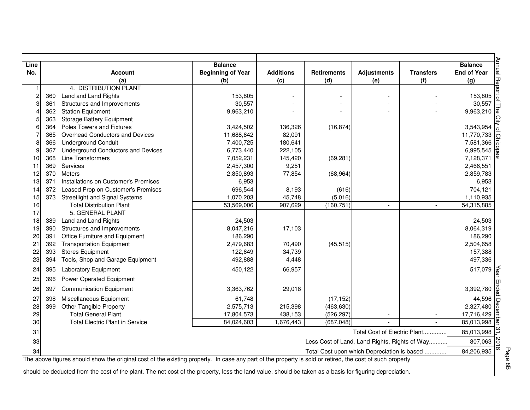| Line |     |                                                                                                                                                          | <b>Balance</b>           |                  |                                               |                              |                          | <b>Balance</b>                      |
|------|-----|----------------------------------------------------------------------------------------------------------------------------------------------------------|--------------------------|------------------|-----------------------------------------------|------------------------------|--------------------------|-------------------------------------|
| No.  |     | <b>Account</b>                                                                                                                                           | <b>Beginning of Year</b> | <b>Additions</b> | <b>Retirements</b>                            | <b>Adjustments</b>           | <b>Transfers</b>         | <b>End of Year</b>                  |
|      |     | (a)<br>4. DISTRIBUTION PLANT                                                                                                                             | (b)                      | (c)              | (d)                                           | (e)                          | (f)                      | (g)                                 |
| 2    |     |                                                                                                                                                          |                          |                  |                                               | $\overline{a}$               |                          |                                     |
|      | 360 | Land and Land Rights                                                                                                                                     | 153,805                  |                  |                                               |                              |                          | 153,805                             |
|      | 361 | Structures and Improvements                                                                                                                              | 30,557                   |                  |                                               |                              |                          | 30,557                              |
|      | 362 | <b>Station Equipment</b>                                                                                                                                 | 9,963,210                |                  |                                               |                              |                          | 9,963,210 $\sqrt{a}$                |
|      | 363 | <b>Storage Battery Equipment</b><br>Poles Towers and Fixtures                                                                                            |                          |                  |                                               |                              |                          |                                     |
|      | 364 |                                                                                                                                                          | 3,424,502                | 136,326          | (16, 874)                                     |                              |                          | 3,543,954                           |
|      | 365 | Overhead Conductors and Devices                                                                                                                          | 11,688,642               | 82,091           |                                               |                              |                          | 11,770,733                          |
|      | 366 | <b>Underground Conduit</b>                                                                                                                               | 7,400,725                | 180,641          |                                               |                              |                          | 7,581,366<br>6,995,545<br>7,128,371 |
|      | 367 | <b>Underground Conductors and Devices</b>                                                                                                                | 6,773,440                | 222,105          |                                               |                              |                          |                                     |
| 10   | 368 | Line Transformers                                                                                                                                        | 7,052,231                | 145,420          | (69, 281)                                     |                              |                          | 7,128,371                           |
| 11   | 369 | Services                                                                                                                                                 | 2,457,300                | 9,251            |                                               |                              |                          | 2,466,551                           |
| 12   | 370 | <b>Meters</b>                                                                                                                                            | 2,850,893                | 77,854           | (68, 964)                                     |                              |                          | 2,859,783                           |
| 13   | 371 | Installations on Customer's Premises                                                                                                                     | 6,953                    |                  |                                               |                              |                          | 6,953                               |
| 14   | 372 | Leased Prop on Customer's Premises                                                                                                                       | 696,544                  | 8,193            | (616)                                         |                              |                          | 704,121                             |
| 15   | 373 | <b>Streetlight and Signal Systems</b>                                                                                                                    | 1,070,203                | 45,748           | (5,016)                                       |                              |                          | 1,110,935                           |
| 16   |     | <b>Total Distribution Plant</b>                                                                                                                          | 53,569,006               | 907,629          | (160, 751)                                    | $\overline{\phantom{a}}$     | $\overline{\phantom{a}}$ | 54,315,885                          |
| 17   |     | 5. GENERAL PLANT                                                                                                                                         |                          |                  |                                               |                              |                          |                                     |
| 18   | 389 | Land and Land Rights                                                                                                                                     | 24,503                   |                  |                                               |                              |                          | 24,503                              |
| 19   | 390 | Structures and Improvements                                                                                                                              | 8,047,216                | 17,103           |                                               |                              |                          | 8,064,319                           |
| 20   | 391 | Office Furniture and Equipment                                                                                                                           | 186,290                  |                  |                                               |                              |                          | 186,290                             |
| 21   | 392 | <b>Transportation Equipment</b>                                                                                                                          | 2,479,683                | 70,490           | (45, 515)                                     |                              |                          | 2,504,658                           |
| 22   | 393 | <b>Stores Equipment</b>                                                                                                                                  | 122,649                  | 34,739           |                                               |                              |                          | 157,388                             |
| 23   | 394 | Tools, Shop and Garage Equipment                                                                                                                         | 492,888                  | 4,448            |                                               |                              |                          | 497,336                             |
| 24   | 395 | <b>Laboratory Equipment</b>                                                                                                                              | 450,122                  | 66,957           |                                               |                              |                          | 517,079                             |
| 25   | 396 | <b>Power Operated Equipment</b>                                                                                                                          |                          |                  |                                               |                              |                          |                                     |
| 26   | 397 | <b>Communication Equipment</b>                                                                                                                           | 3,363,762                | 29,018           |                                               |                              |                          | 3,392,780                           |
| 27   | 398 | Miscellaneous Equipment                                                                                                                                  | 61,748                   |                  | (17, 152)                                     |                              |                          | 44,596                              |
| 28   | 399 | Other Tangible Property                                                                                                                                  | 2,575,713                | 215,398          | (463, 630)                                    |                              |                          | 2,327,480                           |
| 29   |     | <b>Total General Plant</b>                                                                                                                               |                          | 438,153          | (526, 297)                                    |                              |                          |                                     |
| 30   |     | <b>Total Electric Plant in Service</b>                                                                                                                   | 17,804,573<br>84,024,603 | 1,676,443        | (687, 048)                                    | $\overline{a}$               |                          | 17,716,429                          |
|      |     |                                                                                                                                                          |                          |                  |                                               |                              |                          | 85,013,998                          |
| 31   |     |                                                                                                                                                          |                          |                  |                                               | Total Cost of Electric Plant |                          | 85,013,998                          |
| 33   |     |                                                                                                                                                          |                          |                  | Less Cost of Land, Land Rights, Rights of Way |                              |                          | 807,063                             |
| 34   |     |                                                                                                                                                          |                          |                  | Total Cost upon which Depreciation is based   |                              |                          | 84,206,935                          |
|      |     | The above figures should show the original cost of the existing property. In case any part of the property is sold or retired, the cost of such property |                          |                  |                                               |                              |                          |                                     |
|      |     | should be deducted from the cost of the plant. The net cost of the property, less the land value, should be taken as a basis for figuring depreciation.  |                          |                  |                                               |                              |                          |                                     |

Page 8B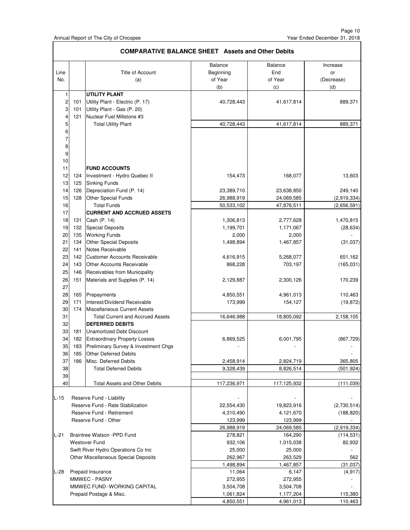Page 10 Year Ended December 31, 2018

|             | <b>COMPARATIVE BALANCE SHEET Assets and Other Debits</b> |                                                               |                                 |                           |                              |  |  |  |
|-------------|----------------------------------------------------------|---------------------------------------------------------------|---------------------------------|---------------------------|------------------------------|--|--|--|
| Line<br>No. |                                                          | Title of Account<br>(a)                                       | Balance<br>Beginning<br>of Year | Balance<br>End<br>of Year | Increase<br>or<br>(Decrease) |  |  |  |
|             |                                                          |                                                               | (b)                             | (c)                       | (d)                          |  |  |  |
| 1           |                                                          | <b>UTILITY PLANT</b>                                          |                                 |                           |                              |  |  |  |
| 2           | 101                                                      | Utility Plant - Electric (P. 17)                              | 40,728,443                      | 41,617,814                | 889,371                      |  |  |  |
| 3           | 101                                                      | Utility Plant - Gas (P. 20)                                   |                                 |                           |                              |  |  |  |
| 4           | 121                                                      | Nuclear Fuel Millstone #3                                     |                                 |                           |                              |  |  |  |
| 5           |                                                          | <b>Total Utility Plant</b>                                    | 40,728,443                      | 41,617,814                | 889,371                      |  |  |  |
| 6           |                                                          |                                                               |                                 |                           |                              |  |  |  |
| 7           |                                                          |                                                               |                                 |                           |                              |  |  |  |
| 8           |                                                          |                                                               |                                 |                           |                              |  |  |  |
| 9           |                                                          |                                                               |                                 |                           |                              |  |  |  |
| 10          |                                                          |                                                               |                                 |                           |                              |  |  |  |
| 11          |                                                          | <b>FUND ACCOUNTS</b>                                          |                                 |                           |                              |  |  |  |
| 12          | 124                                                      | Investment - Hydro Quebec II                                  | 154,473                         | 168,077                   | 13,603                       |  |  |  |
| 13          | 125                                                      | <b>Sinking Funds</b>                                          |                                 |                           |                              |  |  |  |
| 14          | 126                                                      | Depreciation Fund (P. 14)                                     | 23,389,710                      | 23,638,850                | 249,140                      |  |  |  |
| 15          | 128                                                      | Other Special Funds                                           | 26,988,919                      | 24,069,585                | (2,919,334)                  |  |  |  |
| 16          |                                                          | <b>Total Funds</b>                                            | 50,533,102                      | 47,876,511                | (2,656,591)                  |  |  |  |
| 17          |                                                          | <b>CURRENT AND ACCRUED ASSETS</b>                             |                                 |                           |                              |  |  |  |
| 18          | 131                                                      | Cash (P. 14)                                                  | 1,306,813                       | 2,777,628                 | 1,470,815                    |  |  |  |
| 19          | 132                                                      | <b>Special Deposits</b>                                       | 1,199,701                       | 1,171,067                 | (28, 634)                    |  |  |  |
| 20          | 135                                                      | <b>Working Funds</b>                                          | 2,000                           | 2,000                     |                              |  |  |  |
| 21          | 134                                                      | <b>Other Special Deposits</b>                                 | 1,498,894                       | 1,467,857                 | (31, 037)                    |  |  |  |
| 22          | 141                                                      | Notes Receivable                                              |                                 |                           |                              |  |  |  |
| 23          | 142                                                      | Customer Accounts Receivable                                  | 4,616,915                       | 5,268,077                 | 651,162                      |  |  |  |
| 24          | 143                                                      | Other Accounts Receivable                                     | 868,228                         | 703,197                   | (165, 031)                   |  |  |  |
| 25          | 146                                                      | Receivables from Municipality                                 |                                 |                           |                              |  |  |  |
| 26          | 151                                                      | Materials and Supplies (P. 14)                                | 2,129,887                       | 2,300,126                 | 170,239                      |  |  |  |
| 27          |                                                          |                                                               |                                 |                           |                              |  |  |  |
| 28          | 165                                                      | Prepayments                                                   | 4,850,551                       | 4,961,013                 | 110,463                      |  |  |  |
| 29          | 171                                                      | Interest/Dividend Receivable                                  | 173,999                         | 154,127                   | (19, 872)                    |  |  |  |
| 30          | 174                                                      | Miscellaneous Current Assets                                  |                                 |                           |                              |  |  |  |
| 31          |                                                          | <b>Total Current and Accrued Assets</b>                       | 16,646,988                      | 18,805,092                | 2,158,105                    |  |  |  |
| 32          |                                                          | <b>DEFERRED DEBITS</b>                                        |                                 |                           |                              |  |  |  |
| 33          | 181                                                      | <b>Unamortized Debt Discount</b>                              |                                 |                           |                              |  |  |  |
| 34          | 182                                                      | <b>Extraordinary Property Losses</b>                          | 6,869,525                       | 6,001,795                 | (867, 729)                   |  |  |  |
| 35          |                                                          | 183 Preliminary Survey & Investment Chgs                      |                                 |                           |                              |  |  |  |
| 36          | 185                                                      | <b>Other Deferred Debits</b>                                  |                                 |                           |                              |  |  |  |
| 37          | 186                                                      | Misc. Deferred Debits                                         | 2,458,914                       | 2,824,719                 | 365,805                      |  |  |  |
| 38          |                                                          | <b>Total Deferred Debits</b>                                  | 9,328,439                       | 8,826,514                 | (501, 924)                   |  |  |  |
| 39          |                                                          |                                                               |                                 |                           |                              |  |  |  |
| 40          |                                                          | Total Assets and Other Debits                                 | 117,236,971                     | 117,125,932               | (111, 039)                   |  |  |  |
|             |                                                          |                                                               |                                 |                           |                              |  |  |  |
| $L-15$      |                                                          | Reserve Fund - Liability<br>Reserve Fund - Rate Stabilization |                                 |                           | (2,730,514)                  |  |  |  |
|             |                                                          | Reserve Fund - Retirement                                     | 22,554,430<br>4,310,490         | 19,823,916<br>4,121,670   | (188, 820)                   |  |  |  |
|             |                                                          | Reserve Fund - Other                                          | 123,999                         |                           |                              |  |  |  |
|             |                                                          |                                                               | 26,988,919                      | 123,999<br>24,069,585     | (2,919,334)                  |  |  |  |
| $L-21$      |                                                          | Braintree Watson -PPD Fund                                    | 278,821                         |                           | (114, 531)                   |  |  |  |
|             |                                                          | <b>Westover Fund</b>                                          | 932,106                         | 164,290<br>1,015,038      | 82,932                       |  |  |  |
|             |                                                          | Swift River Hydro Operations Co Inc                           | 25,000                          | 25,000                    |                              |  |  |  |
|             |                                                          | Other Miscellaneous Special Deposits                          | 262,967                         | 263,529                   | 562                          |  |  |  |
|             |                                                          |                                                               | 1,498,894                       | 1,467,857                 | (31, 037)                    |  |  |  |
| $L-28$      |                                                          | Prepaid Insurance                                             | 11,064                          | 6,147                     | (4, 917)                     |  |  |  |
|             |                                                          | MMWEC - PASNY                                                 | 272,955                         | 272,955                   |                              |  |  |  |
|             |                                                          | MMWEC FUND -WORKING CAPITAL                                   | 3,504,708                       | 3,504,708                 |                              |  |  |  |
|             |                                                          | Prepaid Postage & Misc.                                       | 1,061,824                       | 1,177,204                 | 115,380                      |  |  |  |
|             |                                                          |                                                               | 4,850,551                       | 4,961,013                 | 110,463                      |  |  |  |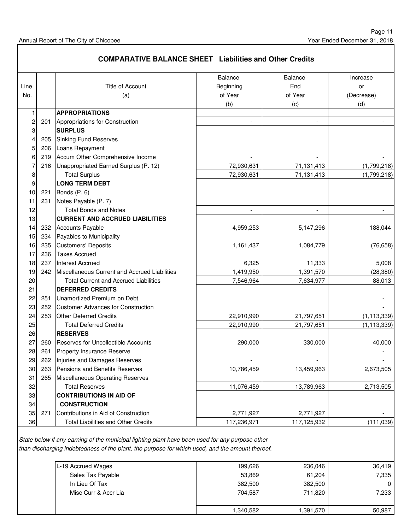|      |     | <b>COMPARATIVE BALANCE SHEET Liabilities and Other Credits</b> |                          |                          |               |
|------|-----|----------------------------------------------------------------|--------------------------|--------------------------|---------------|
|      |     |                                                                | <b>Balance</b>           | <b>Balance</b>           | Increase      |
| Line |     | Title of Account                                               | Beginning                | End                      | or            |
| No.  |     | (a)                                                            | of Year                  | of Year                  | (Decrease)    |
|      |     |                                                                | (b)                      | (c)                      | (d)           |
|      |     | <b>APPROPRIATIONS</b>                                          |                          |                          |               |
| 2    | 201 | Appropriations for Construction                                | $\overline{\phantom{a}}$ | $\overline{\phantom{a}}$ |               |
| 3    |     | <b>SURPLUS</b>                                                 |                          |                          |               |
| 4    | 205 | <b>Sinking Fund Reserves</b>                                   |                          |                          |               |
| 5    | 206 | Loans Repayment                                                |                          |                          |               |
| 6    | 219 | Accum Other Comprehensive Income                               |                          |                          |               |
|      | 216 | Unappropriated Earned Surplus (P. 12)                          | 72,930,631               | 71,131,413               | (1,799,218)   |
| 8    |     | <b>Total Surplus</b>                                           | 72,930,631               | 71,131,413               | (1,799,218)   |
| 9    |     | <b>LONG TERM DEBT</b>                                          |                          |                          |               |
| 10   | 221 | Bonds (P. 6)                                                   |                          |                          |               |
| 11   | 231 | Notes Payable (P. 7)                                           |                          |                          |               |
| 12   |     | <b>Total Bonds and Notes</b>                                   | $\overline{\phantom{a}}$ | $\overline{\phantom{a}}$ |               |
| 13   |     | <b>CURRENT AND ACCRUED LIABILITIES</b>                         |                          |                          |               |
| 14   | 232 | <b>Accounts Payable</b>                                        | 4,959,253                | 5,147,296                | 188,044       |
| 15   | 234 | Payables to Municipality                                       |                          |                          |               |
| 16   | 235 | <b>Customers' Deposits</b>                                     | 1,161,437                | 1,084,779                | (76, 658)     |
| 17   | 236 | <b>Taxes Accrued</b>                                           |                          |                          |               |
| 18   | 237 | <b>Interest Accrued</b>                                        | 6,325                    | 11,333                   | 5,008         |
| 19   | 242 | Miscellaneous Current and Accrued Liabilities                  | 1,419,950                | 1,391,570                | (28, 380)     |
| 20   |     | <b>Total Current and Accrued Liabilities</b>                   | 7,546,964                | 7,634,977                | 88,013        |
| 21   |     | <b>DEFERRED CREDITS</b>                                        |                          |                          |               |
| 22   | 251 | Unamortized Premium on Debt                                    |                          |                          |               |
| 23   | 252 | <b>Customer Advances for Construction</b>                      |                          |                          |               |
| 24   | 253 | <b>Other Deferred Credits</b>                                  | 22,910,990               | 21,797,651               | (1, 113, 339) |
| 25   |     | <b>Total Deferred Credits</b>                                  | 22,910,990               | 21,797,651               | (1, 113, 339) |
| 26   |     | <b>RESERVES</b>                                                |                          |                          |               |
| 27   | 260 | <b>Reserves for Uncollectible Accounts</b>                     | 290,000                  | 330,000                  | 40,000        |
| 28   | 261 | <b>Property Insurance Reserve</b>                              |                          |                          |               |
| 29   | 262 | Injuries and Damages Reserves                                  |                          |                          |               |
| 30   | 263 | Pensions and Benefits Reserves                                 | 10,786,459               | 13,459,963               | 2,673,505     |
| 31   | 265 | <b>Miscellaneous Operating Reserves</b>                        |                          |                          |               |
| 32   |     | <b>Total Reserves</b>                                          | 11,076,459               | 13,789,963               | 2,713,505     |
| 33   |     | <b>CONTRIBUTIONS IN AID OF</b>                                 |                          |                          |               |
| 34   |     | <b>CONSTRUCTION</b>                                            |                          |                          |               |
| 35   | 271 | Contributions in Aid of Construction                           | 2,771,927                | 2,771,927                |               |
| 36   |     | <b>Total Liabilities and Other Credits</b>                     | 117,236,971              | 117,125,932              | (111, 039)    |

State below if any earning of the municipal lighting plant have been used for any purpose other than discharging indebtedness of the plant, the purpose for which used, and the amount thereof.

| L-19 Accrued Wages   | 199,626   | 236,046   | 36.419       |
|----------------------|-----------|-----------|--------------|
| Sales Tax Payable    | 53,869    | 61,204    | 7,335        |
| In Lieu Of Tax       | 382,500   | 382,500   | $\mathbf{0}$ |
| Misc Curr & Accr Lia | 704,587   | 711.820   | 7,233        |
|                      |           |           |              |
|                      | 1,340,582 | 1,391,570 | 50,987       |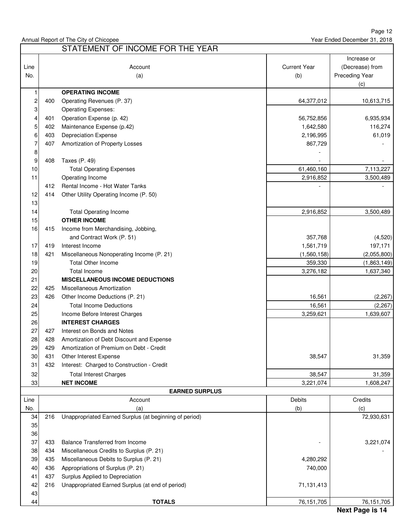Page 12 Year Ended December 31, 2018

|             |     | STATEMENT OF INCOME FOR THE YEAR                       |                            |                                                         |
|-------------|-----|--------------------------------------------------------|----------------------------|---------------------------------------------------------|
| Line<br>No. |     | Account<br>(a)                                         | <b>Current Year</b><br>(b) | Increase or<br>(Decrease) from<br>Preceding Year<br>(c) |
| 1           |     | <b>OPERATING INCOME</b>                                |                            |                                                         |
| 2           | 400 | Operating Revenues (P. 37)                             | 64,377,012                 | 10,613,715                                              |
| 3           |     | <b>Operating Expenses:</b>                             |                            |                                                         |
| 4           | 401 | Operation Expense (p. 42)                              | 56,752,856                 | 6,935,934                                               |
| 5           | 402 | Maintenance Expense (p.42)                             | 1,642,580                  | 116,274                                                 |
| 6           | 403 | <b>Depreciation Expense</b>                            | 2,196,995                  | 61,019                                                  |
| 7           | 407 | Amortization of Property Losses                        | 867,729                    |                                                         |
| 8           |     |                                                        |                            |                                                         |
| 9           | 408 | Taxes (P. 49)                                          |                            |                                                         |
| 10          |     | <b>Total Operating Expenses</b>                        | 61,460,160                 | 7,113,227                                               |
| 11          |     | Operating Income                                       | 2,916,852                  | 3,500,489                                               |
|             | 412 | Rental Income - Hot Water Tanks                        |                            |                                                         |
| 12          | 414 | Other Utility Operating Income (P. 50)                 |                            |                                                         |
| 13          |     |                                                        |                            |                                                         |
| 14          |     | <b>Total Operating Income</b>                          | 2,916,852                  | 3,500,489                                               |
| 15          |     | <b>OTHER INCOME</b>                                    |                            |                                                         |
| 16          | 415 | Income from Merchandising, Jobbing,                    |                            |                                                         |
|             |     | and Contract Work (P. 51)                              | 357,768                    | (4,520)                                                 |
| 17          | 419 | Interest Income                                        | 1,561,719                  | 197,171                                                 |
| 18          | 421 | Miscellaneous Nonoperating Income (P. 21)              | (1,560,158)                | (2,055,800)                                             |
| 19          |     | <b>Total Other Income</b>                              | 359,330                    | (1,863,149)                                             |
| 20          |     | <b>Total Income</b>                                    | 3,276,182                  | 1,637,340                                               |
| 21          |     | <b>MISCELLANEOUS INCOME DEDUCTIONS</b>                 |                            |                                                         |
| 22          | 425 | Miscellaneous Amortization                             |                            |                                                         |
| 23          | 426 | Other Income Deductions (P. 21)                        | 16,561                     | (2, 267)                                                |
| 24          |     | <b>Total Income Deductions</b>                         | 16,561                     | (2, 267)                                                |
| 25          |     | Income Before Interest Charges                         | 3,259,621                  | 1,639,607                                               |
| 26          |     | <b>INTEREST CHARGES</b>                                |                            |                                                         |
| 27          | 427 | Interest on Bonds and Notes                            |                            |                                                         |
| 28          | 428 | Amortization of Debt Discount and Expense              |                            |                                                         |
| 29          | 429 | Amortization of Premium on Debt - Credit               |                            |                                                         |
| 30          | 431 | Other Interest Expense                                 | 38,547                     | 31,359                                                  |
| 31          | 432 | Interest: Charged to Construction - Credit             |                            |                                                         |
| 32          |     | <b>Total Interest Charges</b>                          | 38,547                     | 31,359                                                  |
| 33          |     | <b>NET INCOME</b>                                      | 3,221,074                  | 1,608,247                                               |
|             |     | <b>EARNED SURPLUS</b>                                  |                            |                                                         |
| Line        |     | Account                                                | Debits                     | Credits                                                 |
| No.         |     | (a)                                                    | (b)                        | (c)                                                     |
| 34          | 216 | Unappropriated Earned Surplus (at beginning of period) |                            | 72,930,631                                              |
| 35          |     |                                                        |                            |                                                         |
| 36          |     |                                                        |                            |                                                         |
| 37          | 433 | <b>Balance Transferred from Income</b>                 |                            | 3,221,074                                               |
| 38          | 434 | Miscellaneous Credits to Surplus (P. 21)               |                            |                                                         |
| 39          | 435 | Miscellaneous Debits to Surplus (P. 21)                | 4,280,292                  |                                                         |
| 40          | 436 | Appropriations of Surplus (P. 21)                      | 740,000                    |                                                         |
| 41          | 437 | Surplus Applied to Depreciation                        |                            |                                                         |
| 42          | 216 | Unappropriated Earned Surplus (at end of period)       | 71,131,413                 |                                                         |
| 43          |     |                                                        |                            |                                                         |
| 44          |     | <b>TOTALS</b>                                          | 76, 151, 705               | 76,151,705                                              |

44 **TOTALS** 76,151,705 76,151,705

### **Next Page is 14**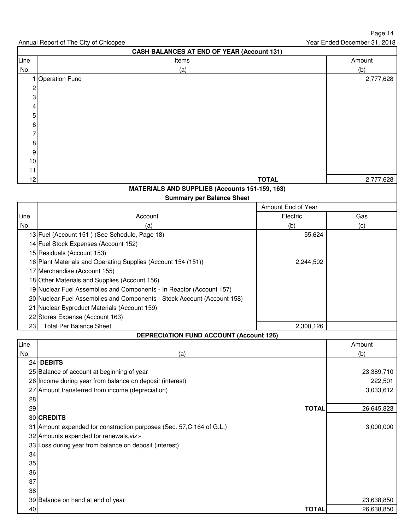|                         | <b>CASH BALANCES AT END OF YEAR (Account 131)</b>                       |                    |            |
|-------------------------|-------------------------------------------------------------------------|--------------------|------------|
| Line                    | Items                                                                   |                    | Amount     |
| No.                     | (a)                                                                     |                    | (b)        |
|                         | <b>Operation Fund</b>                                                   |                    | 2,777,628  |
| $\overline{\mathbf{c}}$ |                                                                         |                    |            |
| 3                       |                                                                         |                    |            |
| 4                       |                                                                         |                    |            |
| 5                       |                                                                         |                    |            |
| 6                       |                                                                         |                    |            |
| 7                       |                                                                         |                    |            |
| 8                       |                                                                         |                    |            |
| 9                       |                                                                         |                    |            |
| 10                      |                                                                         |                    |            |
| 11                      |                                                                         |                    |            |
| 12                      |                                                                         | <b>TOTAL</b>       | 2,777,628  |
|                         | <b>MATERIALS AND SUPPLIES (Accounts 151-159, 163)</b>                   |                    |            |
|                         | <b>Summary per Balance Sheet</b>                                        | Amount End of Year |            |
|                         |                                                                         |                    |            |
| Line<br>No.             | Account<br>(a)                                                          | Electric           | Gas        |
|                         | 13 Fuel (Account 151) (See Schedule, Page 18)                           | (b)<br>55,624      | (c)        |
|                         | 14 Fuel Stock Expenses (Account 152)                                    |                    |            |
|                         | 15 Residuals (Account 153)                                              |                    |            |
|                         | 16 Plant Materials and Operating Supplies (Account 154 (151))           | 2,244,502          |            |
|                         | 17 Merchandise (Account 155)                                            |                    |            |
|                         | 18 Other Materials and Supplies (Account 156)                           |                    |            |
|                         | 19 Nuclear Fuel Assemblies and Components - In Reactor (Account 157)    |                    |            |
|                         | 20 Nuclear Fuel Assemblies and Components - Stock Account (Account 158) |                    |            |
|                         | 21 Nuclear Byproduct Materials (Account 159)                            |                    |            |
|                         | 22 Stores Expense (Account 163)                                         |                    |            |
| 23                      | <b>Total Per Balance Sheet</b>                                          | 2,300,126          |            |
|                         | <b>DEPRECIATION FUND ACCOUNT (Account 126)</b>                          |                    |            |
| Line                    |                                                                         |                    | Amount     |
| No.                     | (a)                                                                     |                    | (b)        |
| 24                      | <b>DEBITS</b>                                                           |                    |            |
|                         | 25 Balance of account at beginning of year                              |                    | 23,389,710 |
|                         | 26 Income during year from balance on deposit (interest)                |                    | 222,501    |
|                         | 27 Amount transferred from income (depreciation)                        |                    | 3,033,612  |
| 28                      |                                                                         |                    |            |
| 29                      |                                                                         | <b>TOTAL</b>       | 26,645,823 |
|                         | 30 CREDITS                                                              |                    |            |
|                         | 31 Amount expended for construction purposes (Sec. 57, C. 164 of G.L.)  |                    | 3,000,000  |
|                         | 32 Amounts expended for renewals, viz:-                                 |                    |            |
|                         | 33 Loss during year from balance on deposit (interest)                  |                    |            |
| 34                      |                                                                         |                    |            |
| 35                      |                                                                         |                    |            |
| 36                      |                                                                         |                    |            |
| 37                      |                                                                         |                    |            |
| 38                      |                                                                         |                    |            |
|                         | 39 Balance on hand at end of year                                       |                    | 23,638,850 |
| 40                      |                                                                         | <b>TOTAL</b>       | 26,638,850 |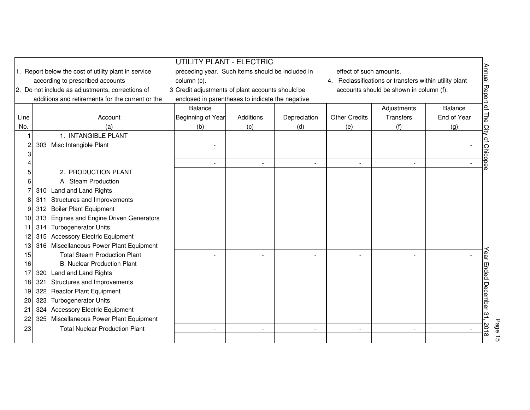|      | UTILITY PLANT - ELECTRIC                           |                                                  |           |              |                         |                                                        |                |                         |  |  |  |  |
|------|----------------------------------------------------|--------------------------------------------------|-----------|--------------|-------------------------|--------------------------------------------------------|----------------|-------------------------|--|--|--|--|
|      | Report below the cost of utility plant in service  | preceding year. Such items should be included in |           |              | effect of such amounts. |                                                        |                |                         |  |  |  |  |
|      | according to prescribed accounts                   | column (c).                                      |           |              |                         | 4. Reclassifications or transfers within utility plant |                |                         |  |  |  |  |
|      | 2. Do not include as adjustments, corrections of   | 3 Credit adjustments of plant accounts should be |           |              |                         | accounts should be shown in column (f).                |                | Annual Report of The    |  |  |  |  |
|      | additions and retirements for the current or the   | enclosed in parentheses to indicate the negative |           |              |                         |                                                        |                |                         |  |  |  |  |
|      |                                                    | <b>Balance</b>                                   |           |              |                         | Adjustments                                            | <b>Balance</b> |                         |  |  |  |  |
| Line | Account                                            | Beginning of Year                                | Additions | Depreciation | <b>Other Credits</b>    | <b>Transfers</b>                                       | End of Year    |                         |  |  |  |  |
| No.  | (a)                                                | (b)                                              | (c)       | (d)          | (e)                     | (f)                                                    | (g)            |                         |  |  |  |  |
|      | 1. INTANGIBLE PLANT                                |                                                  |           |              |                         |                                                        |                | City of Chicopee        |  |  |  |  |
|      | 303 Misc Intangible Plant                          |                                                  |           |              |                         |                                                        |                |                         |  |  |  |  |
|      |                                                    |                                                  |           |              |                         |                                                        |                |                         |  |  |  |  |
|      |                                                    |                                                  |           |              |                         |                                                        |                |                         |  |  |  |  |
|      | 2. PRODUCTION PLANT                                |                                                  |           |              |                         |                                                        |                |                         |  |  |  |  |
|      | A. Steam Production                                |                                                  |           |              |                         |                                                        |                |                         |  |  |  |  |
|      | 310 Land and Land Rights                           |                                                  |           |              |                         |                                                        |                |                         |  |  |  |  |
|      | Structures and Improvements<br>311                 |                                                  |           |              |                         |                                                        |                |                         |  |  |  |  |
|      | 312 Boiler Plant Equipment                         |                                                  |           |              |                         |                                                        |                |                         |  |  |  |  |
|      | <b>Engines and Engine Driven Generators</b><br>313 |                                                  |           |              |                         |                                                        |                |                         |  |  |  |  |
| 11   | <b>Turbogenerator Units</b><br>314                 |                                                  |           |              |                         |                                                        |                |                         |  |  |  |  |
|      | 315 Accessory Electric Equipment                   |                                                  |           |              |                         |                                                        |                |                         |  |  |  |  |
| 13   | 316 Miscellaneous Power Plant Equipment            |                                                  |           |              |                         |                                                        |                |                         |  |  |  |  |
| 15   | <b>Total Steam Production Plant</b>                |                                                  |           |              |                         |                                                        |                |                         |  |  |  |  |
| 16   | <b>B. Nuclear Production Plant</b>                 |                                                  |           |              |                         |                                                        |                |                         |  |  |  |  |
| 17   | Land and Land Rights<br>320                        |                                                  |           |              |                         |                                                        |                |                         |  |  |  |  |
| 18   | Structures and Improvements<br>321                 |                                                  |           |              |                         |                                                        |                | Year Ended December 31. |  |  |  |  |
| 19   | <b>Reactor Plant Equipment</b><br>322              |                                                  |           |              |                         |                                                        |                |                         |  |  |  |  |
| 20   | <b>Turbogenerator Units</b><br>323                 |                                                  |           |              |                         |                                                        |                |                         |  |  |  |  |
| 21   | 324 Accessory Electric Equipment                   |                                                  |           |              |                         |                                                        |                |                         |  |  |  |  |
| 22   | 325 Miscellaneous Power Plant Equipment            |                                                  |           |              |                         |                                                        |                |                         |  |  |  |  |
| 23   | <b>Total Nuclear Production Plant</b>              |                                                  |           |              |                         |                                                        |                | 2018                    |  |  |  |  |
|      |                                                    |                                                  |           |              |                         |                                                        |                |                         |  |  |  |  |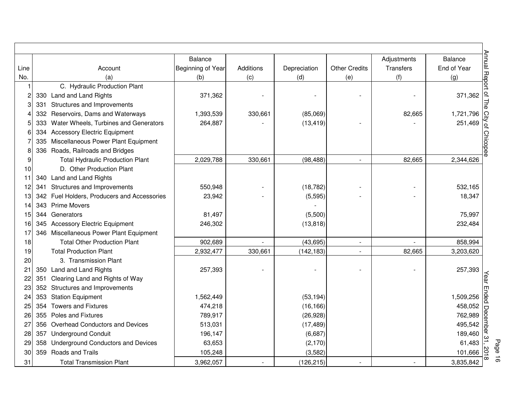|      |     |                                             | <b>Balance</b>    |           |              |                      | Adjustments      | <b>Balance</b> |
|------|-----|---------------------------------------------|-------------------|-----------|--------------|----------------------|------------------|----------------|
| Line |     | Account                                     | Beginning of Year | Additions | Depreciation | <b>Other Credits</b> | <b>Transfers</b> | End of Year    |
| No.  |     | (a)                                         | (b)               | (c)       | (d)          | (e)                  | (f)              | (g)            |
|      |     | C. Hydraulic Production Plant               |                   |           |              |                      |                  |                |
|      |     | 330 Land and Land Rights                    | 371,362           |           |              |                      |                  | 371,362        |
| 3    |     | 331 Structures and Improvements             |                   |           |              |                      |                  |                |
|      |     | 332 Reservoirs, Dams and Waterways          | 1,393,539         | 330,661   | (85,069)     |                      | 82,665           | 1,721,796      |
| 5    | 333 | Water Wheels, Turbines and Generators       | 264,887           |           | (13, 419)    |                      |                  | 251,469        |
| 6    |     | 334 Accessory Electric Equipment            |                   |           |              |                      |                  |                |
|      |     | 335 Miscellaneous Power Plant Equipment     |                   |           |              |                      |                  |                |
| 8    |     | 336 Roads, Railroads and Bridges            |                   |           |              |                      |                  |                |
| 9    |     | <b>Total Hydraulic Production Plant</b>     | 2,029,788         | 330,661   | (98, 488)    | $\sim$               | 82,665           | 2,344,626      |
| 10   |     | D. Other Production Plant                   |                   |           |              |                      |                  |                |
| 11   |     | 340 Land and Land Rights                    |                   |           |              |                      |                  |                |
| 12   |     | 341 Structures and Improvements             | 550,948           |           | (18, 782)    |                      |                  | 532,165        |
| 13   |     | 342 Fuel Holders, Producers and Accessories | 23,942            |           | (5, 595)     |                      |                  | 18,347         |
| 14   |     | 343 Prime Movers                            |                   |           |              |                      |                  |                |
| 15   |     | 344 Generators                              | 81,497            |           | (5,500)      |                      |                  | 75,997         |
| 16   |     | 345 Accessory Electric Equipment            | 246,302           |           | (13, 818)    |                      |                  | 232,484        |
| 17   |     | 346 Miscellaneous Power Plant Equipment     |                   |           |              |                      |                  |                |
| 18   |     | <b>Total Other Production Plant</b>         | 902,689           |           | (43, 695)    |                      |                  | 858,994        |
| 19   |     | <b>Total Production Plant</b>               | 2,932,477         | 330,661   | (142, 183)   |                      | 82,665           | 3,203,620      |
| 20   |     | 3. Transmission Plant                       |                   |           |              |                      |                  |                |
| 21   |     | 350 Land and Land Rights                    | 257,393           |           |              |                      |                  | 257,393        |
| 22   | 351 | Clearing Land and Rights of Way             |                   |           |              |                      |                  |                |
| 23   |     | 352 Structures and Improvements             |                   |           |              |                      |                  |                |
| 24   |     | 353 Station Equipment                       | 1,562,449         |           | (53, 194)    |                      |                  | 1,509,256      |
| 25   |     | 354 Towers and Fixtures                     | 474,218           |           | (16, 166)    |                      |                  | 458,052        |
| 26   |     | 355 Poles and Fixtures                      | 789,917           |           | (26, 928)    |                      |                  | 762,989        |
| 27   |     | 356 Overhead Conductors and Devices         | 513,031           |           | (17, 489)    |                      |                  | 495,542        |
| 28   |     | 357 Underground Conduit                     | 196,147           |           | (6,687)      |                      |                  | 189,460        |
| 29   |     | 358 Underground Conductors and Devices      | 63,653            |           | (2, 170)     |                      |                  | 61,483         |
| 30   |     | 359 Roads and Trails                        | 105,248           |           | (3,582)      |                      |                  | 101,666        |
| 31   |     | <b>Total Transmission Plant</b>             | 3,962,057         |           | (126, 215)   |                      |                  | 3,835,842      |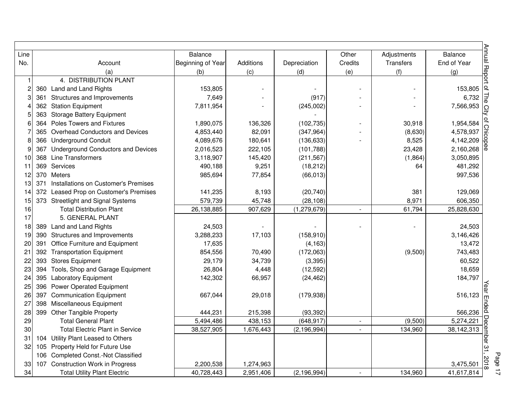| Line         |                                             | <b>Balance</b>    |           |               | Other          | Adjustments      | <b>Balance</b> |
|--------------|---------------------------------------------|-------------------|-----------|---------------|----------------|------------------|----------------|
| No.          | Account                                     | Beginning of Year | Additions | Depreciation  | Credits        | <b>Transfers</b> | End of Year    |
|              | (a)                                         | (b)               | (c)       | (d)           | (e)            | (f)              | (g)            |
| $\mathbf{1}$ | 4. DISTRIBUTION PLANT                       |                   |           |               |                |                  |                |
| 2            | 360 Land and Land Rights                    | 153,805           |           |               |                |                  | 153,805        |
| 3            | 361 Structures and Improvements             | 7,649             |           | (917)         |                |                  | 6,732          |
|              | 362 Station Equipment                       | 7,811,954         |           | (245,002)     |                |                  | 7,566,953      |
| 5            | 363 Storage Battery Equipment               |                   |           |               |                |                  |                |
| 6            | 364 Poles Towers and Fixtures               | 1,890,075         | 136,326   | (102, 735)    |                | 30,918           | 1,954,584      |
|              | 365 Overhead Conductors and Devices         | 4,853,440         | 82,091    | (347, 964)    |                | (8,630)          | 4,578,937      |
| 8            | 366 Underground Conduit                     | 4,089,676         | 180,641   | (136, 633)    |                | 8,525            | 4,142,209      |
| 9            | 367 Underground Conductors and Devices      | 2,016,523         | 222,105   | (101, 788)    |                | 23,428           | 2,160,268      |
| 10           | 368 Line Transformers                       | 3,118,907         | 145,420   | (211, 567)    |                | (1,864)          | 3,050,895      |
| 11           | 369 Services                                | 490,188           | 9,251     | (18, 212)     |                | 64               | 481,292        |
| 12           | 370 Meters                                  | 985,694           | 77,854    | (66, 013)     |                |                  | 997,536        |
| 13           | Installations on Customer's Premises<br>371 |                   |           |               |                |                  |                |
| 14           | 372 Leased Prop on Customer's Premises      | 141,235           | 8,193     | (20, 740)     |                | 381              | 129,069        |
| 15           | 373 Streetlight and Signal Systems          | 579,739           | 45,748    | (28, 108)     |                | 8,971            | 606,350        |
| 16           | <b>Total Distribution Plant</b>             | 26,138,885        | 907,629   | (1, 279, 679) | $\mathbf{L}$   | 61,794           | 25,828,630     |
| 17           | 5. GENERAL PLANT                            |                   |           |               |                |                  |                |
| 18           | 389 Land and Land Rights                    | 24,503            |           |               |                |                  | 24,503         |
| 19           | 390 Structures and Improvements             | 3,288,233         | 17,103    | (158, 910)    |                |                  | 3,146,426      |
| 20           | 391 Office Furniture and Equipment          | 17,635            |           | (4, 163)      |                |                  | 13,472         |
| 21           | 392 Transportation Equipment                | 854,556           | 70,490    | (172,063)     |                | (9,500)          | 743,483        |
| 22           | 393 Stores Equipment                        | 29,179            | 34,739    | (3, 395)      |                |                  | 60,522         |
| 23           | Tools, Shop and Garage Equipment<br>394     | 26,804            | 4,448     | (12, 592)     |                |                  | 18,659         |
| 24           | 395 Laboratory Equipment                    | 142,302           | 66,957    | (24, 462)     |                |                  | 184,797        |
| 25           | 396 Power Operated Equipment                |                   |           |               |                |                  |                |
| 26           | 397 Communication Equipment                 | 667,044           | 29,018    | (179, 938)    |                |                  | 516,123        |
| 27           | 398 Miscellaneous Equipment                 |                   |           |               |                |                  |                |
| 28           | 399 Other Tangible Property                 | 444,231           | 215,398   | (93, 392)     |                |                  | 566,236        |
| 29           | <b>Total General Plant</b>                  | 5,494,486         | 438,153   | (648, 917)    | $\blacksquare$ | (9,500)          | 5,274,221      |
| 30           | <b>Total Electric Plant in Service</b>      | 38,527,905        | 1,676,443 | (2, 196, 994) | $\blacksquare$ | 134,960          | 38,142,313     |
| 31           | 104 Utility Plant Leased to Others          |                   |           |               |                |                  |                |
| 32           | 105 Property Held for Future Use            |                   |           |               |                |                  |                |
|              | 106 Completed Const.-Not Classified         |                   |           |               |                |                  |                |
| 33           | 107 Construction Work in Progress           | 2,200,538         | 1,274,963 |               |                |                  | 3,475,501      |
| 34           | <b>Total Utility Plant Electric</b>         | 40,728,443        | 2,951,406 | (2, 196, 994) |                | 134,960          | 41,617,814     |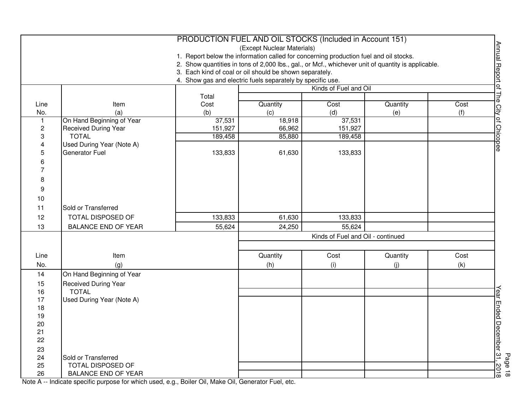|                         |                                                    | PRODUCTION FUEL AND OIL STOCKS (Included in Account 151)                                           |                            |                                   |          |      |                                              |
|-------------------------|----------------------------------------------------|----------------------------------------------------------------------------------------------------|----------------------------|-----------------------------------|----------|------|----------------------------------------------|
|                         |                                                    |                                                                                                    | (Except Nuclear Materials) |                                   |          |      | Annual Report of The City of Chicopee        |
|                         |                                                    | 1. Report below the information called for concerning production fuel and oil stocks.              |                            |                                   |          |      |                                              |
|                         |                                                    | 2. Show quantities in tons of 2,000 lbs., gal., or Mcf., whichever unit of quantity is applicable. |                            |                                   |          |      |                                              |
|                         |                                                    | 3. Each kind of coal or oil should be shown separately.                                            |                            |                                   |          |      |                                              |
|                         |                                                    | 4. Show gas and electric fuels separately by specific use.                                         |                            |                                   |          |      |                                              |
|                         |                                                    |                                                                                                    |                            | Kinds of Fuel and Oil             |          |      |                                              |
|                         |                                                    | Total                                                                                              |                            |                                   |          |      |                                              |
| Line                    | Item                                               | Cost                                                                                               | Quantity                   | Cost                              | Quantity | Cost |                                              |
| No.                     | (a)                                                | (b)                                                                                                | (c)                        | (d)                               | (e)      | (f)  |                                              |
| $\mathbf{1}$            | On Hand Beginning of Year                          | 37,531                                                                                             | 18,918                     | 37,531                            |          |      |                                              |
| $\overline{\mathbf{c}}$ | <b>Received During Year</b>                        | 151,927                                                                                            | 66,962                     | 151,927                           |          |      |                                              |
| 3                       | <b>TOTAL</b>                                       | 189,458                                                                                            | 85,880                     | 189,458                           |          |      |                                              |
| 4                       | Used During Year (Note A)<br><b>Generator Fuel</b> |                                                                                                    |                            |                                   |          |      |                                              |
| 5                       |                                                    | 133,833                                                                                            | 61,630                     | 133,833                           |          |      |                                              |
| 6                       |                                                    |                                                                                                    |                            |                                   |          |      |                                              |
| 7                       |                                                    |                                                                                                    |                            |                                   |          |      |                                              |
| 8                       |                                                    |                                                                                                    |                            |                                   |          |      |                                              |
| 9                       |                                                    |                                                                                                    |                            |                                   |          |      |                                              |
| 10                      |                                                    |                                                                                                    |                            |                                   |          |      |                                              |
| 11                      | Sold or Transferred                                |                                                                                                    |                            |                                   |          |      |                                              |
| 12                      | TOTAL DISPOSED OF                                  | 133,833                                                                                            | 61,630                     | 133,833                           |          |      |                                              |
| 13                      | <b>BALANCE END OF YEAR</b>                         | 55,624                                                                                             | 24,250                     | 55,624                            |          |      |                                              |
|                         |                                                    |                                                                                                    |                            | Kinds of Fuel and Oil - continued |          |      |                                              |
|                         |                                                    |                                                                                                    |                            |                                   |          |      |                                              |
| Line                    | Item                                               |                                                                                                    | Quantity                   | Cost                              | Quantity | Cost |                                              |
| No.                     | (g)                                                |                                                                                                    | (h)                        | (i)                               | (j)      | (k)  |                                              |
| 14                      | On Hand Beginning of Year                          |                                                                                                    |                            |                                   |          |      |                                              |
| 15                      | <b>Received During Year</b>                        |                                                                                                    |                            |                                   |          |      |                                              |
| 16                      | <b>TOTAL</b>                                       |                                                                                                    |                            |                                   |          |      | Page 18<br>Year Ended December 31, 2018<br>T |
| 17                      | Used During Year (Note A)                          |                                                                                                    |                            |                                   |          |      |                                              |
| 18                      |                                                    |                                                                                                    |                            |                                   |          |      |                                              |
| 19                      |                                                    |                                                                                                    |                            |                                   |          |      |                                              |
| 20                      |                                                    |                                                                                                    |                            |                                   |          |      |                                              |
| 21                      |                                                    |                                                                                                    |                            |                                   |          |      |                                              |
| 22                      |                                                    |                                                                                                    |                            |                                   |          |      |                                              |
| 23                      |                                                    |                                                                                                    |                            |                                   |          |      |                                              |
| 24                      | Sold or Transferred                                |                                                                                                    |                            |                                   |          |      |                                              |
| 25                      | TOTAL DISPOSED OF                                  |                                                                                                    |                            |                                   |          |      |                                              |
| 26                      | BALANCE END OF YEAR                                |                                                                                                    |                            |                                   |          |      |                                              |

Note A -- Indicate specific purpose for which used, e.g., Boiler Oil, Make Oil, Generator Fuel, etc.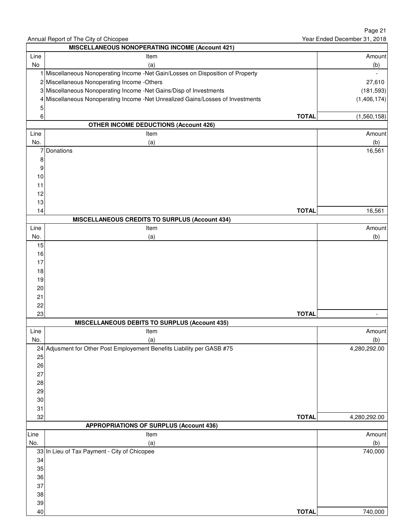|            |                                                                                 |              | Page 21                      |
|------------|---------------------------------------------------------------------------------|--------------|------------------------------|
|            | Annual Report of The City of Chicopee                                           |              | Year Ended December 31, 2018 |
|            | <b>MISCELLANEOUS NONOPERATING INCOME (Account 421)</b>                          |              |                              |
| Line<br>No | Item<br>(a)                                                                     |              | Amount<br>(b)                |
|            | Miscellaneous Nonoperating Income -Net Gain/Losses on Disposition of Property   |              |                              |
|            | 2 Miscellaneous Nonoperating Income - Others                                    |              | 27,610                       |
|            | 3 Miscellaneous Nonoperating Income -Net Gains/Disp of Investments              |              | (181, 593)                   |
|            | 4 Miscellaneous Nonoperating Income -Net Unrealized Gains/Losses of Investments |              | (1,406,174)                  |
| 5          |                                                                                 |              |                              |
| 6          |                                                                                 | <b>TOTAL</b> | (1,560,158)                  |
|            | <b>OTHER INCOME DEDUCTIONS (Account 426)</b>                                    |              |                              |
| Line       | Item                                                                            |              | Amount                       |
| No.        | (a)                                                                             |              | (b)                          |
| 7          | Donations                                                                       |              | 16,561                       |
| 8          |                                                                                 |              |                              |
| 9          |                                                                                 |              |                              |
| 10         |                                                                                 |              |                              |
| 11         |                                                                                 |              |                              |
| 12         |                                                                                 |              |                              |
| 13<br>14   |                                                                                 | <b>TOTAL</b> | 16,561                       |
|            | <b>MISCELLANEOUS CREDITS TO SURPLUS (Account 434)</b>                           |              |                              |
| Line       | Item                                                                            |              | Amount                       |
| No.        | (a)                                                                             |              | (b)                          |
| 15         |                                                                                 |              |                              |
| 16         |                                                                                 |              |                              |
| 17         |                                                                                 |              |                              |
| 18         |                                                                                 |              |                              |
| 19         |                                                                                 |              |                              |
| 20         |                                                                                 |              |                              |
| 21         |                                                                                 |              |                              |
| 22         |                                                                                 |              |                              |
| 23         |                                                                                 | <b>TOTAL</b> |                              |
|            | <b>MISCELLANEOUS DEBITS TO SURPLUS (Account 435)</b>                            |              |                              |
| Line       | Item                                                                            |              | Amount                       |
| No.        | (a)<br>24 Adjusment for Other Post Employement Benefits Liability per GASB #75  |              | (b)<br>4,280,292.00          |
| 25         |                                                                                 |              |                              |
| 26         |                                                                                 |              |                              |
| 27         |                                                                                 |              |                              |
| 28         |                                                                                 |              |                              |
| 29         |                                                                                 |              |                              |
| 30         |                                                                                 |              |                              |
| 31         |                                                                                 |              |                              |
| 32         |                                                                                 | <b>TOTAL</b> | 4,280,292.00                 |
|            | <b>APPROPRIATIONS OF SURPLUS (Account 436)</b>                                  |              |                              |
| Line       | Item                                                                            |              | Amount                       |
| No.        | (a)                                                                             |              | (b)                          |
|            | 33 In Lieu of Tax Payment - City of Chicopee                                    |              | 740,000                      |
| 34         |                                                                                 |              |                              |
| 35<br>36   |                                                                                 |              |                              |
| 37         |                                                                                 |              |                              |
| 38         |                                                                                 |              |                              |
| 39         |                                                                                 |              |                              |
| 40         |                                                                                 | <b>TOTAL</b> | 740,000                      |
|            |                                                                                 |              |                              |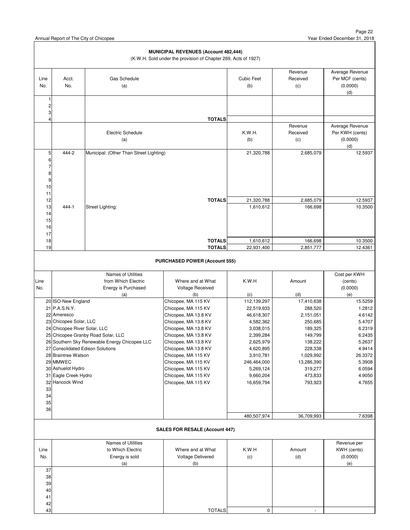|                                             |                                       |                                               | MUNICIPAL REVENUES (Account 482,444)<br>(K.W.H. Sold under the provision of Chapter 269, Acts of 1927) |                          |                            |                                                       |
|---------------------------------------------|---------------------------------------|-----------------------------------------------|--------------------------------------------------------------------------------------------------------|--------------------------|----------------------------|-------------------------------------------------------|
| Line<br>No.                                 | Acct.<br>No.                          | Gas Schedule<br>(a)                           |                                                                                                        | <b>Cubic Feet</b><br>(b) | Revenue<br>Received<br>(c) | Average Revenue<br>Per MCF (cents)<br>(0.0000)<br>(d) |
| 1<br>$\mathbf 2$<br>3<br>4                  |                                       |                                               |                                                                                                        |                          |                            |                                                       |
|                                             |                                       |                                               | <b>TOTALS</b>                                                                                          |                          | Revenue                    | Average Revenue                                       |
|                                             |                                       | <b>Electric Schedule</b><br>(a)               |                                                                                                        | K.W.H.<br>(b)            | Received<br>(c)            | Per KWH (cents)<br>(0.0000)<br>(d)                    |
| 5                                           | 444-2                                 | Municipal: (Other Than Street Lighting)       |                                                                                                        | 21,320,788               | 2,685,079                  | 12.5937                                               |
| 6<br>$\overline{7}$<br>8<br>9<br>$10$<br>11 |                                       |                                               |                                                                                                        |                          |                            |                                                       |
| 12                                          |                                       |                                               | <b>TOTALS</b>                                                                                          | 21,320,788               | 2,685,079                  | 12.5937                                               |
| 13<br>14<br>15<br>16<br>17                  | 444-1                                 | Street Lighting:                              |                                                                                                        | 1,610,612                | 166,698                    | 10.3500                                               |
| 18                                          |                                       |                                               | <b>TOTALS</b>                                                                                          | 1,610,612                | 166,698                    | 10.3500                                               |
| 19                                          |                                       |                                               | <b>TOTALS</b>                                                                                          | 22,931,400               | 2,851,777                  | 12.4361                                               |
|                                             |                                       |                                               | <b>PURCHASED POWER (Account 555)</b>                                                                   |                          |                            |                                                       |
|                                             |                                       | Names of Utilities                            |                                                                                                        |                          |                            | Cost per KWH                                          |
| Line<br>No.                                 |                                       | from Which Electric<br>Energy is Purchased    | Where and at What<br>Voltage Received                                                                  | K.W.H                    | Amount                     | (cents)<br>(0.0000)                                   |
|                                             |                                       | (a)                                           | (b)                                                                                                    | (c)                      | (d)                        | (e)                                                   |
|                                             | 20 ISO-New England                    |                                               | Chicopee, MA 115 KV                                                                                    | 112,139,297              | 17,410,638                 | 15.5259                                               |
|                                             | 21 P.A.S.N.Y.                         |                                               | Chicopee, MA 115 KV                                                                                    | 22,519,933               | 288,520                    | 1.2812                                                |
|                                             | 22 Ameresco<br>23 Chicopee Solar, LLC |                                               | Chicopee, MA 13.8 KV<br>Chicopee, MA 13.8 KV                                                           | 46,618,307<br>4,582,362  | 2,151,051<br>250,685       | 4.6142<br>5.4707                                      |
|                                             | 24 Chicopee River Solar, LLC          |                                               | Chicopee, MA 13.8 KV                                                                                   | 3,038,015                | 189,325                    | 6.2319                                                |
|                                             |                                       | 25 Chicopee Granby Road Solar, LLC            | Chicopee, MA 13.8 KV                                                                                   | 2,399,284                | 149,799                    | 6.2435                                                |
|                                             |                                       | 26 Southern Sky Renewable Energy Chicopee LLC | Chicopee, MA 13.8 KV                                                                                   |                          |                            |                                                       |
|                                             | 27 Consolidated Edison Solutions      |                                               |                                                                                                        |                          |                            | 5.2637                                                |
|                                             |                                       |                                               | Chicopee, MA 13.8 KV                                                                                   | 2,625,979<br>4,620,895   | 138,222<br>228,338         | 4.9414                                                |
|                                             | 28 Braintree Watson                   |                                               | Chicopee, MA 115 KV                                                                                    | 3,910,781                | 1,029,992                  | 26.3372                                               |
|                                             | 29 MMWEC                              |                                               | Chicopee, MA 115 KV                                                                                    | 246,464,000              | 13,286,390                 | 5.3908                                                |
|                                             | 30 Ashuelot Hydro                     |                                               | Chicopee, MA 115 KV                                                                                    | 5,269,124                | 319,277                    | 6.0594                                                |
|                                             | 31 Eagle Creek Hydro                  |                                               | Chicopee, MA 115 KV                                                                                    | 9,660,204                | 473,833                    | 4.9050                                                |
| 33                                          | 32 Hancock Wind                       |                                               | Chicopee, MA 115 KV                                                                                    | 16,659,794               | 793,923                    | 4.7655                                                |
| 34                                          |                                       |                                               |                                                                                                        |                          |                            |                                                       |
| 35                                          |                                       |                                               |                                                                                                        |                          |                            |                                                       |
| 36                                          |                                       |                                               |                                                                                                        |                          |                            |                                                       |
|                                             |                                       |                                               |                                                                                                        | 480,507,974              | 36,709,993                 | 7.6398                                                |
|                                             |                                       |                                               | <b>SALES FOR RESALE (Account 447)</b>                                                                  |                          |                            |                                                       |
|                                             |                                       | Names of Utilities                            |                                                                                                        |                          |                            | Revenue per                                           |
| Line                                        |                                       | to Which Electric                             | Where and at What                                                                                      | K.W.H                    | Amount                     | KWH (cents)                                           |
| No.                                         |                                       | Energy is sold                                | Voltage Delivered                                                                                      | (c)                      | (d)                        | (0.0000)                                              |
| 37                                          |                                       | (a)                                           | (b)                                                                                                    |                          |                            | (e)                                                   |
| 38                                          |                                       |                                               |                                                                                                        |                          |                            |                                                       |
| 39                                          |                                       |                                               |                                                                                                        |                          |                            |                                                       |
| 40<br>41                                    |                                       |                                               |                                                                                                        |                          |                            |                                                       |

43 TOTALS 0 -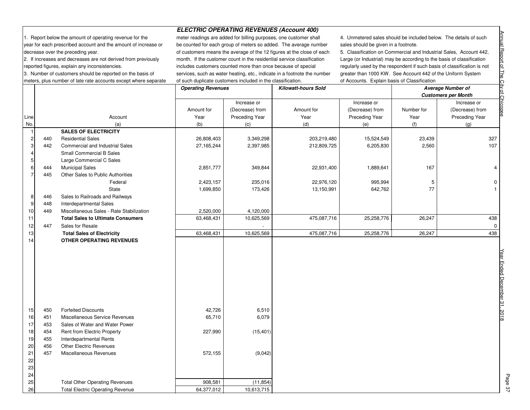**ELECTRIC OPERATING REVENUES (Account 400)**

1. Report below the amount of operating revenue for the meter readings are added for billing purposes, one customer shall 4. Unmetered sales should be included below. The details of such year for each prescribed account and the amount of increase or be counted for each group of meters so added. The average number sales should be given in a footnote. decrease over the preceding year.  $\blacksquare$  of customers means the average of the 12 figures at the close of each 2. If increases and decreases are not derived from previously month. If the customer count in the residential service classification reported figures, explain any inconsistencies. **includes** customers counted more than once because of special regularly used by the respondent if such basis of classification is not 3. Number of customers should be reported on the basis of services, such as water heating, etc., indicate in a footnote the number greater than 1000 KW. See Account 442 of the Uniform System meters, plus number of late rate accounts except where separate of such duplicate customers included in the classification. 
of Accounts. Explain basis of Classification

5. Classification on Commercial and Industrial Sales, Account 442,

|                |     |                                          | <b>Operating Revenues</b> |                 | <b>Kilowatt-hours Sold</b> |                 | <b>Average Number of</b> |                            |             |
|----------------|-----|------------------------------------------|---------------------------|-----------------|----------------------------|-----------------|--------------------------|----------------------------|-------------|
|                |     |                                          |                           |                 |                            |                 |                          | <b>Customers per Month</b> |             |
|                |     |                                          |                           | Increase or     |                            | Increase or     |                          | Increase or                |             |
|                |     |                                          | Amount for                | (Decrease) from | Amount for                 | (Decrease) from | Number for               | (Decrease) from            |             |
| Line           |     | Account                                  | Year                      | Preceding Year  | Year                       | Preceding Year  | Year                     | Preceding Year             |             |
| No.            |     | (a)                                      | (b)                       | (c)             | (d)                        | (e)             | (f)                      | (g)                        |             |
| $\overline{1}$ |     | <b>SALES OF ELECTRICITY</b>              |                           |                 |                            |                 |                          |                            |             |
| $\overline{c}$ | 440 | <b>Residential Sales</b>                 | 26,808,403                | 3,349,298       | 203,219,480                | 15,524,549      | 23,439                   | 327                        |             |
| 3              | 442 | Commercial and Industrial Sales          | 27,165,244                | 2,397,985       | 212,809,725                | 6,205,830       | 2,560                    | 107                        |             |
| $\overline{4}$ |     | <b>Small Commercial B Sales</b>          |                           |                 |                            |                 |                          |                            |             |
| 5              |     | Large Commercial C Sales                 |                           |                 |                            |                 |                          |                            |             |
| 6              | 444 | <b>Municipal Sales</b>                   | 2,851,777                 | 349,844         | 22,931,400                 | 1,889,641       | 167                      | 4                          |             |
| $\overline{7}$ | 445 | Other Sales to Public Authorities        |                           |                 |                            |                 |                          |                            |             |
|                |     | Federal                                  | 2,423,157                 | 235,016         | 22,976,120                 | 995,994         | 5                        | 0                          |             |
|                |     | State                                    | 1,699,850                 | 173,426         | 13,150,991                 | 642,762         | 77                       | $\mathbf{1}$               |             |
| 8              | 446 | Sales to Railroads and Railways          |                           |                 |                            |                 |                          |                            |             |
| 9              | 448 | Interdepartmental Sales                  |                           |                 |                            |                 |                          |                            |             |
| 10             | 449 | Miscellaneous Sales - Rate Stabilization | 2,520,000                 | 4,120,000       |                            |                 |                          |                            |             |
| 11             |     | <b>Total Sales to Ultimate Consumers</b> | 63,468,431                | 10,625,569      | 475,087,716                | 25,258,776      | 26,247                   | 438                        |             |
| 12             | 447 | Sales for Resale                         |                           |                 |                            |                 |                          | $\mathbf{0}$               |             |
| 13             |     | <b>Total Sales of Electricity</b>        | 63,468,431                | 10,625,569      | 475,087,716                | 25,258,776      | 26,247                   | 438                        |             |
| 14             |     | <b>OTHER OPERATING REVENUES</b>          |                           |                 |                            |                 |                          |                            |             |
|                |     |                                          |                           |                 |                            |                 |                          |                            |             |
|                |     |                                          |                           |                 |                            |                 |                          |                            |             |
|                |     |                                          |                           |                 |                            |                 |                          |                            |             |
|                |     |                                          |                           |                 |                            |                 |                          |                            | Ended       |
|                |     |                                          |                           |                 |                            |                 |                          |                            |             |
|                |     |                                          |                           |                 |                            |                 |                          |                            | December 31 |
|                |     |                                          |                           |                 |                            |                 |                          |                            |             |
|                |     |                                          |                           |                 |                            |                 |                          |                            |             |
| 15             | 450 | <b>Forfeited Discounts</b>               | 42,726                    | 6,510           |                            |                 |                          |                            |             |
| 16             | 451 | Miscellaneous Service Revenues           | 65,710                    | 6,079           |                            |                 |                          |                            | 2018        |
| 17             | 453 | Sales of Water and Water Power           |                           |                 |                            |                 |                          |                            |             |
| 18             | 454 | Rent from Electric Property              | 227,990                   | (15, 401)       |                            |                 |                          |                            |             |
| 19             | 455 | Interdepartmental Rents                  |                           |                 |                            |                 |                          |                            |             |
| 20             | 456 | <b>Other Electric Revenues</b>           |                           |                 |                            |                 |                          |                            |             |
| 21             | 457 | Miscellaneous Revenues                   | 572,155                   | (9,042)         |                            |                 |                          |                            |             |
| 22             |     |                                          |                           |                 |                            |                 |                          |                            |             |
| 23             |     |                                          |                           |                 |                            |                 |                          |                            |             |
| 24             |     |                                          |                           |                 |                            |                 |                          |                            |             |
| 25             |     | <b>Total Other Operating Revenues</b>    | 908,581                   | (11, 854)       |                            |                 |                          |                            |             |
| 26             |     | <b>Total Electric Operating Revenue</b>  | 64,377,012                | 10,613,715      |                            |                 |                          |                            |             |

Page 37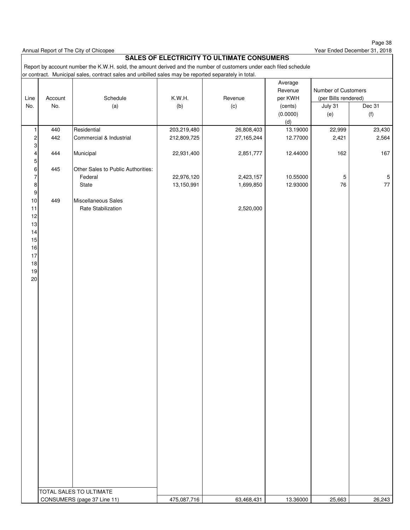Page 38 Year Ended December 31, 2018

Annual Report of The City of Chicopee

### **SALES OF ELECTRICITY TO ULTIMATE CONSUMERS**

 Report by account number the K.W.H. sold, the amount derived and the number of customers under each filed schedule or contract. Municipal sales, contract sales and unbilled sales may be reported separately in total.

|                                                      |                |                                                        |               |                | Average<br>Revenue | Number of Customers             |             |
|------------------------------------------------------|----------------|--------------------------------------------------------|---------------|----------------|--------------------|---------------------------------|-------------|
| Line<br>No.                                          | Account<br>No. | Schedule<br>(a)                                        | K.W.H.<br>(b) | Revenue<br>(c) | per KWH<br>(cents) | (per Bills rendered)<br>July 31 | Dec 31      |
|                                                      |                |                                                        |               |                | (0.0000)           | (e)                             | (f)         |
|                                                      |                |                                                        |               |                | (d)                |                                 |             |
| $\mathbf{1}$                                         | 440            | Residential                                            | 203,219,480   | 26,808,403     | 13.19000           | 22,999                          | 23,430      |
| $\mathbf{2}$                                         | 442            | Commercial & Industrial                                | 212,809,725   | 27,165,244     | 12.77000           | 2,421                           | 2,564       |
| $\ensuremath{\mathsf{3}}$<br>$\overline{\mathbf{4}}$ | 444            | Municipal                                              | 22,931,400    | 2,851,777      | 12.44000           | 162                             | 167         |
| $\mathbf 5$<br>$6 \mid$                              | 445            | Other Sales to Public Authorities:                     |               |                |                    |                                 |             |
| $\overline{7}$                                       |                | Federal                                                | 22,976,120    | 2,423,157      | 10.55000           | $\,$ 5 $\,$                     | $\,$ 5 $\,$ |
| $\bf8$                                               |                | State                                                  | 13,150,991    | 1,699,850      | 12.93000           | 76                              | $77\,$      |
| 9                                                    |                |                                                        |               |                |                    |                                 |             |
| 10                                                   | 449            | Miscellaneous Sales                                    |               |                |                    |                                 |             |
| 11                                                   |                | Rate Stabilization                                     |               | 2,520,000      |                    |                                 |             |
| 12<br>13                                             |                |                                                        |               |                |                    |                                 |             |
| 14                                                   |                |                                                        |               |                |                    |                                 |             |
| 15                                                   |                |                                                        |               |                |                    |                                 |             |
| 16                                                   |                |                                                        |               |                |                    |                                 |             |
| 17                                                   |                |                                                        |               |                |                    |                                 |             |
| 18                                                   |                |                                                        |               |                |                    |                                 |             |
| 19                                                   |                |                                                        |               |                |                    |                                 |             |
| $20\,$                                               |                |                                                        |               |                |                    |                                 |             |
|                                                      |                |                                                        |               |                |                    |                                 |             |
|                                                      |                |                                                        |               |                |                    |                                 |             |
|                                                      |                |                                                        |               |                |                    |                                 |             |
|                                                      |                |                                                        |               |                |                    |                                 |             |
|                                                      |                |                                                        |               |                |                    |                                 |             |
|                                                      |                |                                                        |               |                |                    |                                 |             |
|                                                      |                |                                                        |               |                |                    |                                 |             |
|                                                      |                |                                                        |               |                |                    |                                 |             |
|                                                      |                |                                                        |               |                |                    |                                 |             |
|                                                      |                |                                                        |               |                |                    |                                 |             |
|                                                      |                |                                                        |               |                |                    |                                 |             |
|                                                      |                |                                                        |               |                |                    |                                 |             |
|                                                      |                |                                                        |               |                |                    |                                 |             |
|                                                      |                |                                                        |               |                |                    |                                 |             |
|                                                      |                |                                                        |               |                |                    |                                 |             |
|                                                      |                |                                                        |               |                |                    |                                 |             |
|                                                      |                |                                                        |               |                |                    |                                 |             |
|                                                      |                |                                                        |               |                |                    |                                 |             |
|                                                      |                |                                                        |               |                |                    |                                 |             |
|                                                      |                |                                                        |               |                |                    |                                 |             |
|                                                      |                |                                                        |               |                |                    |                                 |             |
|                                                      |                |                                                        |               |                |                    |                                 |             |
|                                                      |                |                                                        |               |                |                    |                                 |             |
|                                                      |                | TOTAL SALES TO ULTIMATE<br>CONSUMERS (page 37 Line 11) | 475,087,716   | 63,468,431     | 13.36000           | 25,663                          | 26,243      |
|                                                      |                |                                                        |               |                |                    |                                 |             |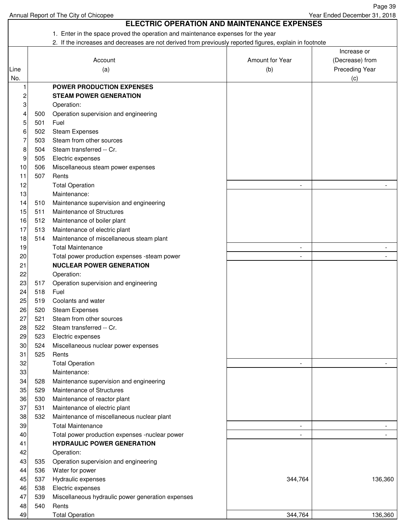1. Enter in the space proved the operation and maintenance expenses for the year 2. If the increases and decreases are not derived from previously reported figures, explain in footnote Increase or Account **Amount for Year** (Decrease) from Line (a) (a) (b) Preceding Year No. (c) 1 **POWER PRODUCTION EXPENSES** 2 **STEAM POWER GENERATION** 3 Operation: 4 500 Operation supervision and engineering 5 501 Fuel 6 502 Steam Expenses 7 503 Steam from other sources 8 504 Steam transferred -- Cr. 9 505 Electric expenses 10 506 Miscellaneous steam power expenses 11 507 Rents 12 Total Operation 13 Maintenance: 14 510 Maintenance supervision and engineering 15 511 Maintenance of Structures 16 512 Maintenance of boiler plant 17 513 Maintenance of electric plant 18 514 Maintenance of miscellaneous steam plant 19 Total Maintenance 20 Total power production expenses -steam power All Allen Control Control Control Control Control Control Control Control Control Control Control Control Control Control Control Control Control Control Control Control Cont 21 **NUCLEAR POWER GENERATION** 22 Operation: 23 517 Operation supervision and engineering 24 518 Fuel 25 519 Coolants and water 26 520 Steam Expenses 27 521 Steam from other sources 28 522 Steam transferred -- Cr. 29 523 Electric expenses 30 524 Miscellaneous nuclear power expenses 31 525 Rents 32 Total Operation - - 33 Maintenance: 34 528 Maintenance supervision and engineering 35 529 Maintenance of Structures 36 530 Maintenance of reactor plant 37 531 Maintenance of electric plant 38 532 Maintenance of miscellaneous nuclear plant 39 Total Maintenance 40 Total power production expenses -nuclear power 41 **HYDRAULIC POWER GENERATION** 42 Operation: 43 535 Operation supervision and engineering 44 536 Water for power 45 537 Hydraulic expenses 26 and the set of the set of the set of the set of the set of the set of the set of t 46 538 Electric expenses 47 539 Miscellaneous hydraulic power generation expenses 48 540 Rents  **ELECTRIC OPERATION AND MAINTENANCE EXPENSES**

49 Total Operation 136,360 344,764

Annual Report of The City of Chicopee

Page 39

Year Ended December 31, 2018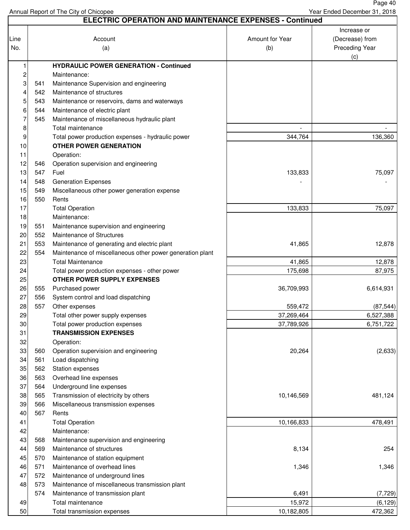Page 40 Year Ended December 31, 2018

|          | <b>ELECTRIC OPERATION AND MAINTENANCE EXPENSES - Continued</b> |                                                           |                 |                 |  |  |  |  |  |
|----------|----------------------------------------------------------------|-----------------------------------------------------------|-----------------|-----------------|--|--|--|--|--|
|          |                                                                |                                                           |                 | Increase or     |  |  |  |  |  |
| Line     |                                                                | Account                                                   | Amount for Year | (Decrease) from |  |  |  |  |  |
| No.      |                                                                | (a)                                                       | (b)             | Preceding Year  |  |  |  |  |  |
|          |                                                                |                                                           |                 | (c)             |  |  |  |  |  |
| 1        |                                                                | <b>HYDRAULIC POWER GENERATION - Continued</b>             |                 |                 |  |  |  |  |  |
| 2        |                                                                | Maintenance:                                              |                 |                 |  |  |  |  |  |
| 3        | 541                                                            | Maintenance Supervision and engineering                   |                 |                 |  |  |  |  |  |
| 4        | 542                                                            | Maintenance of structures                                 |                 |                 |  |  |  |  |  |
| 5        | 543                                                            | Maintenance or reservoirs, dams and waterways             |                 |                 |  |  |  |  |  |
| 6        | 544                                                            | Maintenance of electric plant                             |                 |                 |  |  |  |  |  |
| 7        | 545                                                            | Maintenance of miscellaneous hydraulic plant              |                 |                 |  |  |  |  |  |
| 8        |                                                                | Total maintenance                                         |                 |                 |  |  |  |  |  |
| 9        |                                                                | Total power production expenses - hydraulic power         | 344,764         | 136,360         |  |  |  |  |  |
| 10       |                                                                | <b>OTHER POWER GENERATION</b>                             |                 |                 |  |  |  |  |  |
| 11       |                                                                | Operation:                                                |                 |                 |  |  |  |  |  |
| 12       | 546                                                            | Operation supervision and engineering                     |                 |                 |  |  |  |  |  |
| 13       | 547                                                            | Fuel                                                      | 133,833         | 75,097          |  |  |  |  |  |
| 14       | 548                                                            | <b>Generation Expenses</b>                                |                 |                 |  |  |  |  |  |
| 15       | 549                                                            | Miscellaneous other power generation expense              |                 |                 |  |  |  |  |  |
| 16       | 550                                                            | Rents                                                     |                 |                 |  |  |  |  |  |
| 17       |                                                                | <b>Total Operation</b>                                    | 133,833         | 75,097          |  |  |  |  |  |
| 18       |                                                                | Maintenance:                                              |                 |                 |  |  |  |  |  |
| 19       | 551                                                            | Maintenance supervision and engineering                   |                 |                 |  |  |  |  |  |
| 20       | 552                                                            | Maintenance of Structures                                 |                 |                 |  |  |  |  |  |
| 21       | 553                                                            | Maintenance of generating and electric plant              | 41,865          | 12,878          |  |  |  |  |  |
| 22       | 554                                                            | Maintenance of miscellaneous other power generation plant |                 |                 |  |  |  |  |  |
| 23       |                                                                | <b>Total Maintenance</b>                                  | 41,865          | 12,878          |  |  |  |  |  |
| 24       |                                                                | Total power production expenses - other power             | 175,698         | 87,975          |  |  |  |  |  |
| 25       |                                                                | <b>OTHER POWER SUPPLY EXPENSES</b>                        |                 |                 |  |  |  |  |  |
| 26       | 555                                                            | Purchased power                                           | 36,709,993      | 6,614,931       |  |  |  |  |  |
| 27       | 556                                                            | System control and load dispatching                       |                 |                 |  |  |  |  |  |
| 28       | 557                                                            | Other expenses                                            | 559,472         | (87, 544)       |  |  |  |  |  |
| 29       |                                                                | Total other power supply expenses                         | 37,269,464      | 6,527,388       |  |  |  |  |  |
| 30       |                                                                | Total power production expenses                           | 37,789,926      | 6,751,722       |  |  |  |  |  |
| 31       |                                                                | <b>TRANSMISSION EXPENSES</b>                              |                 |                 |  |  |  |  |  |
| 32       |                                                                |                                                           |                 |                 |  |  |  |  |  |
| 33       |                                                                | Operation:                                                | 20,264          | (2,633)         |  |  |  |  |  |
|          | 560                                                            | Operation supervision and engineering<br>Load dispatching |                 |                 |  |  |  |  |  |
| 34<br>35 | 561                                                            |                                                           |                 |                 |  |  |  |  |  |
|          | 562                                                            | Station expenses                                          |                 |                 |  |  |  |  |  |
| 36       | 563                                                            | Overhead line expenses                                    |                 |                 |  |  |  |  |  |
| 37       | 564                                                            | Underground line expenses                                 |                 |                 |  |  |  |  |  |
| 38       | 565                                                            | Transmission of electricity by others                     | 10,146,569      | 481,124         |  |  |  |  |  |
| 39       | 566                                                            | Miscellaneous transmission expenses                       |                 |                 |  |  |  |  |  |
| 40       | 567                                                            | Rents                                                     |                 |                 |  |  |  |  |  |
| 41       |                                                                | <b>Total Operation</b>                                    | 10,166,833      | 478,491         |  |  |  |  |  |
| 42       |                                                                | Maintenance:                                              |                 |                 |  |  |  |  |  |
| 43       | 568                                                            | Maintenance supervision and engineering                   |                 |                 |  |  |  |  |  |
| 44       | 569                                                            | Maintenance of structures                                 | 8,134           | 254             |  |  |  |  |  |
| 45       | 570                                                            | Maintenance of station equipment                          |                 |                 |  |  |  |  |  |
| 46       | 571                                                            | Maintenance of overhead lines                             | 1,346           | 1,346           |  |  |  |  |  |
| 47       | 572                                                            | Maintenance of underground lines                          |                 |                 |  |  |  |  |  |
| 48       | 573                                                            | Maintenance of miscellaneous transmission plant           |                 |                 |  |  |  |  |  |
|          | 574                                                            | Maintenance of transmission plant                         | 6,491           | (7, 729)        |  |  |  |  |  |
| 49       |                                                                | Total maintenance                                         | 15,972          | (6, 129)        |  |  |  |  |  |
| 50       |                                                                | Total transmission expenses                               | 10,182,805      | 472,362         |  |  |  |  |  |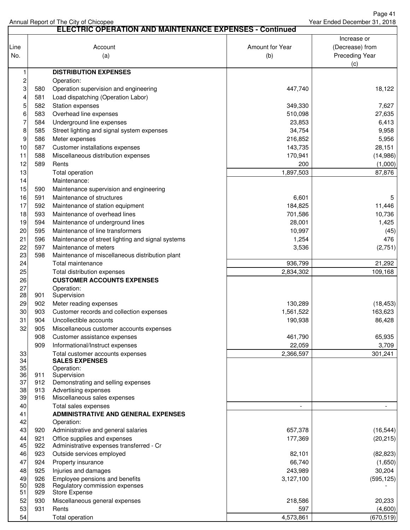|                         | <b>ELECTRIC OPERATION AND MAINTENANCE EXPENSES - Continued</b> |                                                                  |                          |                          |  |  |  |  |
|-------------------------|----------------------------------------------------------------|------------------------------------------------------------------|--------------------------|--------------------------|--|--|--|--|
|                         |                                                                |                                                                  |                          | Increase or              |  |  |  |  |
| Line                    |                                                                | Account                                                          | Amount for Year          | (Decrease) from          |  |  |  |  |
| No.                     |                                                                | (a)                                                              | (b)                      | <b>Preceding Year</b>    |  |  |  |  |
|                         |                                                                |                                                                  |                          | (c)                      |  |  |  |  |
| 1                       |                                                                | <b>DISTRIBUTION EXPENSES</b>                                     |                          |                          |  |  |  |  |
| $\overline{\mathbf{c}}$ |                                                                | Operation:                                                       |                          |                          |  |  |  |  |
| 3                       | 580                                                            | Operation supervision and engineering                            | 447,740                  | 18,122                   |  |  |  |  |
| 4                       | 581                                                            | Load dispatching (Operation Labor)                               |                          |                          |  |  |  |  |
| 5                       | 582                                                            | Station expenses                                                 | 349,330                  | 7,627                    |  |  |  |  |
| 6                       | 583                                                            | Overhead line expenses                                           | 510,098                  | 27,635                   |  |  |  |  |
| $\overline{7}$          | 584                                                            | Underground line expenses                                        | 23,853                   | 6,413                    |  |  |  |  |
| 8                       | 585                                                            | Street lighting and signal system expenses                       | 34,754                   | 9,958                    |  |  |  |  |
| 9                       | 586                                                            | Meter expenses                                                   | 216,852                  | 5,956                    |  |  |  |  |
| 10                      | 587                                                            | Customer installations expenses                                  | 143,735                  | 28,151                   |  |  |  |  |
| 11                      | 588                                                            | Miscellaneous distribution expenses                              | 170,941                  | (14,986)                 |  |  |  |  |
| 12                      | 589                                                            | Rents                                                            | 200                      | (1,000)                  |  |  |  |  |
| 13                      |                                                                | Total operation                                                  | 1,897,503                | 87,876                   |  |  |  |  |
| 14                      |                                                                | Maintenance:                                                     |                          |                          |  |  |  |  |
| 15                      | 590                                                            | Maintenance supervision and engineering                          |                          |                          |  |  |  |  |
| 16                      | 591                                                            | Maintenance of structures                                        | 6,601                    | 5                        |  |  |  |  |
| 17                      | 592                                                            | Maintenance of station equipment                                 | 184,825                  | 11,446                   |  |  |  |  |
| 18                      | 593                                                            | Maintenance of overhead lines                                    | 701,586                  | 10,736                   |  |  |  |  |
| 19                      |                                                                |                                                                  |                          |                          |  |  |  |  |
|                         | 594                                                            | Maintenance of underground lines                                 | 28,001                   | 1,425                    |  |  |  |  |
| 20                      | 595                                                            | Maintenance of line transformers                                 | 10,997                   | (45)                     |  |  |  |  |
| 21                      | 596                                                            | Maintenance of street lighting and signal systems                | 1,254                    | 476                      |  |  |  |  |
| 22<br>23                | 597<br>598                                                     | Maintenance of meters                                            | 3,536                    | (2,751)                  |  |  |  |  |
|                         |                                                                | Maintenance of miscellaneous distribution plant                  |                          |                          |  |  |  |  |
| 24<br>25                |                                                                | Total maintenance                                                | 936,799                  | 21,292                   |  |  |  |  |
| 26                      |                                                                | Total distribution expenses<br><b>CUSTOMER ACCOUNTS EXPENSES</b> | 2,834,302                | 109,168                  |  |  |  |  |
| 27                      |                                                                | Operation:                                                       |                          |                          |  |  |  |  |
| 28                      | 901                                                            | Supervision                                                      |                          |                          |  |  |  |  |
| 29                      | 902                                                            | Meter reading expenses                                           | 130,289                  | (18, 453)                |  |  |  |  |
| 30                      | 903                                                            | Customer records and collection expenses                         | 1,561,522                | 163,623                  |  |  |  |  |
| 31                      | 904                                                            | Uncollectible accounts                                           | 190,938                  | 86,428                   |  |  |  |  |
| 32                      | 905                                                            | Miscellaneous customer accounts expenses                         |                          |                          |  |  |  |  |
|                         | 908                                                            | Customer assistance expenses                                     | 461,790                  | 65,935                   |  |  |  |  |
|                         | 909                                                            | Informational/Instruct expenses                                  | 22,059                   | 3,709                    |  |  |  |  |
| 33                      |                                                                | Total customer accounts expenses                                 | 2,366,597                | 301,241                  |  |  |  |  |
| 34                      |                                                                | <b>SALES EXPENSES</b>                                            |                          |                          |  |  |  |  |
| 35                      |                                                                | Operation:                                                       |                          |                          |  |  |  |  |
| 36                      | 911                                                            | Supervision                                                      |                          |                          |  |  |  |  |
| 37                      | 912                                                            | Demonstrating and selling expenses                               |                          |                          |  |  |  |  |
| 38                      | 913                                                            | Advertising expenses                                             |                          |                          |  |  |  |  |
| 39                      | 916                                                            | Miscellaneous sales expenses                                     |                          |                          |  |  |  |  |
| 40                      |                                                                | Total sales expenses                                             | $\overline{\phantom{a}}$ | $\overline{\phantom{a}}$ |  |  |  |  |
| 41                      |                                                                | <b>ADMINISTRATIVE AND GENERAL EXPENSES</b>                       |                          |                          |  |  |  |  |
| 42                      |                                                                | Operation:                                                       |                          |                          |  |  |  |  |
| 43                      | 920                                                            | Administrative and general salaries                              | 657,378                  | (16, 544)                |  |  |  |  |
| 44                      | 921                                                            | Office supplies and expenses                                     | 177,369                  | (20, 215)                |  |  |  |  |
| 45                      | 922                                                            | Administrative expenses transferred - Cr                         |                          |                          |  |  |  |  |
| 46                      | 923                                                            | Outside services employed                                        | 82,101                   | (82, 823)                |  |  |  |  |
| 47                      | 924                                                            | Property insurance                                               | 66,740                   | (1,650)                  |  |  |  |  |
| 48                      | 925<br>926                                                     | Injuries and damages                                             | 243,989                  | 30,204                   |  |  |  |  |
| 49<br>50                | 928                                                            | Employee pensions and benefits<br>Regulatory commission expenses | 3,127,100                | (595, 125)               |  |  |  |  |
| 51                      | 929                                                            | <b>Store Expense</b>                                             |                          |                          |  |  |  |  |
| 52                      | 930                                                            | Miscellaneous general expenses                                   | 218,586                  | 20,233                   |  |  |  |  |
| 53                      | 931                                                            | Rents                                                            | 597                      | (4,600)                  |  |  |  |  |
| 54                      |                                                                | Total operation                                                  | 4,573,861                | (670, 519)               |  |  |  |  |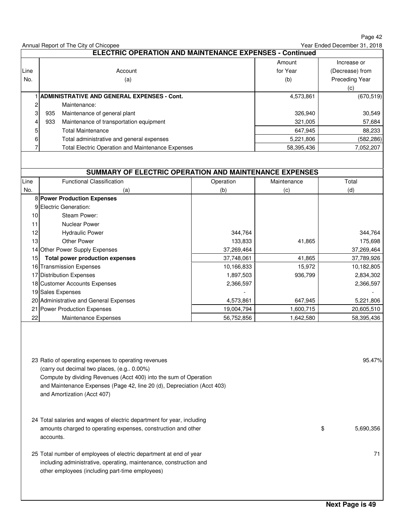Annual Report of The City of Chicopee Amount Increase or Line **Account Account for Year (Decrease**) from No. | Calculation (a) and the contract of the contract of the contract of the contract of the contract of the Preceding Year of the Calculation (b) and Preceding Year of the Calculation of the Calculation of the Calculatio (c) 1 **ADMINISTRATIVE AND GENERAL EXPENSES - Cont.** (670,519) 4,573,861 2 Maintenance: 3 935 Maintenance of general plant 30,549 326,940 326,940 326,940 4 933 Maintenance of transportation equipment 67,684 57,684 5 Total Maintenance **88,233** 647,945 6 Total administrative and general expenses (582,286) 5,221,806 (582,286) 5,221,806 7 Total Electric Operation and Maintenance Expenses 7,052,207 58,395,436 7,052,207 Line | Functional Classification | Operation | Maintenance | Total No. (a) (a) (b) (c) (c) (d) 8 **Power Production Expenses** 9 Electric Generation: 10 Steam Power: 11 Nuclear Power 12 Hydraulic Power 344,764 344,764 344,764 344,764 13 Other Power 20 Other Power 2014 133,833 41,865 175,698 14 Other Power Supply Expenses 37,269,464 37,269,464 15 **Total power production expenses** 41,865 37,748,061 41,865 37,789,926 16 Transmission Expenses 15,972 10,182,805 10,166,833 10,166,833 10,182,805 17 Distribution Expenses 936,799 1,897,503 2,834,302 18 Customer Accounts Expenses 2,366,597 2,366,597 2,366,597 19 Sales Expenses 20 Administrative and General Expenses 647,945 4,573,861 647,945 647,945 5,221,806 21 Power Production Expenses 20,605,510 19,004,794 1,600,715 20,605,510 22 Maintenance Expenses 1,642,580 Maintenance Expenses 1,642,580 56,752,856 58,395,436  **ELECTRIC OPERATION AND MAINTENANCE EXPENSES - Continued SUMMARY OF ELECTRIC OPERATION AND MAINTENANCE EXPENSES** Year Ended December 31, 2018

23 Ratio of operating expenses to operating revenues 95.47% (carry out decimal two places, (e.g.. 0.00%) Compute by dividing Revenues (Acct 400) into the sum of Operation and Maintenance Expenses (Page 42, line 20 (d), Depreciation (Acct 403) and Amortization (Acct 407) 24 Total salaries and wages of electric department for year, including amounts charged to operating expenses, construction and other  $$5,690,356$ accounts. 25 Total number of employees of electric department at end of year 71 including administrative, operating, maintenance, construction and other employees (including part-time employees)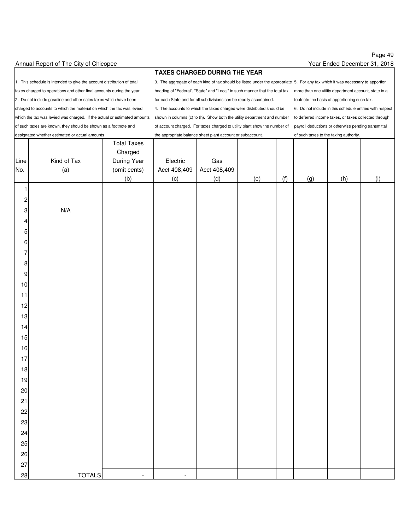### Page 49 Year Ended December 31, 2018

1. This schedule is intended to give the account distribution of total 3. The aggregate of each kind of tax should be listed under the appropriate 5. For any tax which it was necessary to apportion 2. Do not include gasoline and other sales taxes which have been for each State and for all subdivisions can be readily ascertained. footnote the basis of apportioning such tax. charged to accounts to which the material on which the tax was levied 4. The accounts to which the taxes charged were distributed should be 6. Do not include in this schedule entries with respect which the tax was levied was charged. If the actual or estimated amounts shown in columns (c) to (h). Show both the utility department and number to deferred income taxes, or taxes collected through of such taxes are known, they should be shown as a footnote and of account charged. For taxes charged to utility plant show the number of payroll deductions or otherwise pending transmittal

#### **TAXES CHARGED DURING THE YEAR**

taxes charged to operations and other final accounts during the year. heading of "Federal", "State" and "Local" in such manner that the total tax more than one utility department account, state in a

designated whether estimated or actual amounts the appropriate balance sheet plant account or subaccount. of such taxes to the taxing authority.

| Line<br>No.      | Kind of Tax<br>(a) | <b>Total Taxes</b><br>Charged<br>During Year<br>(omit cents) | Electric<br>Acct 408,409 | Gas<br>Acct 408,409 |     |     |     |     |     |
|------------------|--------------------|--------------------------------------------------------------|--------------------------|---------------------|-----|-----|-----|-----|-----|
|                  |                    | (b)                                                          | (c)                      | (d)                 | (e) | (f) | (g) | (h) | (i) |
| 1                |                    |                                                              |                          |                     |     |     |     |     |     |
| $\overline{c}$   |                    |                                                              |                          |                     |     |     |     |     |     |
| $\overline{3}$   | N/A                |                                                              |                          |                     |     |     |     |     |     |
| $\overline{4}$   |                    |                                                              |                          |                     |     |     |     |     |     |
| $\overline{5}$   |                    |                                                              |                          |                     |     |     |     |     |     |
| $\,$ 6 $\,$      |                    |                                                              |                          |                     |     |     |     |     |     |
| $\overline{7}$   |                    |                                                              |                          |                     |     |     |     |     |     |
| $\boldsymbol{8}$ |                    |                                                              |                          |                     |     |     |     |     |     |
| $\overline{9}$   |                    |                                                              |                          |                     |     |     |     |     |     |
| 10               |                    |                                                              |                          |                     |     |     |     |     |     |
| 11               |                    |                                                              |                          |                     |     |     |     |     |     |
| 12               |                    |                                                              |                          |                     |     |     |     |     |     |
| 13               |                    |                                                              |                          |                     |     |     |     |     |     |
| 14               |                    |                                                              |                          |                     |     |     |     |     |     |
| 15               |                    |                                                              |                          |                     |     |     |     |     |     |
| 16               |                    |                                                              |                          |                     |     |     |     |     |     |
| 17<br>18         |                    |                                                              |                          |                     |     |     |     |     |     |
| 19               |                    |                                                              |                          |                     |     |     |     |     |     |
| $20\,$           |                    |                                                              |                          |                     |     |     |     |     |     |
| 21               |                    |                                                              |                          |                     |     |     |     |     |     |
| 22               |                    |                                                              |                          |                     |     |     |     |     |     |
| 23               |                    |                                                              |                          |                     |     |     |     |     |     |
| 24               |                    |                                                              |                          |                     |     |     |     |     |     |
| 25               |                    |                                                              |                          |                     |     |     |     |     |     |
| 26               |                    |                                                              |                          |                     |     |     |     |     |     |
| 27               |                    |                                                              |                          |                     |     |     |     |     |     |
| 28               | <b>TOTALS</b>      | $\overline{\phantom{a}}$                                     | $\blacksquare$           |                     |     |     |     |     |     |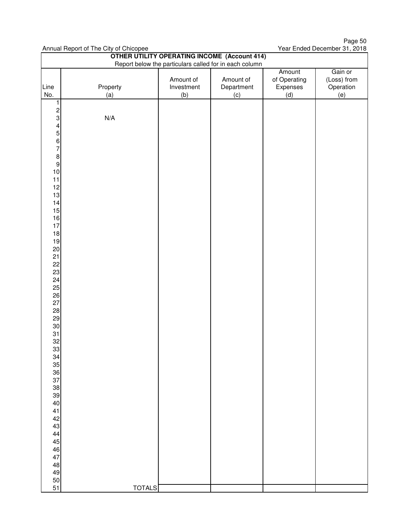Page 50 Year Ended December 31, 2018

| <b>OTHER UTILITY OPERATING INCOME (Account 414)</b><br>Report below the particulars called for in each column |               |            |            |              |             |  |  |  |  |
|---------------------------------------------------------------------------------------------------------------|---------------|------------|------------|--------------|-------------|--|--|--|--|
|                                                                                                               |               |            |            | Amount       | Gain or     |  |  |  |  |
|                                                                                                               |               | Amount of  | Amount of  | of Operating | (Loss) from |  |  |  |  |
| Line                                                                                                          | Property      | Investment | Department | Expenses     | Operation   |  |  |  |  |
| No.                                                                                                           | (a)           | (b)        | (c)        | (d)          | (e)         |  |  |  |  |
| $\overline{1}$                                                                                                |               |            |            |              |             |  |  |  |  |
| 2<br>3<br>4<br>5<br>6<br>7<br>8<br>9<br>0<br>1<br>0<br><br>5                                                  |               |            |            |              |             |  |  |  |  |
|                                                                                                               | N/A           |            |            |              |             |  |  |  |  |
|                                                                                                               |               |            |            |              |             |  |  |  |  |
|                                                                                                               |               |            |            |              |             |  |  |  |  |
|                                                                                                               |               |            |            |              |             |  |  |  |  |
|                                                                                                               |               |            |            |              |             |  |  |  |  |
|                                                                                                               |               |            |            |              |             |  |  |  |  |
|                                                                                                               |               |            |            |              |             |  |  |  |  |
| 11                                                                                                            |               |            |            |              |             |  |  |  |  |
| 12                                                                                                            |               |            |            |              |             |  |  |  |  |
| 13                                                                                                            |               |            |            |              |             |  |  |  |  |
| 14                                                                                                            |               |            |            |              |             |  |  |  |  |
| 15                                                                                                            |               |            |            |              |             |  |  |  |  |
| 16                                                                                                            |               |            |            |              |             |  |  |  |  |
| 17                                                                                                            |               |            |            |              |             |  |  |  |  |
| 18                                                                                                            |               |            |            |              |             |  |  |  |  |
| 19                                                                                                            |               |            |            |              |             |  |  |  |  |
| $20\,$<br>21                                                                                                  |               |            |            |              |             |  |  |  |  |
| 22                                                                                                            |               |            |            |              |             |  |  |  |  |
| 23                                                                                                            |               |            |            |              |             |  |  |  |  |
| 24                                                                                                            |               |            |            |              |             |  |  |  |  |
| 25                                                                                                            |               |            |            |              |             |  |  |  |  |
| 26                                                                                                            |               |            |            |              |             |  |  |  |  |
| 27                                                                                                            |               |            |            |              |             |  |  |  |  |
| 28                                                                                                            |               |            |            |              |             |  |  |  |  |
| 29                                                                                                            |               |            |            |              |             |  |  |  |  |
| $30\,$                                                                                                        |               |            |            |              |             |  |  |  |  |
| 31                                                                                                            |               |            |            |              |             |  |  |  |  |
| 32<br>33                                                                                                      |               |            |            |              |             |  |  |  |  |
| 34                                                                                                            |               |            |            |              |             |  |  |  |  |
| 35                                                                                                            |               |            |            |              |             |  |  |  |  |
| 36                                                                                                            |               |            |            |              |             |  |  |  |  |
| 37                                                                                                            |               |            |            |              |             |  |  |  |  |
| 38                                                                                                            |               |            |            |              |             |  |  |  |  |
| 39                                                                                                            |               |            |            |              |             |  |  |  |  |
| 40                                                                                                            |               |            |            |              |             |  |  |  |  |
| 41                                                                                                            |               |            |            |              |             |  |  |  |  |
| 42<br>43                                                                                                      |               |            |            |              |             |  |  |  |  |
| 44                                                                                                            |               |            |            |              |             |  |  |  |  |
| 45                                                                                                            |               |            |            |              |             |  |  |  |  |
| $\sqrt{46}$                                                                                                   |               |            |            |              |             |  |  |  |  |
| 47                                                                                                            |               |            |            |              |             |  |  |  |  |
| 48                                                                                                            |               |            |            |              |             |  |  |  |  |
| 49                                                                                                            |               |            |            |              |             |  |  |  |  |
| 50                                                                                                            |               |            |            |              |             |  |  |  |  |
| 51                                                                                                            | <b>TOTALS</b> |            |            |              |             |  |  |  |  |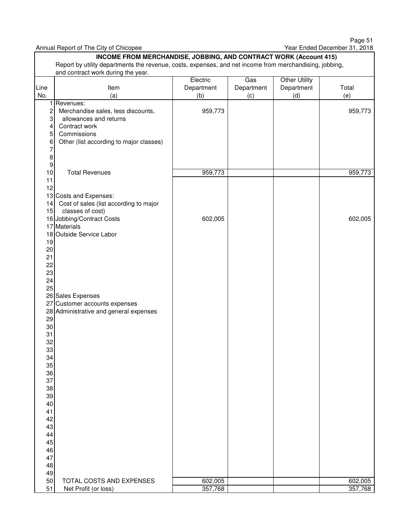Page 51 Year Ended December 31, 2018

|                                                                                                                                  | rumaan nopont on mis ony or omoopoo<br>INCOME FROM MERCHANDISE, JOBBING, AND CONTRACT WORK (Account 415)                                                      |                               |                          |                                           |                    |  |  |  |  |  |  |
|----------------------------------------------------------------------------------------------------------------------------------|---------------------------------------------------------------------------------------------------------------------------------------------------------------|-------------------------------|--------------------------|-------------------------------------------|--------------------|--|--|--|--|--|--|
|                                                                                                                                  | Report by utility departments the revenue, costs, expenses, and net income from merchandising, jobbing,<br>and contract work during the year.                 |                               |                          |                                           |                    |  |  |  |  |  |  |
| Line<br>No.                                                                                                                      | Item<br>(a)                                                                                                                                                   | Electric<br>Department<br>(b) | Gas<br>Department<br>(c) | <b>Other Utility</b><br>Department<br>(d) | Total<br>(e)       |  |  |  |  |  |  |
| 1<br>$\overline{c}$<br>3<br>4<br>5<br>6<br>8<br>9                                                                                | Revenues:<br>Merchandise sales, less discounts,<br>allowances and returns<br>Contract work<br>Commissions<br>Other (list according to major classes)          | 959,773                       |                          |                                           | 959,773            |  |  |  |  |  |  |
| 10<br>11<br>12                                                                                                                   | <b>Total Revenues</b>                                                                                                                                         | 959,773                       |                          |                                           | 959,773            |  |  |  |  |  |  |
| 14<br>15<br>19<br>20<br>21<br>22<br>23<br>24<br>25                                                                               | 13 Costs and Expenses:<br>Cost of sales (list according to major<br>classes of cost)<br>16 Jobbing/Contract Costs<br>17 Materials<br>18 Outside Service Labor | 602,005                       |                          |                                           | 602,005            |  |  |  |  |  |  |
| 27<br>29<br>30<br>31<br>32<br>33<br>34<br>35<br>36<br>37<br>38<br>39<br>40<br>41<br>42<br>43<br>44<br>45<br>46<br>47<br>48<br>49 | 26 Sales Expenses<br>Customer accounts expenses<br>28 Administrative and general expenses                                                                     |                               |                          |                                           |                    |  |  |  |  |  |  |
| 50<br>51                                                                                                                         | TOTAL COSTS AND EXPENSES<br>Net Profit (or loss)                                                                                                              | 602,005<br>357,768            |                          |                                           | 602,005<br>357,768 |  |  |  |  |  |  |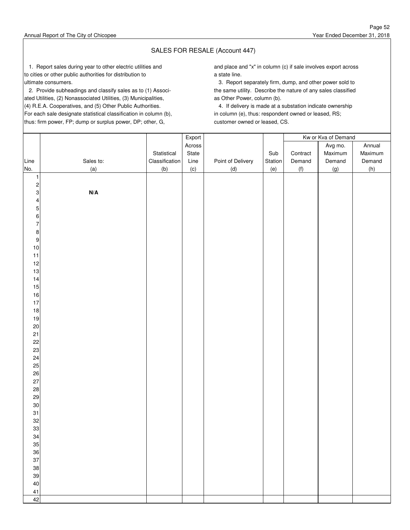### SALES FOR RESALE (Account 447)

to cities or other public authorities for distribution to a state line.

 2. Provide subheadings and classify sales as to (1) Associ- the same utility. Describe the nature of any sales classified ated Utilities, (2) Nonassociated Utilities, (3) Municipalities, as Other Power, column (b). (4) R.E.A. Cooperatives, and (5) Other Public Authorities. 4. If delivery is made at a substation indicate ownership For each sale designate statistical classification in column (b), in column (e), thus: respondent owned or leased, RS; thus: firm power, FP; dump or surplus power, DP; other, G, customer owned or leased, CS.

1. Report sales during year to other electric utilities and **and place and place and "x"** in column (c) if sale involves export across

ultimate consumers. 3. Report separately firm, dump, and other power sold to

|                           |                         |                | Export |                   |         |          | Kw or Kva of Demand |         |
|---------------------------|-------------------------|----------------|--------|-------------------|---------|----------|---------------------|---------|
|                           |                         |                | Across |                   |         |          | Avg mo.             | Annual  |
|                           |                         | Statistical    | State  |                   | Sub     | Contract | Maximum             | Maximum |
| Line                      | Sales to:               | Classification | Line   | Point of Delivery | Station | Demand   | Demand              | Demand  |
| No.                       | (a)                     | (b)            | (c)    | (d)               | (e)     | (f)      | (g)                 | (h)     |
| $\mathbf{1}$              |                         |                |        |                   |         |          |                     |         |
| $\overline{\mathbf{c}}$   |                         |                |        |                   |         |          |                     |         |
| $\ensuremath{\mathsf{3}}$ | $\textbf{N}/\textbf{A}$ |                |        |                   |         |          |                     |         |
| $\pmb{4}$                 |                         |                |        |                   |         |          |                     |         |
| $\mathbf 5$               |                         |                |        |                   |         |          |                     |         |
| $\,6\,$                   |                         |                |        |                   |         |          |                     |         |
| $\overline{7}$            |                         |                |        |                   |         |          |                     |         |
| $\bf 8$                   |                         |                |        |                   |         |          |                     |         |
| $\boldsymbol{9}$          |                         |                |        |                   |         |          |                     |         |
| $10$                      |                         |                |        |                   |         |          |                     |         |
| $11$                      |                         |                |        |                   |         |          |                     |         |
| 12<br>13                  |                         |                |        |                   |         |          |                     |         |
| 14                        |                         |                |        |                   |         |          |                     |         |
| 15                        |                         |                |        |                   |         |          |                     |         |
| $16$                      |                         |                |        |                   |         |          |                     |         |
| $17$                      |                         |                |        |                   |         |          |                     |         |
| $18$                      |                         |                |        |                   |         |          |                     |         |
| $19$                      |                         |                |        |                   |         |          |                     |         |
| $20\,$                    |                         |                |        |                   |         |          |                     |         |
| 21                        |                         |                |        |                   |         |          |                     |         |
| 22                        |                         |                |        |                   |         |          |                     |         |
| 23                        |                         |                |        |                   |         |          |                     |         |
| 24                        |                         |                |        |                   |         |          |                     |         |
| 25                        |                         |                |        |                   |         |          |                     |         |
| 26                        |                         |                |        |                   |         |          |                     |         |
| 27                        |                         |                |        |                   |         |          |                     |         |
| 28                        |                         |                |        |                   |         |          |                     |         |
| 29                        |                         |                |        |                   |         |          |                     |         |
| $30\,$                    |                         |                |        |                   |         |          |                     |         |
| 31                        |                         |                |        |                   |         |          |                     |         |
| 32                        |                         |                |        |                   |         |          |                     |         |
| 33                        |                         |                |        |                   |         |          |                     |         |
| 34                        |                         |                |        |                   |         |          |                     |         |
| 35                        |                         |                |        |                   |         |          |                     |         |
| 36<br>37                  |                         |                |        |                   |         |          |                     |         |
| 38                        |                         |                |        |                   |         |          |                     |         |
| 39                        |                         |                |        |                   |         |          |                     |         |
| 40                        |                         |                |        |                   |         |          |                     |         |
| 41                        |                         |                |        |                   |         |          |                     |         |
| 42                        |                         |                |        |                   |         |          |                     |         |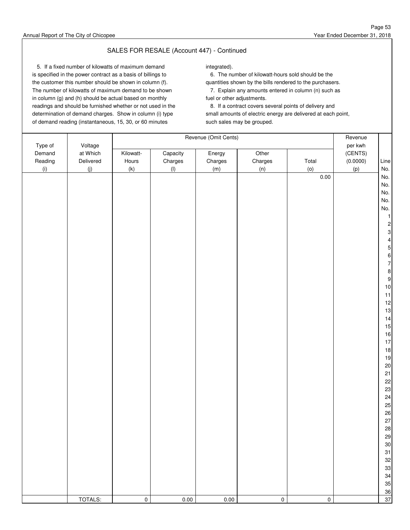### SALES FOR RESALE (Account 447) - Continued

5. If a fixed number of kilowatts of maximum demand integrated). is specified in the power contract as a basis of billings to 6. The number of kilowatt-hours sold should be the the customer this number should be shown in column (f). quantities shown by the bills rendered to the purchasers. The number of kilowatts of maximum demand to be shown 7. Explain any amounts entered in column (n) such as in column (g) and (h) should be actual based on monthly fuel or other adjustments. readings and should be furnished whether or not used in the 8. If a contract covers several points of delivery and of demand reading (instantaneous, 15, 30, or 60 minutes such sales may be grouped.

determination of demand charges. Show in column (i) type small amounts of electric energy are delivered at each point,

|                              |                                  |                    |                     | Revenue (Omit Cents) |                  |                 | Revenue                        |                                                                                                                                                                    |
|------------------------------|----------------------------------|--------------------|---------------------|----------------------|------------------|-----------------|--------------------------------|--------------------------------------------------------------------------------------------------------------------------------------------------------------------|
| Type of<br>Demand<br>Reading | Voltage<br>at Which<br>Delivered | Kilowatt-<br>Hours | Capacity<br>Charges | Energy<br>Charges    | Other<br>Charges | Total           | per kwh<br>(CENTS)<br>(0.0000) | Line                                                                                                                                                               |
| (i)                          | (j)                              | (k)                | (1)                 | (m)                  | (n)              | (0)<br>$0.00\,$ | (p)                            | No.<br>No.<br>No.<br>No.<br>No.<br>No.<br>$\mathbf{1}$<br>$\overline{c}$<br>3<br>4<br>5<br>6<br>$\overline{7}$<br>8<br>9<br>10<br>11<br>12<br>13<br>14<br>15<br>16 |
|                              | TOTALS:                          | $\pmb{0}$          | $0.00\,$            | $0.00\,$             | $\pmb{0}$        | $\pmb{0}$       |                                | 17<br>18<br>19<br>20<br>21<br>22<br>23<br>24<br>25<br>26<br>27<br>28<br>29<br>30<br>31<br>32<br>33<br>34<br>35<br>36<br>37                                         |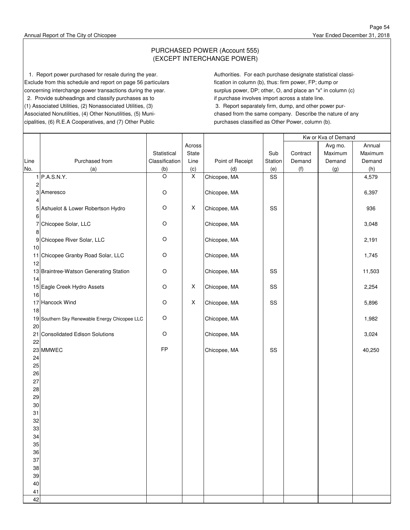### PURCHASED POWER (Account 555) (EXCEPT INTERCHANGE POWER)

1. Report power purchased for resale during the year. Authorities. For each purchase designate statistical classi-Exclude from this schedule and report on page 56 particulars fication in column (b), thus: firm power, FP; dump or concerning interchange power transactions during the year. surplus power, DP; other, O, and place an "x" in column (c) 2. Provide subheadings and classify purchases as to if purchase involves import across a state line. (1) Associated Utilities, (2) Nonassociated Utilities, (3) 3. Report separately firm, dump, and other power pur-Associated Nonutilities, (4) Other Nonutilities, (5) Muni- chased from the same company. Describe the nature of any cipalities, (6) R.E.A Cooperatives, and (7) Other Public purchases classified as Other Power, column (b).

|      |                                               |                |                           |                  |         | Kw or Kva of Demand |         |         |
|------|-----------------------------------------------|----------------|---------------------------|------------------|---------|---------------------|---------|---------|
|      |                                               |                | Across                    |                  |         |                     | Avg mo. | Annual  |
|      |                                               | Statistical    | State                     |                  | Sub     | Contract            | Maximum | Maximum |
| Line | Purchased from                                | Classification | Line                      | Point of Receipt | Station | Demand              | Demand  | Demand  |
| No.  | (a)                                           | (b)            | (c)                       | (d)              | (e)     | (f)                 | (g)     | (h)     |
|      | 1 P.A.S.N.Y.                                  | $\circ$        | $\mathsf X$               | Chicopee, MA     | SS      |                     |         | 4,579   |
| 2    |                                               |                |                           |                  |         |                     |         |         |
|      | 3 Ameresco                                    | $\mathsf O$    |                           | Chicopee, MA     |         |                     |         | 6,397   |
| 4    |                                               |                |                           |                  |         |                     |         |         |
|      | 5 Ashuelot & Lower Robertson Hydro            | $\circ$        | X                         | Chicopee, MA     | SS      |                     |         | 936     |
| 6    |                                               |                |                           |                  |         |                     |         |         |
|      | 7 Chicopee Solar, LLC                         | $\circ$        |                           | Chicopee, MA     |         |                     |         | 3,048   |
| 8    |                                               |                |                           |                  |         |                     |         |         |
| 9    | Chicopee River Solar, LLC                     | $\circ$        |                           | Chicopee, MA     |         |                     |         | 2,191   |
| 10   |                                               |                |                           |                  |         |                     |         |         |
|      | Chicopee Granby Road Solar, LLC               | O              |                           | Chicopee, MA     |         |                     |         |         |
| 11   |                                               |                |                           |                  |         |                     |         | 1,745   |
| 12   |                                               |                |                           |                  |         |                     |         |         |
|      | 13 Braintree-Watson Generating Station        | $\circ$        |                           | Chicopee, MA     | SS      |                     |         | 11,503  |
| 14   |                                               |                |                           |                  |         |                     |         |         |
|      | 15 Eagle Creek Hydro Assets                   | $\circ$        | $\boldsymbol{\mathsf{X}}$ | Chicopee, MA     | SS      |                     |         | 2,254   |
| 16   |                                               |                |                           |                  |         |                     |         |         |
|      | 17 Hancock Wind                               | $\circ$        | X                         | Chicopee, MA     | SS      |                     |         | 5,896   |
| 18   |                                               |                |                           |                  |         |                     |         |         |
|      | 19 Southern Sky Renewable Energy Chicopee LLC | $\circ$        |                           | Chicopee, MA     |         |                     |         | 1,982   |
| 20   |                                               |                |                           |                  |         |                     |         |         |
|      | 21 Consolidated Edison Solutions              | $\circ$        |                           | Chicopee, MA     |         |                     |         | 3,024   |
| 22   |                                               |                |                           |                  |         |                     |         |         |
|      | 23 MMWEC                                      | FP             |                           | Chicopee, MA     | SS      |                     |         | 40,250  |
| 24   |                                               |                |                           |                  |         |                     |         |         |
| 25   |                                               |                |                           |                  |         |                     |         |         |
| 26   |                                               |                |                           |                  |         |                     |         |         |
| 27   |                                               |                |                           |                  |         |                     |         |         |
| 28   |                                               |                |                           |                  |         |                     |         |         |
| 29   |                                               |                |                           |                  |         |                     |         |         |
| 30   |                                               |                |                           |                  |         |                     |         |         |
| 31   |                                               |                |                           |                  |         |                     |         |         |
| 32   |                                               |                |                           |                  |         |                     |         |         |
| 33   |                                               |                |                           |                  |         |                     |         |         |
| 34   |                                               |                |                           |                  |         |                     |         |         |
| 35   |                                               |                |                           |                  |         |                     |         |         |
| 36   |                                               |                |                           |                  |         |                     |         |         |
| 37   |                                               |                |                           |                  |         |                     |         |         |
| 38   |                                               |                |                           |                  |         |                     |         |         |
| 39   |                                               |                |                           |                  |         |                     |         |         |
| 40   |                                               |                |                           |                  |         |                     |         |         |
| 41   |                                               |                |                           |                  |         |                     |         |         |
| 42   |                                               |                |                           |                  |         |                     |         |         |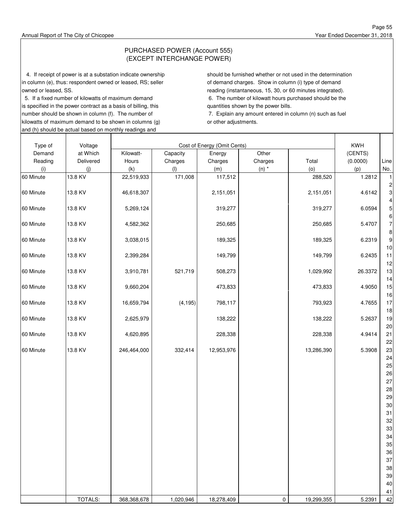### PURCHASED POWER (Account 555) (EXCEPT INTERCHANGE POWER)

 4. If receipt of power is at a substation indicate ownership should be furnished whether or not used in the determination in column (e), thus: respondent owned or leased, RS; seller of demand charges. Show in column (i) type of demand owned or leased, SS. The state of the state of the state of the state of the state of the state of the state of the state of the state of the state of the state of the state of the state of the state of the state of the st

is specified in the power contract as a basis of billing, this quantities shown by the power bills. number should be shown in column (f). The number of 7. Explain any amount entered in column (n) such as fuel kilowatts of maximum demand to be shown in columns (g) or other adjustments. and (h) should be actual based on monthly readings and

5. If a fixed number of kilowatts of maximum demand 6. The number of kilowatt hours purchased should be the

| Type of   | Voltage   |             |           | Cost of Energy (Omit Cents) |           |            | KWH      |                         |
|-----------|-----------|-------------|-----------|-----------------------------|-----------|------------|----------|-------------------------|
| Demand    | at Which  | Kilowatt-   | Capacity  | Energy                      | Other     |            | (CENTS)  |                         |
| Reading   | Delivered | Hours       | Charges   | Charges                     | Charges   | Total      | (0.0000) | Line                    |
|           |           | (k)         |           | (m)                         |           | (0)        |          |                         |
| (i)       | (j)       |             | (1)       |                             | $(n)$ $*$ |            | (p)      | No.                     |
| 60 Minute | 13.8 KV   | 22,519,933  | 171,008   | 117,512                     |           | 288,520    | 1.2812   | $\mathbf{1}$            |
|           |           |             |           |                             |           |            |          | $\overline{\mathbf{c}}$ |
| 60 Minute | 13.8 KV   | 46,618,307  |           | 2,151,051                   |           | 2,151,051  | 4.6142   | 3                       |
|           |           |             |           |                             |           |            |          | 4                       |
| 60 Minute | 13.8 KV   | 5,269,124   |           | 319,277                     |           | 319,277    | 6.0594   | 5                       |
|           |           |             |           |                             |           |            |          | 6                       |
| 60 Minute | 13.8 KV   | 4,582,362   |           | 250,685                     |           | 250,685    | 5.4707   | $\overline{7}$          |
|           |           |             |           |                             |           |            |          | 8                       |
| 60 Minute | 13.8 KV   | 3,038,015   |           | 189,325                     |           | 189,325    | 6.2319   | 9                       |
|           |           |             |           |                             |           |            |          | 10                      |
| 60 Minute | 13.8 KV   | 2,399,284   |           | 149,799                     |           | 149,799    | 6.2435   | 11                      |
|           |           |             |           |                             |           |            |          | 12                      |
| 60 Minute | 13.8 KV   | 3,910,781   | 521,719   | 508,273                     |           | 1,029,992  | 26.3372  | 13                      |
|           |           |             |           |                             |           |            |          | 14                      |
| 60 Minute | 13.8 KV   | 9,660,204   |           | 473,833                     |           | 473,833    | 4.9050   | 15                      |
|           |           |             |           |                             |           |            |          | 16                      |
| 60 Minute | 13.8 KV   | 16,659,794  | (4, 195)  | 798,117                     |           | 793,923    | 4.7655   | 17                      |
|           |           |             |           |                             |           |            |          | 18                      |
| 60 Minute | 13.8 KV   | 2,625,979   |           | 138,222                     |           | 138,222    | 5.2637   | 19                      |
|           |           |             |           |                             |           |            |          | 20                      |
| 60 Minute | 13.8 KV   | 4,620,895   |           | 228,338                     |           | 228,338    | 4.9414   | 21                      |
|           |           |             |           |                             |           |            |          | 22                      |
| 60 Minute | 13.8 KV   | 246,464,000 | 332,414   | 12,953,976                  |           | 13,286,390 | 5.3908   | 23                      |
|           |           |             |           |                             |           |            |          | 24                      |
|           |           |             |           |                             |           |            |          | 25                      |
|           |           |             |           |                             |           |            |          | 26                      |
|           |           |             |           |                             |           |            |          |                         |
|           |           |             |           |                             |           |            |          | 27                      |
|           |           |             |           |                             |           |            |          | 28                      |
|           |           |             |           |                             |           |            |          | 29                      |
|           |           |             |           |                             |           |            |          | 30                      |
|           |           |             |           |                             |           |            |          | 31                      |
|           |           |             |           |                             |           |            |          | 32                      |
|           |           |             |           |                             |           |            |          | 33                      |
|           |           |             |           |                             |           |            |          | 34                      |
|           |           |             |           |                             |           |            |          | 35                      |
|           |           |             |           |                             |           |            |          | 36                      |
|           |           |             |           |                             |           |            |          | 37                      |
|           |           |             |           |                             |           |            |          | 38                      |
|           |           |             |           |                             |           |            |          | 39                      |
|           |           |             |           |                             |           |            |          | 40                      |
|           |           |             |           |                             |           |            |          | 41                      |
|           | TOTALS:   | 368,368,678 | 1,020,946 | 18,278,409                  | 0         | 19,299,355 | 5.2391   | 42                      |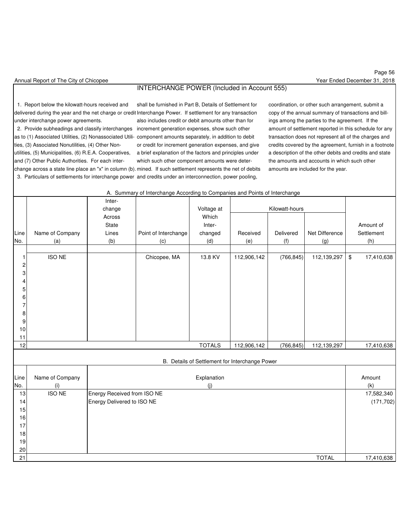### INTERCHANGE POWER (Included in Account 555)

1. Report below the kilowatt-hours received and shall be furnished in Part B, Details of Settlement for coordination, or other such arrangement, submit a

delivered during the year and the net charge or credit Interchange Power. If settlement for any transaction copy of the annual summary of transactions and billunder interchange power agreements. **Also includes credit or debit amounts other than for** ings among the parties to the agreement. If the as to (1) Associated Utilities, (2) Nonassociated Utili- component amounts separately, in addition to debit transaction does not represent all of the charges and utilities, (5) Municipalities, (6) R.E.A. Cooperatives, a brief explanation of the factors and principles under a description of the other debits and credits and state and (7) Other Public Authorities. For each inter- which such other component amounts were deter- the amounts and accounts in which such other change across a state line place an "x" in column (b). mined. If such settlement represents the net of debits amounts are included for the year. 3. Particulars of settlements for interchange power and credits under an interconnection, power pooling,

A. Summary of Interchange According to Companies and Points of Interchange

 2. Provide subheadings and classify interchanges increment generation expenses, show such other amount of settlement reported in this schedule for any ties, (3) Associated Nonutilities, (4) Other Non- or credit for increment generation expenses, and give credits covered by the agreement, furnish in a footnote

|                         |                      | Inter-                      |                      |               |                                                |                |                |      |            |
|-------------------------|----------------------|-----------------------------|----------------------|---------------|------------------------------------------------|----------------|----------------|------|------------|
|                         |                      | change                      |                      | Voltage at    |                                                | Kilowatt-hours |                |      |            |
|                         |                      | Across                      |                      | Which         |                                                |                |                |      |            |
|                         |                      | State                       |                      | Inter-        |                                                |                |                |      | Amount of  |
| Line                    | Name of Company      | Lines                       | Point of Interchange | changed       | Received                                       | Delivered      | Net Difference |      | Settlement |
| No.                     | (a)                  | (b)                         | (c)                  | (d)           | (e)                                            | (f)            | (g)            |      | (h)        |
|                         |                      |                             |                      |               |                                                |                |                |      |            |
| 1                       | <b>ISO NE</b>        |                             | Chicopee, MA         | 13.8 KV       | 112,906,142                                    | (766, 845)     | 112,139,297    | $\,$ | 17,410,638 |
| $\overline{\mathbf{c}}$ |                      |                             |                      |               |                                                |                |                |      |            |
| $\mathbf 3$             |                      |                             |                      |               |                                                |                |                |      |            |
| $\overline{\mathbf{4}}$ |                      |                             |                      |               |                                                |                |                |      |            |
| 5                       |                      |                             |                      |               |                                                |                |                |      |            |
| 6                       |                      |                             |                      |               |                                                |                |                |      |            |
| $\overline{7}$          |                      |                             |                      |               |                                                |                |                |      |            |
| $\bf8$                  |                      |                             |                      |               |                                                |                |                |      |            |
| $\boldsymbol{9}$        |                      |                             |                      |               |                                                |                |                |      |            |
| 10                      |                      |                             |                      |               |                                                |                |                |      |            |
| 11                      |                      |                             |                      |               |                                                |                |                |      |            |
| 12                      |                      |                             |                      | <b>TOTALS</b> | 112,906,142                                    | (766, 845)     | 112,139,297    |      | 17,410,638 |
|                         |                      |                             |                      |               |                                                |                |                |      |            |
|                         |                      |                             |                      |               | B. Details of Settlement for Interchange Power |                |                |      |            |
|                         |                      |                             |                      |               |                                                |                |                |      |            |
| Line                    | Name of Company      |                             |                      | Explanation   |                                                |                |                |      | Amount     |
| No.                     | (i)<br><b>ISO NE</b> |                             |                      | (j)           |                                                |                |                |      | (k)        |
| 13                      |                      | Energy Received from ISO NE |                      |               |                                                |                |                |      | 17,582,340 |
| 14                      |                      | Energy Delivered to ISO NE  |                      |               |                                                |                |                |      | (171, 702) |
| 15                      |                      |                             |                      |               |                                                |                |                |      |            |
| 16                      |                      |                             |                      |               |                                                |                |                |      |            |
| 17                      |                      |                             |                      |               |                                                |                |                |      |            |
| 18                      |                      |                             |                      |               |                                                |                |                |      |            |
| 19                      |                      |                             |                      |               |                                                |                |                |      |            |
| 20                      |                      |                             |                      |               |                                                |                |                |      |            |
| 21                      |                      |                             |                      |               |                                                |                | <b>TOTAL</b>   |      | 17,410,638 |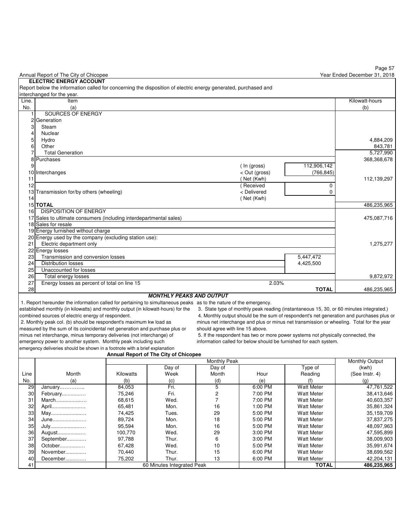|       | Annual Report of The City of Chicopee                                                                          |               |              | Year Ended December 31, 2018 |
|-------|----------------------------------------------------------------------------------------------------------------|---------------|--------------|------------------------------|
|       | <b>ELECTRIC ENERGY ACCOUNT</b>                                                                                 |               |              |                              |
|       | Report below the information called for concerning the disposition of electric energy generated, purchased and |               |              |                              |
|       | interchanged for the year.                                                                                     |               |              |                              |
| Line. | Item                                                                                                           |               |              | Kilowatt-hours               |
| No.   | (a)                                                                                                            |               |              | (b)                          |
|       | SOURCES OF ENERGY                                                                                              |               |              |                              |
|       | 2 Generation                                                                                                   |               |              |                              |
|       | Steam                                                                                                          |               |              |                              |
|       | Nuclear                                                                                                        |               |              |                              |
|       | Hydro                                                                                                          |               |              | 4,884,209                    |
|       | Other                                                                                                          |               |              | 843,781                      |
|       | <b>Total Generation</b>                                                                                        |               |              | 5,727,990                    |
|       | Purchases                                                                                                      |               |              | 368,368,678                  |
|       |                                                                                                                | (In (gross)   | 112,906,142  |                              |
|       | 10 Interchanges                                                                                                | < Out (gross) | (766, 845)   |                              |
| 11    |                                                                                                                | (Net (Kwh)    |              | 112,139,297                  |
| 12    |                                                                                                                | Received      | 0            |                              |
|       | 13 Transmission for/by others (wheeling)                                                                       | < Delivered   | U            |                              |
| 14    |                                                                                                                | (Net (Kwh)    |              |                              |
|       | <b>15 TOTAL</b>                                                                                                |               |              | 486,235,965                  |
| 16    | DISPOSITION OF ENERGY                                                                                          |               |              |                              |
|       | 17 Sales to ultimate consumers (including interdepartmental sales)                                             |               |              | 475,087,716                  |
|       | 18 Sales for resale                                                                                            |               |              |                              |
|       | 19 Energy furnished without charge                                                                             |               |              |                              |
|       | 20 Energy used by the company (excluding station use):                                                         |               |              |                              |
| 21    | Electric department only                                                                                       |               |              | 1,275,277                    |
|       | 22 Energy losses                                                                                               |               |              |                              |
| 23    | Transmission and conversion losses                                                                             |               | 5,447,472    |                              |
| 24    | <b>Distribution losses</b>                                                                                     |               | 4,425,500    |                              |
| 25    | Unaccounted for losses                                                                                         |               |              |                              |
| 26    | Total energy losses                                                                                            |               |              | 9,872,972                    |
| 27    | Energy losses as percent of total on line 15                                                                   | 2.03%         |              |                              |
| 28    |                                                                                                                |               | <b>TOTAL</b> | 486.235.965                  |

### **MONTHLY PEAKS AND OUTPUT**

1. Report hereunder the information called for pertaining to simultaneous peaks as to the nature of the emergency.<br>established monthly (in kilowatts) and monthly output (in kilowatt-hours) for the 3. State type of monthly

3. State type of monthly peak reading (instantaneous 15, 30, or 60 minutes integrated.) combined sources of electric energy of respondent.<br>A. Monthly peak col. (b) should be respondent's maximum kw load as a minus net interchange and plus or minus net transmission or wheeling. Total for the year intervent of minus net interchange and plus or minus net transmission or wheeling. Total for the year

minus net interchange, minus temporary deliveries (not interchange) of 5. If the respondent has two or more power systems not physically connected, the energency power to another system. Monthly peak including such informa

measured by the sum of its coincidental net generation and purchase plus or should agree with line 15 above. emergency power to another system. Monthly peak including such emergency deliveries should be shown in a footnote with a brief explanation

### **Annual Report of The City of Chicopee**

|      |           |           | <b>Monthly Peak</b>        |        |         |                   |                |  |  |
|------|-----------|-----------|----------------------------|--------|---------|-------------------|----------------|--|--|
|      |           |           | Day of                     | Day of |         | Type of           | (kwh)          |  |  |
| Line | Month     | Kilowatts | Week                       | Month  | Hour    | Reading           | (See Instr. 4) |  |  |
| No.  | (a)       | (b)       | (c)                        | (d)    | (e)     |                   | (g)            |  |  |
| 29   | January   | 84,053    | Fri.                       | 5      | 6:00 PM | <b>Watt Meter</b> | 47,761,522     |  |  |
| 30   | February  | 75,246    | Fri.                       |        | 7:00 PM | <b>Watt Meter</b> | 38,413,646     |  |  |
| 31   | March     | 68,615    | Wed.                       |        | 7:00 PM | <b>Watt Meter</b> | 40,603,357     |  |  |
| 32   | April     | 65,481    | Mon.                       | 16     | 1:00 PM | <b>Watt Meter</b> | 35,861,324     |  |  |
| 33   | May       | 74,425    | Tues.                      | 29     | 5:00 PM | <b>Watt Meter</b> | 35,159,709     |  |  |
| 34   | June      | 89,724    | Mon.                       | 18     | 5:00 PM | <b>Watt Meter</b> | 37,837,275     |  |  |
| 35   | July      | 95,594    | Mon.                       | 16     | 5:00 PM | <b>Watt Meter</b> | 48,097,963     |  |  |
| 36   | August    | 100.770   | Wed.                       | 29     | 3:00 PM | <b>Watt Meter</b> | 47,595,899     |  |  |
| 37   | September | 97,788    | Thur.                      | 6      | 3:00 PM | <b>Watt Meter</b> | 38,009,903     |  |  |
| 38   | October   | 67,428    | Wed.                       | 10     | 5:00 PM | <b>Watt Meter</b> | 35,991,674     |  |  |
| 39   | November  | 70,440    | Thur.                      | 15     | 6:00 PM | <b>Watt Meter</b> | 38,699,562     |  |  |
| 40   | December  | 75,202    | Thur.                      | 13     | 6:00 PM | <b>Watt Meter</b> | 42,204,131     |  |  |
| 41   |           |           | 60 Minutes Integrated Peak |        |         | <b>TOTAL</b>      | 486,235,965    |  |  |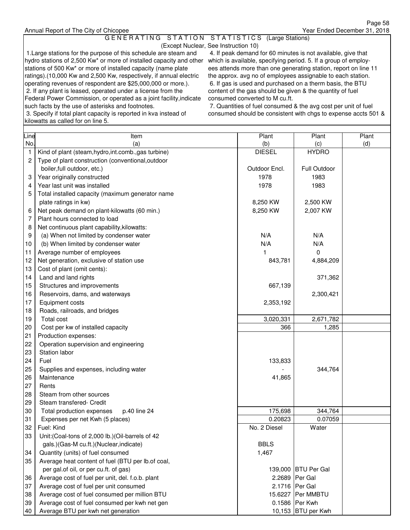### G E N E R A T I N G S T A T I O N S T A T I S T I C S (Large Stations)

(Except Nuclear, See Instruction 10)

 1.Large stations for the purpose of this schedule are steam and 4. If peak demand for 60 minutes is not available, give that hydro stations of 2,500 Kw\* or more of installed capacity and other which is available, specifying period. 5. If a group of employstations of 500 Kw<sup>\*</sup> or more of installed capacity (name plate ees attends more than one generating station, report on line 11 ratings).(10,000 Kw and 2,500 Kw, respectively, if annual electric the approx. avg no of employees assignable to each station. operating revenues of respondent are \$25,000,000 or more.). 6. If gas is used and purchased on a therm basis, the BTU 2. If any plant is leased, operated under a license from the content of the gas should be given & the quantity of fuel Federal Power Commission, or operated as a joint facility, indicate consumed converted to M cu.ft. such facts by the use of asterisks and footnotes. 7. Quantities of fuel consumed & the avg cost per unit of fuel

kilowatts as called for on line 5.

3. Specify if total plant capacity is reported in kva instead of consumed should be consistent with chgs to expense accts 501 &

| Line                       | Item                                                                                                                                                                                                                               | Plant          | Plant                                                                       | Plant |
|----------------------------|------------------------------------------------------------------------------------------------------------------------------------------------------------------------------------------------------------------------------------|----------------|-----------------------------------------------------------------------------|-------|
| No.                        | (a)                                                                                                                                                                                                                                | (b)            | (c)                                                                         | (d)   |
| $\mathbf{1}$               | Kind of plant (steam, hydro, int.comb., gas turbine)                                                                                                                                                                               | <b>DIESEL</b>  | <b>HYDRO</b>                                                                |       |
| 2                          | Type of plant construction (conventional, outdoor                                                                                                                                                                                  |                |                                                                             |       |
|                            | boiler, full outdoor, etc.)                                                                                                                                                                                                        | Outdoor Encl.  | Full Outdoor                                                                |       |
| 3                          | Year originally constructed                                                                                                                                                                                                        | 1978           | 1983                                                                        |       |
|                            | Year last unit was installed                                                                                                                                                                                                       | 1978           |                                                                             |       |
| 4                          |                                                                                                                                                                                                                                    |                | 1983                                                                        |       |
| 5                          | Total installed capacity (maximum generator name                                                                                                                                                                                   |                |                                                                             |       |
|                            | plate ratings in kw)                                                                                                                                                                                                               | 8,250 KW       | 2,500 KW                                                                    |       |
| 6                          | Net peak demand on plant-kilowatts (60 min.)                                                                                                                                                                                       | 8,250 KW       | 2,007 KW                                                                    |       |
| 7                          | Plant hours connected to load                                                                                                                                                                                                      |                |                                                                             |       |
| 8                          | Net continuous plant capability, kilowatts:                                                                                                                                                                                        |                |                                                                             |       |
| 9                          | (a) When not limited by condenser water                                                                                                                                                                                            | N/A            | N/A                                                                         |       |
| 10                         | (b) When limited by condenser water                                                                                                                                                                                                | N/A            | N/A                                                                         |       |
| 11                         | Average number of employees                                                                                                                                                                                                        | 1              | 0                                                                           |       |
| 12                         | Net generation, exclusive of station use                                                                                                                                                                                           | 843,781        | 4,884,209                                                                   |       |
| 13                         | Cost of plant (omit cents):                                                                                                                                                                                                        |                |                                                                             |       |
| 14                         | Land and land rights                                                                                                                                                                                                               |                | 371,362                                                                     |       |
| 15                         | Structures and improvements                                                                                                                                                                                                        | 667,139        |                                                                             |       |
| 16                         | Reservoirs, dams, and waterways                                                                                                                                                                                                    |                | 2,300,421                                                                   |       |
| 17                         | Equipment costs                                                                                                                                                                                                                    | 2,353,192      |                                                                             |       |
| 18                         | Roads, railroads, and bridges                                                                                                                                                                                                      |                |                                                                             |       |
| 19                         | Total cost                                                                                                                                                                                                                         | 3,020,331      | 2,671,782                                                                   |       |
| 20                         | Cost per kw of installed capacity                                                                                                                                                                                                  | 366            | 1,285                                                                       |       |
| 21                         | Production expenses:                                                                                                                                                                                                               |                |                                                                             |       |
| 22                         | Operation supervision and engineering                                                                                                                                                                                              |                |                                                                             |       |
| 23                         | Station labor                                                                                                                                                                                                                      |                |                                                                             |       |
| 24                         | Fuel                                                                                                                                                                                                                               | 133,833        |                                                                             |       |
| 25                         | Supplies and expenses, including water                                                                                                                                                                                             |                | 344,764                                                                     |       |
| 26                         | Maintenance                                                                                                                                                                                                                        | 41,865         |                                                                             |       |
| 27                         | Rents                                                                                                                                                                                                                              |                |                                                                             |       |
| 28                         | Steam from other sources                                                                                                                                                                                                           |                |                                                                             |       |
| 29                         | Steam transfered- Credit                                                                                                                                                                                                           |                |                                                                             |       |
| 30                         | Total production expenses<br>p.40 line 24                                                                                                                                                                                          | 175,698        | 344,764                                                                     |       |
| 31                         | Expenses per net Kwh (5 places)                                                                                                                                                                                                    | 0.20823        | 0.07059                                                                     |       |
| 32                         | Fuel: Kind                                                                                                                                                                                                                         | No. 2 Diesel   | Water                                                                       |       |
| 33                         | Unit: (Coal-tons of 2,000 lb.) (Oil-barrels of 42                                                                                                                                                                                  |                |                                                                             |       |
|                            | gals.)(Gas-M cu.ft.)(Nuclear,indicate)                                                                                                                                                                                             | <b>BBLS</b>    |                                                                             |       |
| 34                         | Quantity (units) of fuel consumed                                                                                                                                                                                                  | 1,467          |                                                                             |       |
| 35                         | Average heat content of fuel (BTU per lb.of coal,                                                                                                                                                                                  |                |                                                                             |       |
|                            | per gal.of oil, or per cu.ft. of gas)                                                                                                                                                                                              |                | 139,000 BTU Per Gal                                                         |       |
|                            |                                                                                                                                                                                                                                    |                |                                                                             |       |
|                            |                                                                                                                                                                                                                                    |                |                                                                             |       |
|                            |                                                                                                                                                                                                                                    |                |                                                                             |       |
|                            |                                                                                                                                                                                                                                    |                |                                                                             |       |
|                            |                                                                                                                                                                                                                                    |                |                                                                             |       |
| 36<br>37<br>38<br>39<br>40 | Average cost of fuel per unit, del. f.o.b. plant<br>Average cost of fuel per unit consumed<br>Average cost of fuel consumed per million BTU<br>Average cost of fuel consumed per kwh net gen<br>Average BTU per kwh net generation | 2.2689 Per Gal | 2.1716 Per Gal<br>15.6227 Per MMBTU<br>0.1586 Per Kwh<br>10,153 BTU per Kwh |       |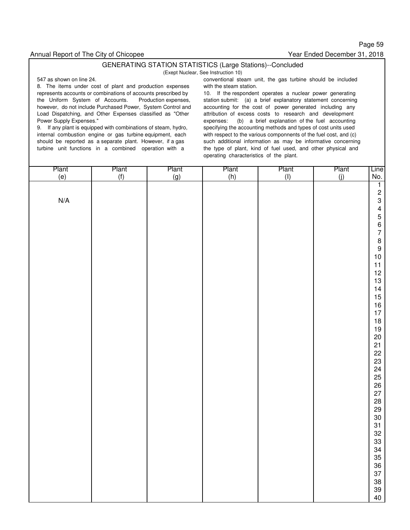Page 59 Year Ended December 31, 2018

### GENERATING STATION STATISTICS (Large Stations)--Concluded

(Exept Nuclear, See Instruction 10)

8. The items under cost of plant and production expenses with the steam station. represents accounts or combinations of accounts prescribed by 10. If the respondent operates a nuclear power generating the Uniform System of Accounts. Production expenses, station submit: (a) a brief explanatory statement concerning however, do not include Purchased Power, System Control and accounting for the cost of power generated including any Load Dispatching, and Other Expenses classified as "Other attribution of excess costs to research and development

9. If any plant is equipped with combinations of steam, hydro, specifying the accounting methods and types of cost units used internal combustion engine or gas turbine equipment, each with respect to the various componnents of the fuel cost, and (c)

547 as shown on line 24. conventional steam unit, the gas turbine should be included

expenses: (b) a brief explanation of the fuel accounting should be reported as a separate plant. However, if a gas such additional information as may be informative concerning turbine unit functions in a combined operation with a the type of plant, kind of fuel used, and other physical and operating characteristics of the plant.

| Plant<br>(e)            | Plant<br>(f) | Plant<br>(g) | Plant<br>(h) | Plant<br>(I) | Plant<br>(j) | Line<br>No.      |
|-------------------------|--------------|--------------|--------------|--------------|--------------|------------------|
|                         |              |              |              |              |              | $\overline{1}$   |
|                         |              |              |              |              |              | 23456789         |
| $\mathsf{N}/\mathsf{A}$ |              |              |              |              |              |                  |
|                         |              |              |              |              |              |                  |
|                         |              |              |              |              |              |                  |
|                         |              |              |              |              |              |                  |
|                         |              |              |              |              |              |                  |
|                         |              |              |              |              |              | $10\,$           |
|                         |              |              |              |              |              | 11               |
|                         |              |              |              |              |              | 12               |
|                         |              |              |              |              |              | 13<br>14         |
|                         |              |              |              |              |              | $15\,$           |
|                         |              |              |              |              |              | $16\,$           |
|                         |              |              |              |              |              | $17\,$<br>$18\,$ |
|                         |              |              |              |              |              | $19$             |
|                         |              |              |              |              |              | $20\,$           |
|                         |              |              |              |              |              | 21               |
|                         |              |              |              |              |              | 22<br>23         |
|                         |              |              |              |              |              |                  |
|                         |              |              |              |              |              | 24<br>25         |
|                         |              |              |              |              |              | 26<br>27         |
|                         |              |              |              |              |              | 28               |
|                         |              |              |              |              |              | 29               |
|                         |              |              |              |              |              | $30\,$           |
|                         |              |              |              |              |              | 31               |
|                         |              |              |              |              |              | $\frac{32}{33}$  |
|                         |              |              |              |              |              | 34               |
|                         |              |              |              |              |              | 35<br>36<br>37   |
|                         |              |              |              |              |              |                  |
|                         |              |              |              |              |              | 38               |
|                         |              |              |              |              |              | 39               |
|                         |              |              |              |              |              | 40               |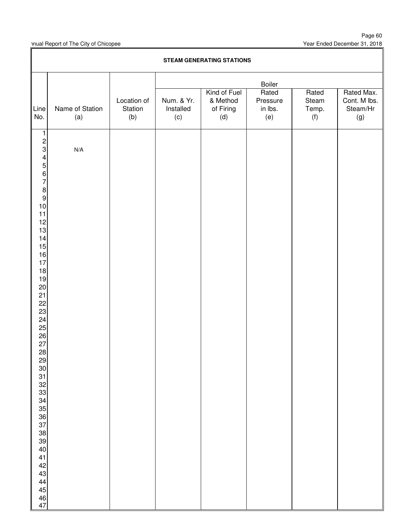|                                                     | <b>STEAM GENERATING STATIONS</b> |                               |                                |                              |                            |                       |                                 |  |  |  |
|-----------------------------------------------------|----------------------------------|-------------------------------|--------------------------------|------------------------------|----------------------------|-----------------------|---------------------------------|--|--|--|
|                                                     |                                  |                               |                                |                              | <b>Boiler</b>              |                       |                                 |  |  |  |
|                                                     |                                  |                               |                                | Kind of Fuel                 | Rated                      | Rated                 | Rated Max.                      |  |  |  |
| Line<br>No.                                         | Name of Station<br>(a)           | Location of<br>Station<br>(b) | Num. & Yr.<br>Installed<br>(c) | & Method<br>of Firing<br>(d) | Pressure<br>in lbs.<br>(e) | Steam<br>Temp.<br>(f) | Cont. M lbs.<br>Steam/Hr<br>(g) |  |  |  |
| $\mathbf{1}$                                        |                                  |                               |                                |                              |                            |                       |                                 |  |  |  |
| $\frac{2}{3}$                                       | N/A                              |                               |                                |                              |                            |                       |                                 |  |  |  |
|                                                     |                                  |                               |                                |                              |                            |                       |                                 |  |  |  |
| $\begin{array}{c}\n 4 \\  7 \\  8\n \end{array}$    |                                  |                               |                                |                              |                            |                       |                                 |  |  |  |
|                                                     |                                  |                               |                                |                              |                            |                       |                                 |  |  |  |
|                                                     |                                  |                               |                                |                              |                            |                       |                                 |  |  |  |
| $10$                                                |                                  |                               |                                |                              |                            |                       |                                 |  |  |  |
| 11                                                  |                                  |                               |                                |                              |                            |                       |                                 |  |  |  |
| 12<br>13                                            |                                  |                               |                                |                              |                            |                       |                                 |  |  |  |
| 14                                                  |                                  |                               |                                |                              |                            |                       |                                 |  |  |  |
| 15                                                  |                                  |                               |                                |                              |                            |                       |                                 |  |  |  |
| 16<br>$17$                                          |                                  |                               |                                |                              |                            |                       |                                 |  |  |  |
| 18                                                  |                                  |                               |                                |                              |                            |                       |                                 |  |  |  |
| 19<br>$20\,$                                        |                                  |                               |                                |                              |                            |                       |                                 |  |  |  |
| 21                                                  |                                  |                               |                                |                              |                            |                       |                                 |  |  |  |
| 22<br>23                                            |                                  |                               |                                |                              |                            |                       |                                 |  |  |  |
| 24                                                  |                                  |                               |                                |                              |                            |                       |                                 |  |  |  |
| $\begin{array}{c}\n 25 \\  26 \\  27\n \end{array}$ |                                  |                               |                                |                              |                            |                       |                                 |  |  |  |
|                                                     |                                  |                               |                                |                              |                            |                       |                                 |  |  |  |
| 28                                                  |                                  |                               |                                |                              |                            |                       |                                 |  |  |  |
|                                                     |                                  |                               |                                |                              |                            |                       |                                 |  |  |  |
|                                                     |                                  |                               |                                |                              |                            |                       |                                 |  |  |  |
|                                                     |                                  |                               |                                |                              |                            |                       |                                 |  |  |  |
|                                                     |                                  |                               |                                |                              |                            |                       |                                 |  |  |  |
|                                                     |                                  |                               |                                |                              |                            |                       |                                 |  |  |  |
|                                                     |                                  |                               |                                |                              |                            |                       |                                 |  |  |  |
|                                                     |                                  |                               |                                |                              |                            |                       |                                 |  |  |  |
|                                                     |                                  |                               |                                |                              |                            |                       |                                 |  |  |  |
|                                                     |                                  |                               |                                |                              |                            |                       |                                 |  |  |  |
| 41<br>42<br>43                                      |                                  |                               |                                |                              |                            |                       |                                 |  |  |  |
|                                                     |                                  |                               |                                |                              |                            |                       |                                 |  |  |  |
|                                                     |                                  |                               |                                |                              |                            |                       |                                 |  |  |  |
| 44<br>45<br>46<br>47                                |                                  |                               |                                |                              |                            |                       |                                 |  |  |  |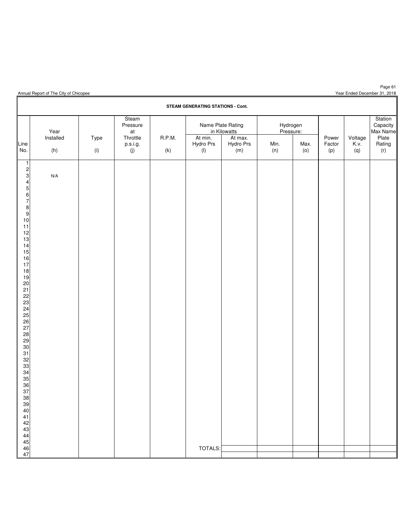| Annual Report of The City of Chicopee |  |  |  |  |  |
|---------------------------------------|--|--|--|--|--|
|---------------------------------------|--|--|--|--|--|

**STEAM GENERATING STATIONS - Cont.** Steam Station Pressure Name Plate Rating Hydrogen at Throttle R.P.M. At min. At max. Pressure: Name Power Voltage Plate Year | | at | | in Kilowatts | Pressure: | | |Max Name Installed | Type | Throttle | R.P.M. | At $\,$ min. | At $\,$ max. | Power | Voltage | Plate Line p.s.i.g. Hydro Prs Hydro Prs Min. Max. Factor K.v. Rating No. (h) (i) (j) (k) (l) (m) (n) (o) (p) (q) (r)  $N/A$  TOTALS: 

Page 61 Year Ended December 31, 2018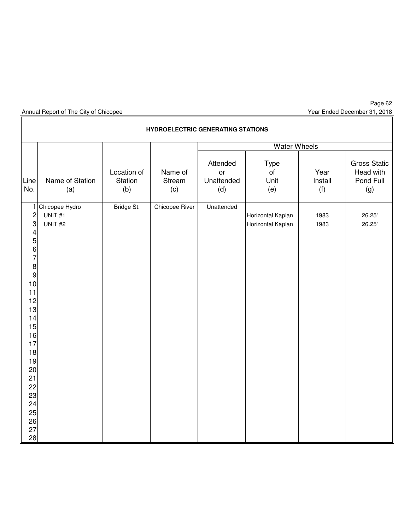Page 62 Year Ended December 31, 2018

|                                                                                                                                                                                                                                                                | <b>HYDROELECTRIC GENERATING STATIONS</b><br><b>Water Wheels</b> |                               |                          |                                     |                                        |                        |                                                      |  |  |  |  |  |  |  |
|----------------------------------------------------------------------------------------------------------------------------------------------------------------------------------------------------------------------------------------------------------------|-----------------------------------------------------------------|-------------------------------|--------------------------|-------------------------------------|----------------------------------------|------------------------|------------------------------------------------------|--|--|--|--|--|--|--|
|                                                                                                                                                                                                                                                                |                                                                 |                               |                          |                                     |                                        |                        |                                                      |  |  |  |  |  |  |  |
| Line<br>No.                                                                                                                                                                                                                                                    | Name of Station<br>(a)                                          | Location of<br>Station<br>(b) | Name of<br>Stream<br>(c) | Attended<br>or<br>Unattended<br>(d) | Type<br>of<br>Unit<br>(e)              | Year<br>Install<br>(f) | <b>Gross Static</b><br>Head with<br>Pond Full<br>(g) |  |  |  |  |  |  |  |
| 1<br>$\overline{c}$<br>$\mathbf{3}$<br>$\overline{\mathbf{4}}$<br>$\sqrt{5}$<br>$\,$ 6 $\,$<br>$\overline{7}$<br>$\bf 8$<br>$\boldsymbol{9}$<br>10<br>11<br>12<br>13<br>14<br>15<br>16<br>17<br>18<br>19<br>20<br>21<br>22<br>23<br>24<br>25<br>26<br>27<br>28 | Chicopee Hydro<br>UNIT#1<br>UNIT <sub>#2</sub>                  | Bridge St.                    | Chicopee River           | Unattended                          | Horizontal Kaplan<br>Horizontal Kaplan | 1983<br>1983           | 26.25'<br>26.25'                                     |  |  |  |  |  |  |  |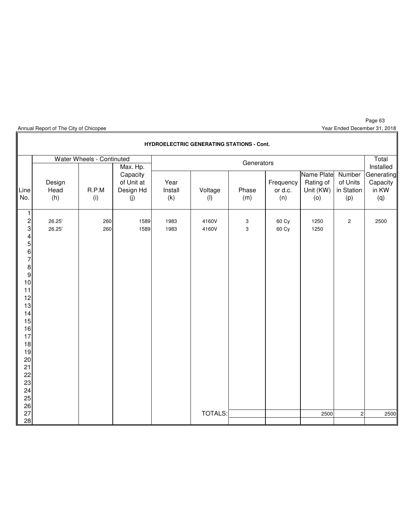I

Year Ended December 31, 2018

|                                                                                                                                                                                                                                          | <b>HYDROELECTRIC GENERATING STATIONS - Cont.</b> |                           |                                            |                        |                      |                                |                             |                                             |                                         |                                        |  |  |
|------------------------------------------------------------------------------------------------------------------------------------------------------------------------------------------------------------------------------------------|--------------------------------------------------|---------------------------|--------------------------------------------|------------------------|----------------------|--------------------------------|-----------------------------|---------------------------------------------|-----------------------------------------|----------------------------------------|--|--|
|                                                                                                                                                                                                                                          |                                                  | Water Wheels - Continuted | Max. Hp.                                   |                        |                      | Generators                     |                             |                                             |                                         | Total<br>Installed                     |  |  |
| Line<br>No.                                                                                                                                                                                                                              | Design<br>Head<br>(h)                            | R.P.M<br>(i)              | Capacity<br>of Unit at<br>Design Hd<br>(j) | Year<br>Install<br>(k) | Voltage<br>$($ l $)$ | Phase<br>(m)                   | Frequency<br>or d.c.<br>(n) | Name Plate<br>Rating of<br>Unit (KW)<br>(0) | Number<br>of Units<br>in Station<br>(p) | Generating<br>Capacity<br>in KW<br>(q) |  |  |
| 1<br>$\overline{\mathbf{c}}$<br>$\ensuremath{\mathsf{3}}$<br>4<br>5<br>$\boldsymbol{6}$<br>$\overline{7}$<br>$\bf 8$<br>$\boldsymbol{9}$<br>10<br>11<br>12<br>13<br>14<br>15<br>16<br>17<br>18<br>19<br>20<br>21<br>22<br>23<br>24<br>25 | 26.25'<br>26.25'                                 | 260<br>260                | 1589<br>1589                               | 1983<br>1983           | 4160V<br>4160V       | $\ensuremath{\mathsf{3}}$<br>3 | 60 Cy<br>60 Cy              | 1250<br>1250                                | $\mathbf{2}$                            | 2500                                   |  |  |
| 26<br>27<br>28                                                                                                                                                                                                                           |                                                  |                           |                                            |                        | <b>TOTALS:</b>       |                                |                             | 2500                                        | $\sqrt{2}$                              | 2500                                   |  |  |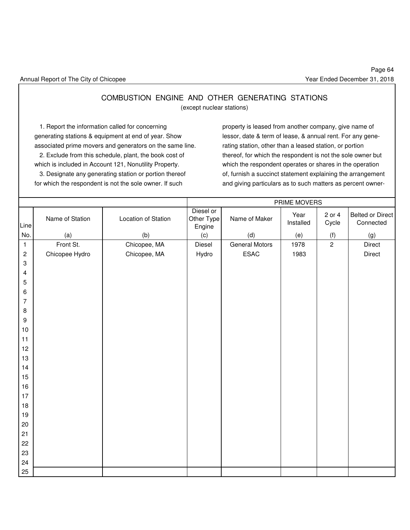### COMBUSTION ENGINE AND OTHER GENERATING STATIONS (except nuclear stations)

1. Report the information called for concerning property is leased from another company, give name of generating stations & equipment at end of year. Show lessor, date & term of lease, & annual rent. For any geneassociated prime movers and generators on the same line. rating station, other than a leased station, or portion which is included in Account 121, Nonutility Property. which the respondent operates or shares in the operation

 2. Exclude from this schedule, plant, the book cost of thereof, for which the respondent is not the sole owner but 3. Designate any generating station or portion thereof of, furnish a succinct statement explaining the arrangement for which the respondent is not the sole owner. If such and giving particulars as to such matters as percent owner-

|                |                 |                     | PRIME MOVERS                      |                       |                   |                 |                               |  |  |  |
|----------------|-----------------|---------------------|-----------------------------------|-----------------------|-------------------|-----------------|-------------------------------|--|--|--|
| Line           | Name of Station | Location of Station | Diesel or<br>Other Type<br>Engine | Name of Maker         | Year<br>Installed | 2 or 4<br>Cycle | Belted or Direct<br>Connected |  |  |  |
| No.            | (a)             | (b)                 | (c)                               | (d)                   | (e)               | (f)             | (g)                           |  |  |  |
| $\mathbf{1}$   | Front St.       | Chicopee, MA        | Diesel                            | <b>General Motors</b> | 1978              | $\overline{c}$  | Direct                        |  |  |  |
| $\overline{c}$ | Chicopee Hydro  | Chicopee, MA        | Hydro                             | ESAC                  | 1983              |                 | Direct                        |  |  |  |
| $\sqrt{3}$     |                 |                     |                                   |                       |                   |                 |                               |  |  |  |
| 4              |                 |                     |                                   |                       |                   |                 |                               |  |  |  |
| 5              |                 |                     |                                   |                       |                   |                 |                               |  |  |  |
| 6              |                 |                     |                                   |                       |                   |                 |                               |  |  |  |
| $\overline{7}$ |                 |                     |                                   |                       |                   |                 |                               |  |  |  |
| $\bf 8$        |                 |                     |                                   |                       |                   |                 |                               |  |  |  |
| $9\,$          |                 |                     |                                   |                       |                   |                 |                               |  |  |  |
| $10$           |                 |                     |                                   |                       |                   |                 |                               |  |  |  |
| 11             |                 |                     |                                   |                       |                   |                 |                               |  |  |  |
| 12             |                 |                     |                                   |                       |                   |                 |                               |  |  |  |
| 13<br>14       |                 |                     |                                   |                       |                   |                 |                               |  |  |  |
| 15             |                 |                     |                                   |                       |                   |                 |                               |  |  |  |
| 16             |                 |                     |                                   |                       |                   |                 |                               |  |  |  |
| 17             |                 |                     |                                   |                       |                   |                 |                               |  |  |  |
| 18             |                 |                     |                                   |                       |                   |                 |                               |  |  |  |
| 19             |                 |                     |                                   |                       |                   |                 |                               |  |  |  |
| $20\,$         |                 |                     |                                   |                       |                   |                 |                               |  |  |  |
| 21             |                 |                     |                                   |                       |                   |                 |                               |  |  |  |
| 22             |                 |                     |                                   |                       |                   |                 |                               |  |  |  |
| 23             |                 |                     |                                   |                       |                   |                 |                               |  |  |  |
| 24             |                 |                     |                                   |                       |                   |                 |                               |  |  |  |
| 25             |                 |                     |                                   |                       |                   |                 |                               |  |  |  |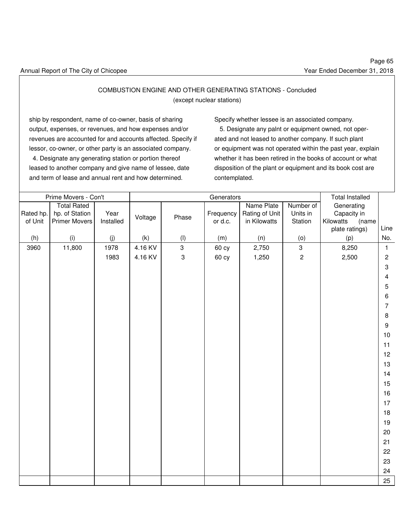### COMBUSTION ENGINE AND OTHER GENERATING STATIONS - Concluded

(except nuclear stations)

ship by respondent, name of co-owner, basis of sharing Specify whether lessee is an associated company. output, expenses, or revenues, and how expenses and/or 5. Designate any palnt or equipment owned, not oper revenues are accounted for and accounts affected. Specify if ated and not leased to another company. If such plant lessor, co-owner, or other party is an associated company. or equipment was not operated within the past year, explain

leased to another company and give name of lessee, date disposition of the plant or equipment and its book cost are and term of lease and annual rent and how determined. contemplated.

4. Designate any generating station or portion thereof whether it has been retired in the books of account or what

|           | Prime Movers - Con't |           |         |              | Generators |                |                | <b>Total Installed</b> |                           |
|-----------|----------------------|-----------|---------|--------------|------------|----------------|----------------|------------------------|---------------------------|
|           | <b>Total Rated</b>   |           |         |              |            | Name Plate     | Number of      | Generating             |                           |
| Rated hp. | hp. of Station       | Year      | Voltage | Phase        | Frequency  | Rating of Unit | Units in       | Capacity in            |                           |
| of Unit   | <b>Primer Movers</b> | Installed |         |              | or d.c.    | in Kilowatts   | Station        | Kilowatts<br>(name     |                           |
|           |                      |           |         |              |            |                |                | plate ratings)         | Line                      |
| (h)       | (i)                  | (j)       | (k)     | (1)          | (m)        | (n)            | (0)            | (p)                    | No.                       |
| 3960      | 11,800               | 1978      | 4.16 KV | $\mathbf{3}$ | 60 cy      | 2,750          | $\mathbf{3}$   | 8,250                  | $\mathbf{1}$              |
|           |                      | 1983      | 4.16 KV | $\sqrt{3}$   | 60 cy      | 1,250          | $\overline{c}$ | 2,500                  | $\sqrt{2}$                |
|           |                      |           |         |              |            |                |                |                        | $\ensuremath{\mathsf{3}}$ |
|           |                      |           |         |              |            |                |                |                        | $\overline{4}$            |
|           |                      |           |         |              |            |                |                |                        | 5                         |
|           |                      |           |         |              |            |                |                |                        | 6                         |
|           |                      |           |         |              |            |                |                |                        | $\overline{7}$            |
|           |                      |           |         |              |            |                |                |                        | $\bf 8$                   |
|           |                      |           |         |              |            |                |                |                        | $\boldsymbol{9}$          |
|           |                      |           |         |              |            |                |                |                        | 10                        |
|           |                      |           |         |              |            |                |                |                        |                           |
|           |                      |           |         |              |            |                |                |                        | 11                        |
|           |                      |           |         |              |            |                |                |                        | 12                        |
|           |                      |           |         |              |            |                |                |                        | 13                        |
|           |                      |           |         |              |            |                |                |                        | 14                        |
|           |                      |           |         |              |            |                |                |                        | 15                        |
|           |                      |           |         |              |            |                |                |                        | 16                        |
|           |                      |           |         |              |            |                |                |                        | 17                        |
|           |                      |           |         |              |            |                |                |                        | 18                        |
|           |                      |           |         |              |            |                |                |                        | 19                        |
|           |                      |           |         |              |            |                |                |                        | 20                        |
|           |                      |           |         |              |            |                |                |                        | 21                        |
|           |                      |           |         |              |            |                |                |                        | 22                        |
|           |                      |           |         |              |            |                |                |                        | 23                        |
|           |                      |           |         |              |            |                |                |                        | 24                        |
|           |                      |           |         |              |            |                |                |                        | 25                        |
|           |                      |           |         |              |            |                |                |                        |                           |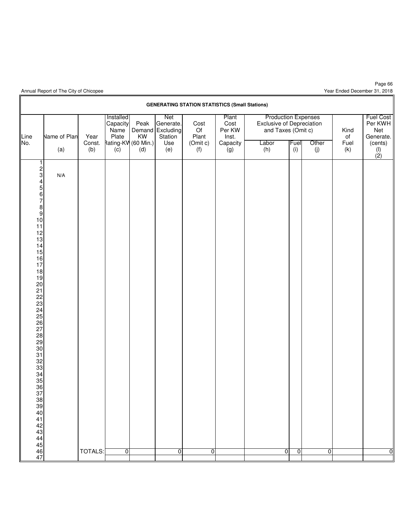Year Ended December 31, 2018

|                                                                                                                                                                                                                                                                                                                                                                               |                            |                       |                                                                      |                   |                                                               | <b>GENERATING STATION STATISTICS (Small Stations)</b> |                                                     |                                                                                               |                |              |                           |                                                                              |
|-------------------------------------------------------------------------------------------------------------------------------------------------------------------------------------------------------------------------------------------------------------------------------------------------------------------------------------------------------------------------------|----------------------------|-----------------------|----------------------------------------------------------------------|-------------------|---------------------------------------------------------------|-------------------------------------------------------|-----------------------------------------------------|-----------------------------------------------------------------------------------------------|----------------|--------------|---------------------------|------------------------------------------------------------------------------|
| Line<br>No.                                                                                                                                                                                                                                                                                                                                                                   | <b>Name of Plan</b><br>(a) | Year<br>Const.<br>(b) | Installed<br>Capacity<br>Name<br>Plate<br>Rating-KV (60 Min.)<br>(c) | Peak<br>KW<br>(d) | Net<br>Generate.<br>Demand Excluding<br>Station<br>Use<br>(e) | Cost<br>Of<br>Plant<br>(Omit c)<br>(f)                | Plant<br>Cost<br>Per KW<br>Inst.<br>Capacity<br>(g) | <b>Production Expenses</b><br>Exclusive of Depreciation<br>and Taxes (Omit c)<br>Labor<br>(h) | Fuel<br>(i)    | Other<br>(j) | Kind<br>of<br>Fuel<br>(k) | <b>Fuel Cost</b><br>Per KWH<br>Net<br>Generate.<br>(cents)<br>$\binom{1}{2}$ |
| 1<br>$\frac{2}{3}$<br>4<br>5<br>6<br>7<br>8<br>9<br>10<br>10<br>11<br>$\begin{array}{c} 12 \\ 13 \end{array}$<br>$\begin{array}{c} 14 \\ 15 \end{array}$<br>16<br>17<br>18<br>$\frac{19}{20}$<br>$\begin{array}{c} 29 \\ 30 \end{array}$<br>$\begin{array}{c} 31 \\ 32 \\ 33 \end{array}$<br>34<br>35<br>36<br>37<br>38<br>39<br>40<br>41<br>42<br>43<br>44<br>45<br>46<br>47 | N/A                        | <b>TOTALS:</b>        | $\overline{0}$                                                       |                   | $\overline{0}$                                                | 0                                                     |                                                     | ō                                                                                             | $\overline{0}$ | 0            |                           | $\overline{0}$                                                               |
|                                                                                                                                                                                                                                                                                                                                                                               |                            |                       |                                                                      |                   |                                                               |                                                       |                                                     |                                                                                               |                |              |                           |                                                                              |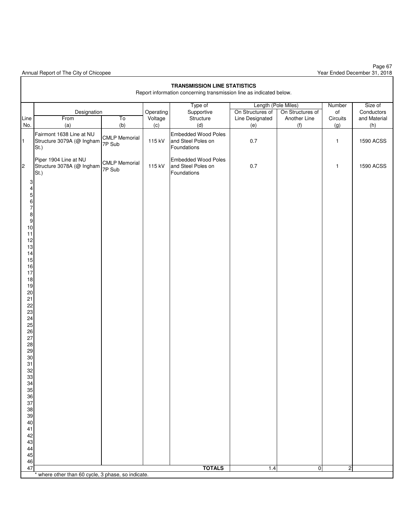|                                                                                                                                                                                                                                                                                                             | <b>TRANSMISSION LINE STATISTICS</b><br>Report information concerning transmission line as indicated below. |                                |                             |                                                                 |                                                                   |                                         |                                            |                                              |  |  |
|-------------------------------------------------------------------------------------------------------------------------------------------------------------------------------------------------------------------------------------------------------------------------------------------------------------|------------------------------------------------------------------------------------------------------------|--------------------------------|-----------------------------|-----------------------------------------------------------------|-------------------------------------------------------------------|-----------------------------------------|--------------------------------------------|----------------------------------------------|--|--|
|                                                                                                                                                                                                                                                                                                             |                                                                                                            |                                |                             |                                                                 |                                                                   |                                         |                                            |                                              |  |  |
| Line<br>No.                                                                                                                                                                                                                                                                                                 | Designation<br>From<br>(a)                                                                                 | To<br>(b)                      | Operating<br>Voltage<br>(c) | Type of<br>Supportive<br>Structure<br>(d)                       | Length (Pole Miles)<br>On Structures of<br>Line Designated<br>(e) | On Structures of<br>Another Line<br>(f) | Number<br>$\mathsf{of}$<br>Circuits<br>(g) | Size of<br>Conductors<br>and Material<br>(h) |  |  |
| $\blacksquare$                                                                                                                                                                                                                                                                                              | Fairmont 1638 Line at NU<br>Structure 3079A (@ Ingham<br>St.)                                              | <b>CMLP Memorial</b><br>7P Sub | 115 kV                      | <b>Embedded Wood Poles</b><br>and Steel Poles on<br>Foundations | $0.7\,$                                                           |                                         | $\mathbf{1}$                               | <b>1590 ACSS</b>                             |  |  |
| $\overline{c}$                                                                                                                                                                                                                                                                                              | Piper 1904 Line at NU<br>Structure 3078A (@ Ingham<br>St.)                                                 | <b>CMLP Memorial</b><br>7P Sub | 115 kV                      | <b>Embedded Wood Poles</b><br>and Steel Poles on<br>Foundations | $0.7\,$                                                           |                                         | $\mathbf{1}$                               | <b>1590 ACSS</b>                             |  |  |
| 3<br>4<br>$\mathbf 5$<br>$\,6\,$<br>$\overline{7}$<br>8<br>$\boldsymbol{9}$<br>$10$<br>11<br>12<br>13<br>14<br>15<br>16<br>17<br>18<br>19<br>20<br>21<br>22<br>23<br>24<br>25<br>26<br>27<br>28<br>29<br>30<br>31<br>32<br>33<br>34<br>35<br>36<br>37<br>38<br>39<br>40<br>41<br>42<br>43<br>44<br>45<br>46 |                                                                                                            |                                |                             |                                                                 |                                                                   |                                         |                                            |                                              |  |  |
| 47                                                                                                                                                                                                                                                                                                          | * where other than 60 cycle, 3 phase, so indicate.                                                         |                                |                             | <b>TOTALS</b>                                                   | 1.4                                                               | $\overline{0}$                          | $\overline{2}$                             |                                              |  |  |
|                                                                                                                                                                                                                                                                                                             |                                                                                                            |                                |                             |                                                                 |                                                                   |                                         |                                            |                                              |  |  |

Page 67 Year Ended December 31, 2018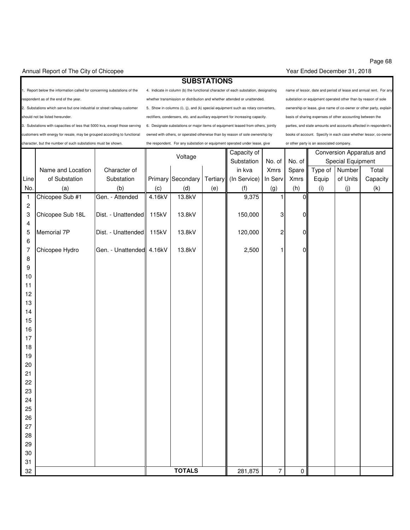#### Annual Report of The City of Chicopee Year Ended December 31, 2018

### **SUBSTATIONS**

character, but the number of such substations must be shown. the respondent. For any substation or equipment operated under lease, give or other party is an associated company.

espondent as of the end of the year. The section of the whether transmission or distribution and whether attended or unattended. Substation or equipment operated other than by reason of sole

3. Substations with capacities of less that 5000 kva, except those serving 6. Designate substations or major items of equipment leased from others, jointly parties, and state amounts and accounts affected in respondent's ustomers with energy for resale, may be grouped according to functional owned with others, or operated otherwise than by reason of sole ownership by books of account. Specify in each case whether lessor, co-owner

1. Report below the information called for concerning substations of the 4. Indicate in column (b) the functional character of each substation, designating name of lessor, date and period of lease and annual rent. For any 2. Substations which serve but one industrial or street railway customer 5. Show in columns (i), (j), and (k) special equipment such as rotary converters, ownership or lease, give name of co-owner or other party, explain hould not be listed hereunder. https://www.masshould.com/ensers/etc. and auxiliary equipment for increasing capacity. basis of sharing expenses of other accounting between the

|                         |                   |                          | Voltage |                   | Capacity of |                       |                           |                | Conversion Apparatus and |                   |          |
|-------------------------|-------------------|--------------------------|---------|-------------------|-------------|-----------------------|---------------------------|----------------|--------------------------|-------------------|----------|
|                         |                   |                          |         |                   |             | Substation            | No. of                    | No. of         |                          | Special Equipment |          |
|                         | Name and Location | Character of             |         |                   |             | in kva                | Xmrs                      | Spare          | Type of                  | Number            | Total    |
| Line                    | of Substation     | Substation               |         | Primary Secondary |             | Tertiary (In Service) | In Serv                   | Xmrs           | Equip                    | of Units          | Capacity |
| No.                     | (a)               | (b)                      | (c)     | (d)               | (e)         | (f)                   | (g)                       | (h)            | (i)                      | (j)               | (k)      |
| $\mathbf{1}$            | Chicopee Sub #1   | Gen. - Attended          | 4.16kV  | 13.8kV            |             | 9,375                 | 1                         | $\overline{0}$ |                          |                   |          |
| $\sqrt{2}$              |                   |                          |         |                   |             |                       |                           |                |                          |                   |          |
| 3                       | Chicopee Sub 18L  | Dist. - Unattended 115kV |         | 13.8kV            |             | 150,000               | $\ensuremath{\mathsf{3}}$ | 0              |                          |                   |          |
| $\overline{\mathbf{4}}$ |                   |                          |         |                   |             |                       |                           |                |                          |                   |          |
| 5                       | Memorial 7P       | Dist. - Unattended 115kV |         | 13.8kV            |             | 120,000               | $\overline{c}$            | 0              |                          |                   |          |
| 6                       |                   |                          |         |                   |             |                       |                           |                |                          |                   |          |
| $\overline{7}$          | Chicopee Hydro    | Gen. - Unattended 4.16kV |         | 13.8kV            |             | 2,500                 | 1                         | 0              |                          |                   |          |
| $\,8\,$                 |                   |                          |         |                   |             |                       |                           |                |                          |                   |          |
| $\boldsymbol{9}$        |                   |                          |         |                   |             |                       |                           |                |                          |                   |          |
| 10                      |                   |                          |         |                   |             |                       |                           |                |                          |                   |          |
| 11                      |                   |                          |         |                   |             |                       |                           |                |                          |                   |          |
| 12<br>13                |                   |                          |         |                   |             |                       |                           |                |                          |                   |          |
| 14                      |                   |                          |         |                   |             |                       |                           |                |                          |                   |          |
| 15                      |                   |                          |         |                   |             |                       |                           |                |                          |                   |          |
| 16                      |                   |                          |         |                   |             |                       |                           |                |                          |                   |          |
| 17                      |                   |                          |         |                   |             |                       |                           |                |                          |                   |          |
| 18                      |                   |                          |         |                   |             |                       |                           |                |                          |                   |          |
| 19                      |                   |                          |         |                   |             |                       |                           |                |                          |                   |          |
| 20                      |                   |                          |         |                   |             |                       |                           |                |                          |                   |          |
| 21                      |                   |                          |         |                   |             |                       |                           |                |                          |                   |          |
| 22                      |                   |                          |         |                   |             |                       |                           |                |                          |                   |          |
| 23                      |                   |                          |         |                   |             |                       |                           |                |                          |                   |          |
| 24                      |                   |                          |         |                   |             |                       |                           |                |                          |                   |          |
| 25                      |                   |                          |         |                   |             |                       |                           |                |                          |                   |          |
| 26                      |                   |                          |         |                   |             |                       |                           |                |                          |                   |          |
| 27                      |                   |                          |         |                   |             |                       |                           |                |                          |                   |          |
| 28                      |                   |                          |         |                   |             |                       |                           |                |                          |                   |          |
| 29                      |                   |                          |         |                   |             |                       |                           |                |                          |                   |          |
| $30\,$                  |                   |                          |         |                   |             |                       |                           |                |                          |                   |          |
| 31                      |                   |                          |         |                   |             |                       |                           |                |                          |                   |          |
| 32                      |                   |                          |         | <b>TOTALS</b>     |             | 281,875               | $\overline{7}$            | $\overline{0}$ |                          |                   |          |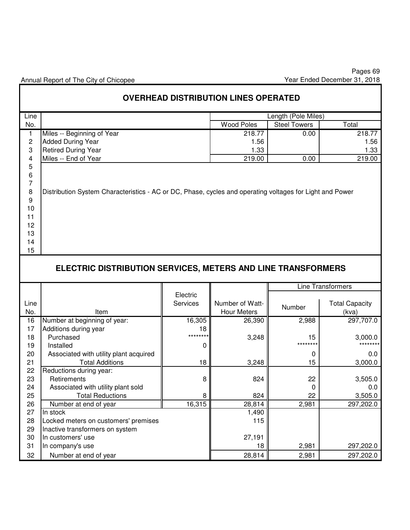|             |                                                                                                          |               | <b>OVERHEAD DISTRIBUTION LINES OPERATED</b> |                     |                          |  |  |  |  |  |  |
|-------------|----------------------------------------------------------------------------------------------------------|---------------|---------------------------------------------|---------------------|--------------------------|--|--|--|--|--|--|
| Line        |                                                                                                          |               |                                             | Length (Pole Miles) |                          |  |  |  |  |  |  |
| No.         |                                                                                                          |               | <b>Wood Poles</b>                           | <b>Steel Towers</b> | Total                    |  |  |  |  |  |  |
| 1           | Miles -- Beginning of Year                                                                               |               | 218.77                                      | 0.00                | 218.77                   |  |  |  |  |  |  |
| 2           | <b>Added During Year</b>                                                                                 |               | 1.56                                        |                     | 1.56                     |  |  |  |  |  |  |
| 3           | <b>Retired During Year</b>                                                                               |               | 1.33                                        |                     | 1.33                     |  |  |  |  |  |  |
| 4           | Miles -- End of Year                                                                                     |               | 219.00                                      | 0.00                | 219.00                   |  |  |  |  |  |  |
| $\mathbf 5$ |                                                                                                          |               |                                             |                     |                          |  |  |  |  |  |  |
| 6           |                                                                                                          |               |                                             |                     |                          |  |  |  |  |  |  |
| 7           |                                                                                                          |               |                                             |                     |                          |  |  |  |  |  |  |
| 8           | Distribution System Characteristics - AC or DC, Phase, cycles and operating voltages for Light and Power |               |                                             |                     |                          |  |  |  |  |  |  |
| 9           |                                                                                                          |               |                                             |                     |                          |  |  |  |  |  |  |
| 10          |                                                                                                          |               |                                             |                     |                          |  |  |  |  |  |  |
| 11          |                                                                                                          |               |                                             |                     |                          |  |  |  |  |  |  |
| 12<br>13    |                                                                                                          |               |                                             |                     |                          |  |  |  |  |  |  |
| 14          |                                                                                                          |               |                                             |                     |                          |  |  |  |  |  |  |
| 15          |                                                                                                          |               |                                             |                     |                          |  |  |  |  |  |  |
|             |                                                                                                          |               |                                             |                     |                          |  |  |  |  |  |  |
|             | ELECTRIC DISTRIBUTION SERVICES, METERS AND LINE TRANSFORMERS                                             |               |                                             |                     |                          |  |  |  |  |  |  |
|             |                                                                                                          |               |                                             |                     |                          |  |  |  |  |  |  |
|             |                                                                                                          |               |                                             |                     |                          |  |  |  |  |  |  |
|             |                                                                                                          |               |                                             |                     | <b>Line Transformers</b> |  |  |  |  |  |  |
|             |                                                                                                          | Electric      |                                             |                     |                          |  |  |  |  |  |  |
| Line        |                                                                                                          | Services      | Number of Watt-                             | Number              | <b>Total Capacity</b>    |  |  |  |  |  |  |
| No.         | Item                                                                                                     |               | <b>Hour Meters</b>                          |                     | (kva)                    |  |  |  |  |  |  |
| 16          | Number at beginning of year:                                                                             | 16,305        | 26,390                                      | 2,988               | 297,707.0                |  |  |  |  |  |  |
| 17          | Additions during year                                                                                    | 18<br>******* |                                             |                     |                          |  |  |  |  |  |  |
| 18          | Purchased                                                                                                |               | 3,248                                       | 15<br>********      | 3,000.0<br>********      |  |  |  |  |  |  |
| 19          | Installed                                                                                                | 0             |                                             |                     |                          |  |  |  |  |  |  |
| 20          | Associated with utility plant acquired                                                                   |               |                                             | 0                   | 0.0                      |  |  |  |  |  |  |
| 21          | <b>Total Additions</b>                                                                                   | 18            | 3,248                                       | 15                  | 3,000.0                  |  |  |  |  |  |  |
| 22          | Reductions during year:                                                                                  |               |                                             |                     |                          |  |  |  |  |  |  |
| 23          | Retirements                                                                                              | 8             | 824                                         | 22                  | 3,505.0                  |  |  |  |  |  |  |
| 24          | Associated with utility plant sold                                                                       |               |                                             | 0                   | 0.0                      |  |  |  |  |  |  |
| 25          | <b>Total Reductions</b>                                                                                  | 8             | 824                                         | 22                  | 3,505.0                  |  |  |  |  |  |  |
| 26<br>27    | Number at end of year<br>In stock                                                                        | 16,315        | 28,814<br>1,490                             | 2,981               | 297,202.0                |  |  |  |  |  |  |
| 28          | Locked meters on customers' premises                                                                     |               | 115                                         |                     |                          |  |  |  |  |  |  |
| 29          | Inactive transformers on system                                                                          |               |                                             |                     |                          |  |  |  |  |  |  |
| 30          | In customers' use                                                                                        |               | 27,191                                      |                     |                          |  |  |  |  |  |  |
| 31          | In company's use                                                                                         |               | 18                                          | 2,981               | 297,202.0                |  |  |  |  |  |  |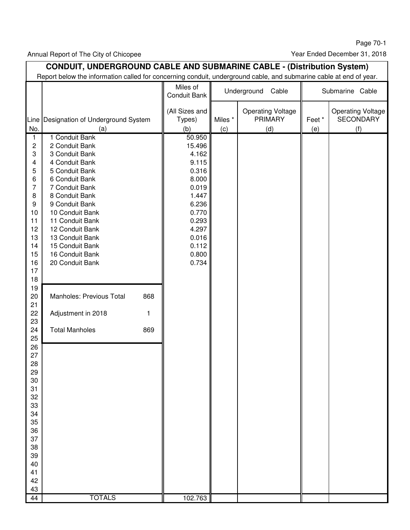Page 70-1

Annual Report of The City of Chicopee

Year Ended December 31, 2018

|                                                                                                                                                                                                                                                                          | <b>CONDUIT, UNDERGROUND CABLE AND SUBMARINE CABLE - (Distribution System)</b><br>Report below the information called for concerning conduit, underground cable, and submarine cable at end of year.                                                                                                                                                                                                                |                                                                                                                                                           |                |                                                   |              |                                                     |
|--------------------------------------------------------------------------------------------------------------------------------------------------------------------------------------------------------------------------------------------------------------------------|--------------------------------------------------------------------------------------------------------------------------------------------------------------------------------------------------------------------------------------------------------------------------------------------------------------------------------------------------------------------------------------------------------------------|-----------------------------------------------------------------------------------------------------------------------------------------------------------|----------------|---------------------------------------------------|--------------|-----------------------------------------------------|
|                                                                                                                                                                                                                                                                          |                                                                                                                                                                                                                                                                                                                                                                                                                    | Miles of<br>Conduit Bank                                                                                                                                  |                | Underground<br>Cable                              |              | Submarine Cable                                     |
| Line<br>No.                                                                                                                                                                                                                                                              | Designation of Underground System<br>(a)                                                                                                                                                                                                                                                                                                                                                                           | (All Sizes and<br>Types)<br>(b)                                                                                                                           | Miles *<br>(c) | <b>Operating Voltage</b><br><b>PRIMARY</b><br>(d) | Feet*<br>(e) | <b>Operating Voltage</b><br><b>SECONDARY</b><br>(f) |
| 1<br>2<br>3<br>4<br>5<br>6<br>$\overline{7}$<br>8<br>9<br>10<br>11<br>12<br>13<br>14<br>15<br>16<br>17<br>18<br>19<br>20<br>21<br>22<br>23<br>24<br>25<br>26<br>27<br>28<br>29<br>30<br>31<br>32<br>33<br>34<br>35<br>36<br>37<br>38<br>39<br>40<br>41<br>42<br>43<br>44 | 1 Conduit Bank<br>2 Conduit Bank<br>3 Conduit Bank<br>4 Conduit Bank<br>5 Conduit Bank<br>6 Conduit Bank<br>7 Conduit Bank<br>8 Conduit Bank<br>9 Conduit Bank<br>10 Conduit Bank<br>11 Conduit Bank<br>12 Conduit Bank<br>13 Conduit Bank<br>15 Conduit Bank<br>16 Conduit Bank<br>20 Conduit Bank<br>Manholes: Previous Total<br>868<br>Adjustment in 2018<br>1<br><b>Total Manholes</b><br>869<br><b>TOTALS</b> | 50.950<br>15.496<br>4.162<br>9.115<br>0.316<br>8.000<br>0.019<br>1.447<br>6.236<br>0.770<br>0.293<br>4.297<br>0.016<br>0.112<br>0.800<br>0.734<br>102.763 |                |                                                   |              |                                                     |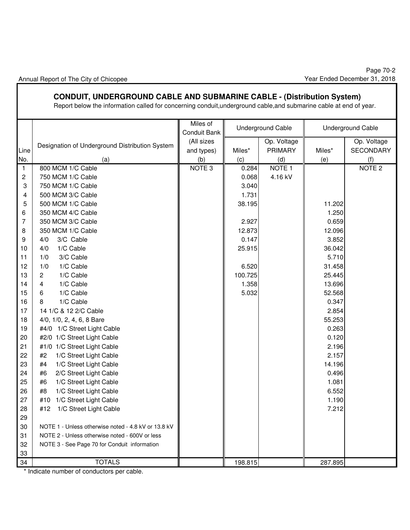### **CONDUIT, UNDERGROUND CABLE AND SUBMARINE CABLE - (Distribution System)**

Report below the information called for concerning conduit,underground cable,and submarine cable at end of year.

|      |                                                     | Miles of<br>Conduit Bank |         | <b>Underground Cable</b> |         | <b>Underground Cable</b> |
|------|-----------------------------------------------------|--------------------------|---------|--------------------------|---------|--------------------------|
|      | Designation of Underground Distribution System      | (All sizes               |         | Op. Voltage              |         | Op. Voltage              |
| Line |                                                     | and types)               | Miles*  | <b>PRIMARY</b>           | Miles*  | SECONDARY                |
| No.  | (a)                                                 | (b)                      | (c)     | (d)                      | (e)     | (f)                      |
| 1    | 800 MCM 1/C Cable                                   | NOTE <sub>3</sub>        | 0.284   | NOTE <sub>1</sub>        |         | NOTE <sub>2</sub>        |
| 2    | 750 MCM 1/C Cable                                   |                          | 0.068   | 4.16 kV                  |         |                          |
| 3    | 750 MCM 1/C Cable                                   |                          | 3.040   |                          |         |                          |
| 4    | 500 MCM 3/C Cable                                   |                          | 1.731   |                          |         |                          |
| 5    | 500 MCM 1/C Cable                                   |                          | 38.195  |                          | 11.202  |                          |
| 6    | 350 MCM 4/C Cable                                   |                          |         |                          | 1.250   |                          |
| 7    | 350 MCM 3/C Cable                                   |                          | 2.927   |                          | 0.659   |                          |
| 8    | 350 MCM 1/C Cable                                   |                          | 12.873  |                          | 12.096  |                          |
| 9    | 3/C Cable<br>4/0                                    |                          | 0.147   |                          | 3.852   |                          |
| 10   | 1/C Cable<br>4/0                                    |                          | 25.915  |                          | 36.042  |                          |
| 11   | 3/C Cable<br>1/0                                    |                          |         |                          | 5.710   |                          |
| 12   | 1/0<br>1/C Cable                                    |                          | 6.520   |                          | 31.458  |                          |
| 13   | 1/C Cable<br>$\overline{2}$                         |                          | 100.725 |                          | 25.445  |                          |
| 14   | 1/C Cable<br>4                                      |                          | 1.358   |                          | 13.696  |                          |
| 15   | 1/C Cable<br>6                                      |                          | 5.032   |                          | 52.568  |                          |
| 16   | 1/C Cable<br>8                                      |                          |         |                          | 0.347   |                          |
| 17   | 14 1/C & 12 2/C Cable                               |                          |         |                          | 2.854   |                          |
| 18   | 4/0, 1/0, 2, 4, 6, 8 Bare                           |                          |         |                          | 55.253  |                          |
| 19   | #4/0 1/C Street Light Cable                         |                          |         |                          | 0.263   |                          |
| 20   | #2/0 1/C Street Light Cable                         |                          |         |                          | 0.120   |                          |
| 21   | #1/0 1/C Street Light Cable                         |                          |         |                          | 2.196   |                          |
| 22   | 1/C Street Light Cable<br>#2                        |                          |         |                          | 2.157   |                          |
| 23   | 1/C Street Light Cable<br>#4                        |                          |         |                          | 14.196  |                          |
| 24   | 2/C Street Light Cable<br>#6                        |                          |         |                          | 0.496   |                          |
| 25   | 1/C Street Light Cable<br>#6                        |                          |         |                          | 1.081   |                          |
| 26   | #8<br>1/C Street Light Cable                        |                          |         |                          | 6.552   |                          |
| 27   | 1/C Street Light Cable<br>#10                       |                          |         |                          | 1.190   |                          |
| 28   | #12<br>1/C Street Light Cable                       |                          |         |                          | 7.212   |                          |
| 29   |                                                     |                          |         |                          |         |                          |
| 30   | NOTE 1 - Unless otherwise noted - 4.8 kV or 13.8 kV |                          |         |                          |         |                          |
| 31   | NOTE 2 - Unless otherwise noted - 600V or less      |                          |         |                          |         |                          |
| 32   | NOTE 3 - See Page 70 for Conduit information        |                          |         |                          |         |                          |
| 33   |                                                     |                          |         |                          |         |                          |
| 34   | <b>TOTALS</b>                                       |                          | 198.815 |                          | 287.895 |                          |
|      |                                                     |                          |         |                          |         |                          |

\* Indicate number of conductors per cable.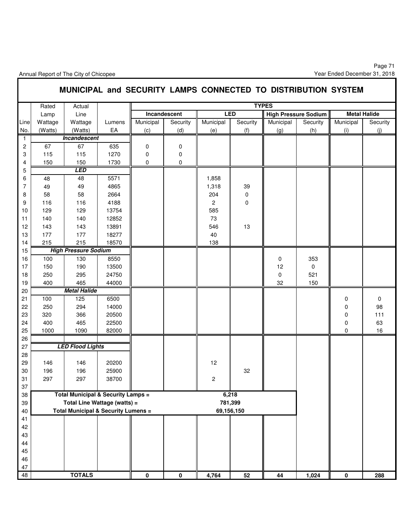|                |         |                                                |        |             |              |                |            | MUNICIPAL and SECURITY LAMPS CONNECTED TO DISTRIBUTION SYSTEM |                             |           |                     |
|----------------|---------|------------------------------------------------|--------|-------------|--------------|----------------|------------|---------------------------------------------------------------|-----------------------------|-----------|---------------------|
|                | Rated   | Actual                                         |        |             |              |                |            | <b>TYPES</b>                                                  |                             |           |                     |
|                | Lamp    | Line                                           |        |             | Incandescent |                | <b>LED</b> |                                                               | <b>High Pressure Sodium</b> |           | <b>Metal Halide</b> |
| Line           | Wattage | Wattage                                        | Lumens | Municipal   | Security     | Municipal      | Security   | Municipal                                                     | Security                    | Municipal | Security            |
| No.            | (Watts) | (Watts)                                        | EA     | (c)         | (d)          | (e)            | (f)        | (g)                                                           | (h)                         | (i)       | (j)                 |
| $\mathbf{1}$   |         | Incandescent                                   |        |             |              |                |            |                                                               |                             |           |                     |
| $\overline{c}$ | 67      | 67                                             | 635    | $\mathbf 0$ | 0            |                |            |                                                               |                             |           |                     |
| 3              | 115     | 115                                            | 1270   | $\mathbf 0$ | 0            |                |            |                                                               |                             |           |                     |
| 4              | 150     | 150                                            | 1730   | $\mathbf 0$ | $\mathbf 0$  |                |            |                                                               |                             |           |                     |
| 5              |         | <b>LED</b>                                     |        |             |              |                |            |                                                               |                             |           |                     |
| 6              | 48      | 48                                             | 5571   |             |              | 1,858          |            |                                                               |                             |           |                     |
| 7              | 49      | 49                                             | 4865   |             |              | 1,318          | 39         |                                                               |                             |           |                     |
| 8              | 58      | 58                                             | 2664   |             |              | 204            | $\pmb{0}$  |                                                               |                             |           |                     |
| 9              | 116     | 116                                            | 4188   |             |              | $\overline{c}$ | 0          |                                                               |                             |           |                     |
| 10             | 129     | 129                                            | 13754  |             |              | 585            |            |                                                               |                             |           |                     |
| 11             | 140     | 140                                            | 12852  |             |              | 73             |            |                                                               |                             |           |                     |
| 12             | 143     | 143                                            | 13891  |             |              | 546            | 13         |                                                               |                             |           |                     |
| 13             | 177     | 177                                            | 18277  |             |              | 40             |            |                                                               |                             |           |                     |
| 14             | 215     | 215                                            | 18570  |             |              | 138            |            |                                                               |                             |           |                     |
| 15             |         | <b>High Pressure Sodium</b>                    |        |             |              |                |            |                                                               |                             |           |                     |
| 16             | 100     | 130                                            | 8550   |             |              |                |            | 0                                                             | 353                         |           |                     |
| 17             | 150     | 190                                            | 13500  |             |              |                |            | 12                                                            | 0                           |           |                     |
| 18             | 250     | 295                                            | 24750  |             |              |                |            | $\mathbf 0$                                                   | 521                         |           |                     |
| 19             | 400     | 465                                            | 44000  |             |              |                |            | 32                                                            | 150                         |           |                     |
| 20             |         | <b>Metal Halide</b>                            |        |             |              |                |            |                                                               |                             |           |                     |
| 21             | 100     | 125                                            | 6500   |             |              |                |            |                                                               |                             | 0         | 0                   |
| 22             | 250     | 294                                            | 14000  |             |              |                |            |                                                               |                             | 0         | 98                  |
| 23             | 320     | 366                                            | 20500  |             |              |                |            |                                                               |                             | 0         | 111                 |
| 24             | 400     | 465                                            | 22500  |             |              |                |            |                                                               |                             | 0         | 63                  |
| 25             | 1000    | 1090                                           | 82000  |             |              |                |            |                                                               |                             | 0         | 16                  |
| 26             |         |                                                |        |             |              |                |            |                                                               |                             |           |                     |
| 27             |         | <b>LED Flood Lights</b>                        |        |             |              |                |            |                                                               |                             |           |                     |
| 28             |         |                                                |        |             |              |                |            |                                                               |                             |           |                     |
| 29             | 146     | 146                                            | 20200  |             |              | 12             |            |                                                               |                             |           |                     |
| 30             | 196     | 196                                            | 25900  |             |              |                | 32         |                                                               |                             |           |                     |
| 31             | 297     | 297                                            | 38700  |             |              | 2              |            |                                                               |                             |           |                     |
| 37             |         |                                                |        |             |              |                |            |                                                               |                             |           |                     |
| 38             |         | <b>Total Municipal &amp; Security Lamps =</b>  |        |             |              |                | 6,218      |                                                               |                             |           |                     |
| 39             |         | Total Line Wattage (watts) =                   |        |             |              |                | 781,399    |                                                               |                             |           |                     |
| 40             |         | <b>Total Municipal &amp; Security Lumens =</b> |        |             |              |                | 69,156,150 |                                                               |                             |           |                     |
| 41             |         |                                                |        |             |              |                |            |                                                               |                             |           |                     |
| 42             |         |                                                |        |             |              |                |            |                                                               |                             |           |                     |
| 43             |         |                                                |        |             |              |                |            |                                                               |                             |           |                     |
| 44             |         |                                                |        |             |              |                |            |                                                               |                             |           |                     |
| 45             |         |                                                |        |             |              |                |            |                                                               |                             |           |                     |
| 46             |         |                                                |        |             |              |                |            |                                                               |                             |           |                     |
| 47             |         |                                                |        |             |              |                |            |                                                               |                             |           |                     |
| 48             |         | <b>TOTALS</b>                                  |        | $\pmb{0}$   | $\mathbf 0$  | 4,764          | 52         | 44                                                            | 1,024                       | 0         | 288                 |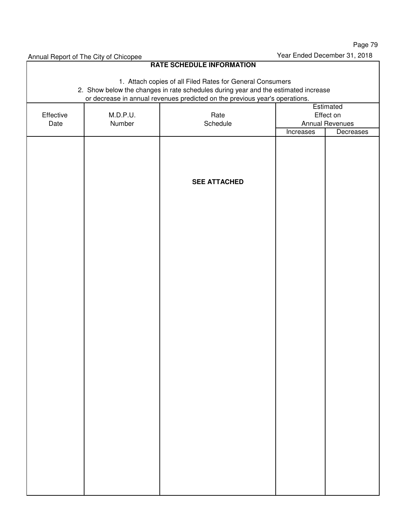**RATE SCHEDULE INFORMATION** 1. Attach copies of all Filed Rates for General Consumers 2. Show below the changes in rate schedules during year and the estimated increase or decrease in annual revenues predicted on the previous year's operations. **Estimated** Effective | M.D.P.U. | Rate | Effect on Date | Number | Schedule | Annual Revenues Increases Decreases **SEE ATTACHED**

Annual Report of The City of Chicopee **Year Ended December 31, 2018**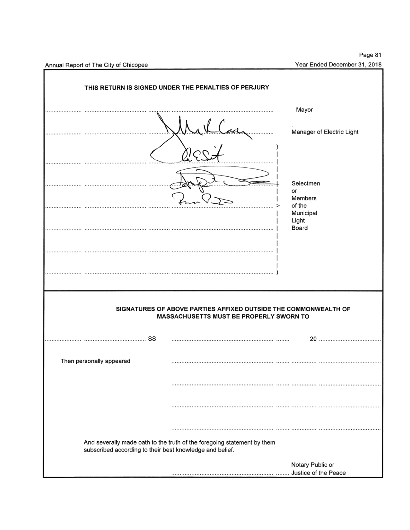|                                                          | THIS RETURN IS SIGNED UNDER THE PENALTIES OF PERJURY                                                       |                                                                |
|----------------------------------------------------------|------------------------------------------------------------------------------------------------------------|----------------------------------------------------------------|
|                                                          |                                                                                                            | Mayor                                                          |
|                                                          |                                                                                                            | Manager of Electric Light                                      |
|                                                          |                                                                                                            | Selectmen<br>or                                                |
|                                                          |                                                                                                            | <b>Members</b><br>of the<br>Municipal<br>Light<br><b>Board</b> |
|                                                          |                                                                                                            |                                                                |
|                                                          | SIGNATURES OF ABOVE PARTIES AFFIXED OUTSIDE THE COMMONWEALTH OF<br>MASSACHUSETTS MUST BE PROPERLY SWORN TO |                                                                |
| SS                                                       |                                                                                                            | 20                                                             |
| Then personally appeared                                 |                                                                                                            |                                                                |
|                                                          |                                                                                                            |                                                                |
|                                                          |                                                                                                            |                                                                |
| subscribed according to their best knowledge and belief. | And severally made oath to the truth of the foregoing statement by them                                    |                                                                |
|                                                          |                                                                                                            | Notary Public or<br>Justice of the Peace                       |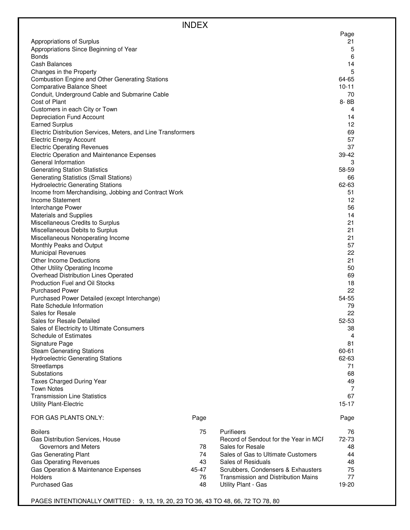|                                                                    | <b>INDEX</b> |                                            |             |
|--------------------------------------------------------------------|--------------|--------------------------------------------|-------------|
|                                                                    |              |                                            | Page        |
| Appropriations of Surplus                                          |              |                                            | 21          |
| Appropriations Since Beginning of Year                             |              |                                            | 5           |
| <b>Bonds</b>                                                       |              |                                            | 6           |
| Cash Balances                                                      |              |                                            | 14          |
| Changes in the Property                                            |              |                                            | 5           |
| <b>Combustion Engine and Other Generating Stations</b>             |              |                                            | 64-65       |
| <b>Comparative Balance Sheet</b>                                   |              |                                            | $10 - 11$   |
| Conduit, Underground Cable and Submarine Cable                     |              |                                            | 70          |
| Cost of Plant                                                      |              |                                            | 8-8B        |
| Customers in each City or Town                                     |              |                                            | 4           |
| Depreciation Fund Account                                          |              |                                            | 14          |
| <b>Earned Surplus</b>                                              |              |                                            | 12          |
| Electric Distribution Services, Meters, and Line Transformers      |              |                                            | 69          |
| <b>Electric Energy Account</b>                                     |              |                                            | 57          |
| <b>Electric Operating Revenues</b>                                 |              |                                            | 37          |
| Electric Operation and Maintenance Expenses<br>General Information |              |                                            | 39-42       |
| <b>Generating Station Statistics</b>                               |              |                                            | 3<br>58-59  |
| <b>Generating Statistics (Small Stations)</b>                      |              |                                            |             |
| <b>Hydroelectric Generating Stations</b>                           |              |                                            | 66<br>62-63 |
| Income from Merchandising, Jobbing and Contract Work               |              |                                            | 51          |
| Income Statement                                                   |              |                                            | 12          |
| Interchange Power                                                  |              |                                            | 56          |
| <b>Materials and Supplies</b>                                      |              |                                            | 14          |
| Miscellaneous Credits to Surplus                                   |              |                                            | 21          |
| Miscellaneous Debits to Surplus                                    |              |                                            | 21          |
| Miscellaneous Nonoperating Income                                  |              |                                            | 21          |
| Monthly Peaks and Output                                           |              |                                            | 57          |
| <b>Municipal Revenues</b>                                          |              |                                            | 22          |
| Other Income Deductions                                            |              |                                            | 21          |
| Other Utility Operating Income                                     |              |                                            | 50          |
| Overhead Distribution Lines Operated                               |              |                                            | 69          |
| Production Fuel and Oil Stocks                                     |              |                                            | 18          |
| <b>Purchased Power</b>                                             |              |                                            | 22          |
| Purchased Power Detailed (except Interchange)                      |              |                                            | 54-55       |
| Rate Schedule Information                                          |              |                                            | 79          |
| Sales for Resale                                                   |              |                                            | 22          |
| Sales for Resale Detailed                                          |              |                                            | 52-53       |
| Sales of Electricity to Ultimate Consumers                         |              |                                            | 38          |
| <b>Schedule of Estimates</b>                                       |              |                                            | 4           |
| Signature Page                                                     |              |                                            | 81          |
| <b>Steam Generating Stations</b>                                   |              |                                            | 60-61       |
| <b>Hydroelectric Generating Stations</b>                           |              |                                            | 62-63       |
| Streetlamps<br>Substations                                         |              |                                            | 71<br>68    |
| Taxes Charged During Year                                          |              |                                            | 49          |
| <b>Town Notes</b>                                                  |              |                                            | 7           |
| <b>Transmission Line Statistics</b>                                |              |                                            | 67          |
| <b>Utility Plant-Electric</b>                                      |              |                                            | $15 - 17$   |
| FOR GAS PLANTS ONLY:                                               | Page         |                                            | Page        |
| <b>Boilers</b>                                                     | 75           | Purifieers                                 | 76          |
| Gas Distribution Services, House                                   |              | Record of Sendout for the Year in MCF      | 72-73       |
| Governors and Meters                                               | 78           | Sales for Resale                           | 48          |
| Gas Generating Plant                                               | 74           | Sales of Gas to Ultimate Customers         | 44          |
| <b>Gas Operating Revenues</b>                                      | 43           | Sales of Residuals                         | 48          |
| Gas Operation & Maintenance Expenses                               | 45-47        | Scrubbers, Condensers & Exhausters         | 75          |
| Holders                                                            | 76           | <b>Transmission and Distribution Mains</b> | 77          |
| <b>Purchased Gas</b>                                               | 48           | Utility Plant - Gas                        | 19-20       |

PAGES INTENTIONALLY OMITTED : 9, 13, 19, 20, 23 TO 36, 43 TO 48, 66, 72 TO 78, 80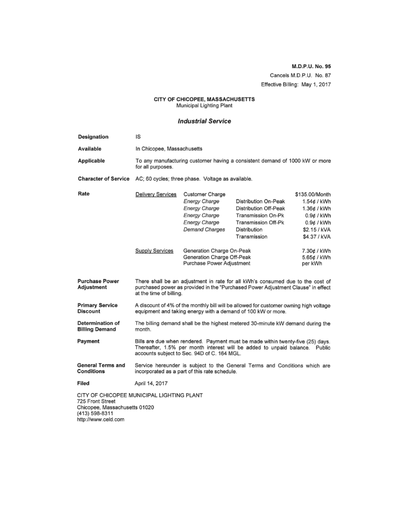M.D.P.U. No. 95 Cancels M.D.P.U. No. 87 Effective Billing: May 1, 2017

# CITY OF CHICOPEE, MASSACHUSETTS<br>Municipal Lighting Plant

### **Industrial Service**

| Designation                                                                                                                             | IS                                                                                                                                                                                                            |                                                                                                       |                                                                                                                            |                                                                                                          |
|-----------------------------------------------------------------------------------------------------------------------------------------|---------------------------------------------------------------------------------------------------------------------------------------------------------------------------------------------------------------|-------------------------------------------------------------------------------------------------------|----------------------------------------------------------------------------------------------------------------------------|----------------------------------------------------------------------------------------------------------|
| Available                                                                                                                               | In Chicopee, Massachusetts                                                                                                                                                                                    |                                                                                                       |                                                                                                                            |                                                                                                          |
| Applicable                                                                                                                              | for all purposes.                                                                                                                                                                                             | To any manufacturing customer having a consistent demand of 1000 kW or more                           |                                                                                                                            |                                                                                                          |
| <b>Character of Service</b>                                                                                                             |                                                                                                                                                                                                               | AC; 60 cycles; three phase. Voltage as available.                                                     |                                                                                                                            |                                                                                                          |
| Rate                                                                                                                                    | Delivery Services                                                                                                                                                                                             | Customer Charge<br>Energy Charge<br>Energy Charge<br>Energy Charge<br>Energy Charge<br>Demand Charges | Distribution On-Peak<br>Distribution Off-Peak<br>Transmission On-Pk<br>Transmission Off-Pk<br>Distribution<br>Transmission | \$135.00/Month<br>1.54¢ / kWh<br>1.36¢ / kWh<br>0.9¢ / kWh<br>0.9¢ / kWh<br>\$2.15 / kVA<br>\$4.37 / kVA |
|                                                                                                                                         | Supply Services                                                                                                                                                                                               | Generation Charge On-Peak<br>Generation Charge Off-Peak<br>Purchase Power Adjustment                  |                                                                                                                            | 7.30¢ / kWh<br>5.65¢ / kWh<br>per kWh                                                                    |
| <b>Purchase Power</b><br>Adjustment                                                                                                     | There shall be an adjustment in rate for all kWh's consumed due to the cost of<br>purchased power as provided in the "Purchased Power Adjustment Clause" in effect<br>at the time of billing.                 |                                                                                                       |                                                                                                                            |                                                                                                          |
| <b>Primary Service</b><br><b>Discount</b>                                                                                               | A discount of 4% of the monthly bill will be allowed for customer owning high voltage<br>equipment and taking energy with a demand of 100 kW or more.                                                         |                                                                                                       |                                                                                                                            |                                                                                                          |
| Determination of<br><b>Billing Demand</b>                                                                                               | The billing demand shall be the highest metered 30-minute kW demand during the<br>month.                                                                                                                      |                                                                                                       |                                                                                                                            |                                                                                                          |
| Payment                                                                                                                                 | Bills are due when rendered. Payment must be made within twenty-five (25) days.<br>Thereafter, 1.5% per month interest will be added to unpaid balance. Public<br>accounts subject to Sec. 94D of C. 164 MGL. |                                                                                                       |                                                                                                                            |                                                                                                          |
| General Terms and<br>Conditions                                                                                                         | Service hereunder is subject to the General Terms and Conditions which are<br>incorporated as a part of this rate schedule.                                                                                   |                                                                                                       |                                                                                                                            |                                                                                                          |
| Filed                                                                                                                                   | April 14, 2017                                                                                                                                                                                                |                                                                                                       |                                                                                                                            |                                                                                                          |
| CITY OF CHICOPEE MUNICIPAL LIGHTING PLANT<br>725 Front Street<br>Chicopee, Massachusetts 01020<br>(413) 598-8311<br>http://www.celd.com |                                                                                                                                                                                                               |                                                                                                       |                                                                                                                            |                                                                                                          |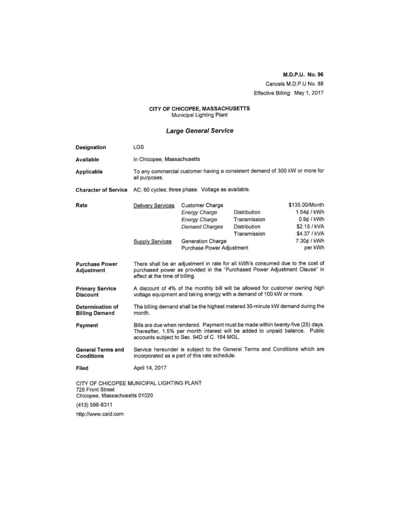### M.D.P.U. No. 96 Cancels M.D.P.U No. 88 Effective Billing: May 1, 2017

# CITY OF CHICOPEE, MASSACHUSETTS<br>Municipal Lighting Plant

### Large General Service

| Designation                                                                                    | LGS                                                                                                                                                                                                           |                                                                                                                       |                                                                                                                                                             |                                                                                                       |
|------------------------------------------------------------------------------------------------|---------------------------------------------------------------------------------------------------------------------------------------------------------------------------------------------------------------|-----------------------------------------------------------------------------------------------------------------------|-------------------------------------------------------------------------------------------------------------------------------------------------------------|-------------------------------------------------------------------------------------------------------|
| Available                                                                                      | In Chicopee, Massachusetts                                                                                                                                                                                    |                                                                                                                       |                                                                                                                                                             |                                                                                                       |
| Applicable                                                                                     | all purposes.                                                                                                                                                                                                 |                                                                                                                       | To any commercial customer having a consistent demand of 300 kW or more for                                                                                 |                                                                                                       |
| <b>Character of Service</b>                                                                    |                                                                                                                                                                                                               | AC: 60 cycles; three phase. Voltage as available.                                                                     |                                                                                                                                                             |                                                                                                       |
| Rate                                                                                           | Delivery Services<br>Supply Services                                                                                                                                                                          | Customer Charge<br>Energy Charge<br>Energy Charge<br>Demand Charges<br>Generation Charge<br>Purchase Power Adjustment | Distribution<br>Transmission<br>Distribution<br>Transmission                                                                                                | \$135.00/Month<br>1.54¢ / kWh<br>0.9¢ / kWh<br>\$2.15 / kVA<br>\$4.37 / kVA<br>7.30¢ / kWh<br>per kWh |
| <b>Purchase Power</b><br>Adjustment                                                            | effect at the time of billing.                                                                                                                                                                                |                                                                                                                       | There shall be an adjustment in rate for all kWh's consumed due to the cost of<br>purchased power as provided in the "Purchased Power Adjustment Clause" in |                                                                                                       |
| <b>Primary Service</b><br>Discount                                                             | A discount of 4% of the monthly bill will be allowed for customer owning high<br>voltage equipment and taking energy with a demand of 100 kW or more.                                                         |                                                                                                                       |                                                                                                                                                             |                                                                                                       |
| Determination of<br><b>Billing Demand</b>                                                      | The billing demand shall be the highest metered 30-minute kW demand during the<br>month.                                                                                                                      |                                                                                                                       |                                                                                                                                                             |                                                                                                       |
| Payment                                                                                        | Bills are due when rendered. Payment must be made within twenty-five (25) days.<br>Thereafter, 1.5% per month interest will be added to unpaid balance. Public<br>accounts subject to Sec. 94D of C. 164 MGL. |                                                                                                                       |                                                                                                                                                             |                                                                                                       |
| <b>General Terms and</b><br>Conditions                                                         | Service hereunder is subject to the General Terms and Conditions which are<br>incorporated as a part of this rate schedule.                                                                                   |                                                                                                                       |                                                                                                                                                             |                                                                                                       |
| Filed                                                                                          | April 14, 2017                                                                                                                                                                                                |                                                                                                                       |                                                                                                                                                             |                                                                                                       |
| CITY OF CHICOPEE MUNICIPAL LIGHTING PLANT<br>725 Front Street<br>Chicopee, Massachusetts 01020 |                                                                                                                                                                                                               |                                                                                                                       |                                                                                                                                                             |                                                                                                       |

(413) 598-8311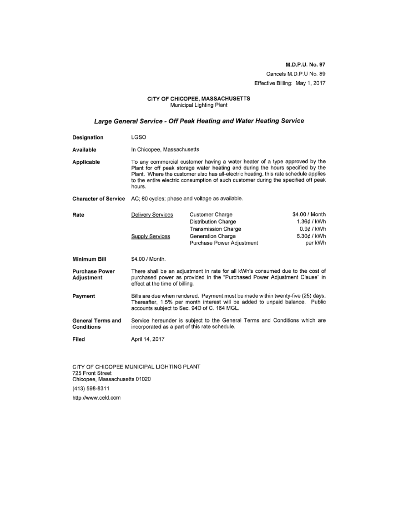M.D.P.U. No. 97 Cancels M.D.P.U No. 89 Effective Billing: May 1, 2017

#### CITY OF CHICOPEE, MASSACHUSETTS Municipal Lighting Plant

### Large General Service - Off Peak Heating and Water Heating Service

| Designation                         | LGSO                                                                                                                                                                                                                                                                                                                                               |                                                                              |                                      |
|-------------------------------------|----------------------------------------------------------------------------------------------------------------------------------------------------------------------------------------------------------------------------------------------------------------------------------------------------------------------------------------------------|------------------------------------------------------------------------------|--------------------------------------|
| Available                           | In Chicopee, Massachusetts                                                                                                                                                                                                                                                                                                                         |                                                                              |                                      |
| Applicable                          | To any commercial customer having a water heater of a type approved by the<br>Plant for off peak storage water heating and during the hours specified by the<br>Plant. Where the customer also has all-electric heating, this rate schedule applies<br>to the entire electric consumption of such customer during the specified off peak<br>hours. |                                                                              |                                      |
| <b>Character of Service</b>         | AC; 60 cycles; phase and voltage as available.                                                                                                                                                                                                                                                                                                     |                                                                              |                                      |
| Rate                                | Delivery Services                                                                                                                                                                                                                                                                                                                                  | Customer Charge<br>Distribution Charge                                       | \$4.00 / Month<br>1.36¢ / kWh        |
|                                     | Supply Services                                                                                                                                                                                                                                                                                                                                    | <b>Transmission Charge</b><br>Generation Charge<br>Purchase Power Adjustment | 0.9¢ / kWh<br>6.30¢ / kWh<br>per kWh |
| Minimum Bill                        | \$4.00 / Month.                                                                                                                                                                                                                                                                                                                                    |                                                                              |                                      |
| <b>Purchase Power</b><br>Adjustment | There shall be an adjustment in rate for all kWh's consumed due to the cost of<br>purchased power as provided in the "Purchased Power Adjustment Clause" in<br>effect at the time of billing.                                                                                                                                                      |                                                                              |                                      |
| Payment                             | Bills are due when rendered. Payment must be made within twenty-five (25) days.<br>Thereafter, 1.5% per month interest will be added to unpaid balance. Public<br>accounts subject to Sec. 94D of C. 164 MGL.                                                                                                                                      |                                                                              |                                      |
| General Terms and<br>Conditions     | Service hereunder is subject to the General Terms and Conditions which are<br>incorporated as a part of this rate schedule.                                                                                                                                                                                                                        |                                                                              |                                      |
| Filed                               | April 14, 2017                                                                                                                                                                                                                                                                                                                                     |                                                                              |                                      |

CITY OF CHICOPEE MUNICIPAL LIGHTING PLANT 725 Front Street Chicopee, Massachusetts 01020 (413) 598-8311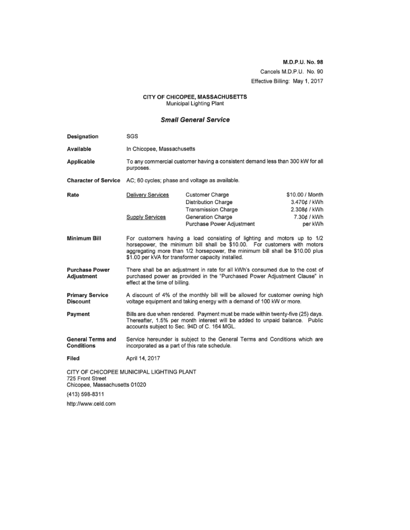M.D.P.U. No. 98 Cancels M.D.P.U. No. 90 Effective Billing: May 1, 2017

# CITY OF CHICOPEE, MASSACHUSETTS<br>Municipal Lighting Plant

### **Small General Service**

| Designation                                       | SGS                                                                                                                                                                                                                                                                                       |                                                                                |                                                 |
|---------------------------------------------------|-------------------------------------------------------------------------------------------------------------------------------------------------------------------------------------------------------------------------------------------------------------------------------------------|--------------------------------------------------------------------------------|-------------------------------------------------|
| Available                                         | In Chicopee, Massachusetts                                                                                                                                                                                                                                                                |                                                                                |                                                 |
| Applicable                                        | purposes.                                                                                                                                                                                                                                                                                 | To any commercial customer having a consistent demand less than 300 kW for all |                                                 |
| <b>Character of Service</b>                       | AC; 60 cycles; phase and voltage as available.                                                                                                                                                                                                                                            |                                                                                |                                                 |
| Rate                                              | Delivery Services                                                                                                                                                                                                                                                                         | Customer Charge<br>Distribution Charge<br><b>Transmission Charge</b>           | \$10.00 / Month<br>3.470¢ / kWh<br>2.308¢ / kWh |
|                                                   | Supply Services                                                                                                                                                                                                                                                                           | Generation Charge<br>Purchase Power Adjustment                                 | 7.30¢ / kWh<br>per kWh                          |
| Minimum Bill                                      | For customers having a load consisting of lighting and motors up to 1/2<br>horsepower, the minimum bill shall be \$10.00. For customers with motors<br>aggregating more than 1/2 horsepower, the minimum bill shall be \$10.00 plus<br>\$1.00 per kVA for transformer capacity installed. |                                                                                |                                                 |
| <b>Purchase Power</b><br>Adjustment               | There shall be an adjustment in rate for all kWh's consumed due to the cost of<br>purchased power as provided in the "Purchased Power Adjustment Clause" in<br>effect at the time of billing.                                                                                             |                                                                                |                                                 |
| <b>Primary Service</b><br><b>Discount</b>         | A discount of 4% of the monthly bill will be allowed for customer owning high<br>voltage equipment and taking energy with a demand of 100 kW or more.                                                                                                                                     |                                                                                |                                                 |
| Payment                                           | Bills are due when rendered. Payment must be made within twenty-five (25) days.<br>Thereafter, 1.5% per month interest will be added to unpaid balance. Public<br>accounts subject to Sec. 94D of C. 164 MGL.                                                                             |                                                                                |                                                 |
| <b>General Terms and</b><br>Conditions            | Service hereunder is subject to the General Terms and Conditions which are<br>incorporated as a part of this rate schedule.                                                                                                                                                               |                                                                                |                                                 |
| Filed                                             | April 14, 2017                                                                                                                                                                                                                                                                            |                                                                                |                                                 |
| 725 Front Street<br>Chicopee, Massachusetts 01020 | CITY OF CHICOPEE MUNICIPAL LIGHTING PLANT                                                                                                                                                                                                                                                 |                                                                                |                                                 |
| (413) 598-8311                                    |                                                                                                                                                                                                                                                                                           |                                                                                |                                                 |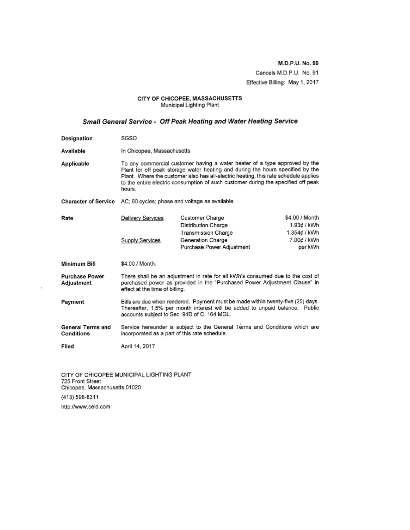M.D.P.U. No. 99 Cancels M.D.P.U. No. 91 Effective Billing: May 1, 2017

# CITY OF CHICOPEE, MASSACHUSETTS<br>Municipal Lighting Plant

### Small General Service - Off Peak Heating and Water Heating Service

| Designation                            | SGSO                                                                                                                                                                                                                                                                                                                                               |                                                                                                                 |                                                                         |
|----------------------------------------|----------------------------------------------------------------------------------------------------------------------------------------------------------------------------------------------------------------------------------------------------------------------------------------------------------------------------------------------------|-----------------------------------------------------------------------------------------------------------------|-------------------------------------------------------------------------|
| Available                              | In Chicopee, Massachusetts                                                                                                                                                                                                                                                                                                                         |                                                                                                                 |                                                                         |
| Applicable                             | To any commercial customer having a water heater of a type approved by the<br>Plant for off peak storage water heating and during the hours specified by the<br>Plant. Where the customer also has all-electric heating, this rate schedule applies<br>to the entire electric consumption of such customer during the specified off peak<br>hours. |                                                                                                                 |                                                                         |
| <b>Character of Service</b>            | AC; 60 cycles; phase and voltage as available.                                                                                                                                                                                                                                                                                                     |                                                                                                                 |                                                                         |
| Rate                                   | Delivery Services<br>Supply Services                                                                                                                                                                                                                                                                                                               | Customer Charge<br>Distribution Charge<br>Transmission Charge<br>Generation Charge<br>Purchase Power Adjustment | \$4.00 / Month<br>1.93¢ / kWh<br>1.354¢ / kWh<br>7.00¢ / kWh<br>per kWh |
| Minimum Bill                           | \$4.00 / Month.                                                                                                                                                                                                                                                                                                                                    |                                                                                                                 |                                                                         |
| <b>Purchase Power</b><br>Adjustment    | There shall be an adjustment in rate for all kWh's consumed due to the cost of<br>purchased power as provided in the "Purchased Power Adjustment Clause" in<br>effect at the time of billing.                                                                                                                                                      |                                                                                                                 |                                                                         |
| Payment                                | Bills are due when rendered. Payment must be made within twenty-five (25) days.<br>Thereafter, 1.5% per month interest will be added to unpaid balance. Public<br>accounts subject to Sec. 94D of C. 164 MGL.                                                                                                                                      |                                                                                                                 |                                                                         |
| <b>General Terms and</b><br>Conditions | Service hereunder is subject to the General Terms and Conditions which are<br>incorporated as a part of this rate schedule.                                                                                                                                                                                                                        |                                                                                                                 |                                                                         |
| Filed                                  | April 14, 2017                                                                                                                                                                                                                                                                                                                                     |                                                                                                                 |                                                                         |
|                                        |                                                                                                                                                                                                                                                                                                                                                    |                                                                                                                 |                                                                         |

CITY OF CHICOPEE MUNICIPAL LIGHTING PLANT<br>725 Front Street<br>Chicopee, Massachusetts 01020 (413) 598-8311 http://www.celd.com

ł,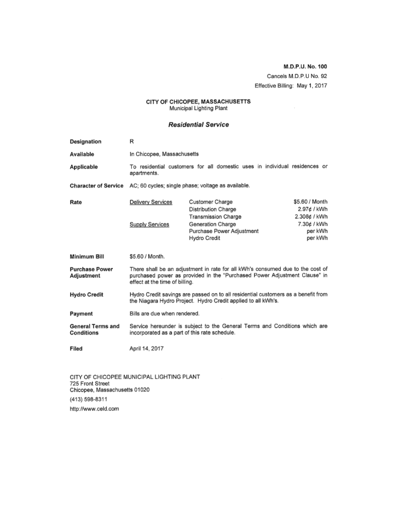M.D.P.U. No. 100 Cancels M.D.P.U No. 92 Effective Billing: May 1, 2017

#### CITY OF CHICOPEE, MASSACHUSETTS Municipal Lighting Plant

### **Residential Service**

| Designation                            | R                                                                                                                                                                                             |                                                                                                                                        |                                                                                    |
|----------------------------------------|-----------------------------------------------------------------------------------------------------------------------------------------------------------------------------------------------|----------------------------------------------------------------------------------------------------------------------------------------|------------------------------------------------------------------------------------|
| Available                              | In Chicopee, Massachusetts                                                                                                                                                                    |                                                                                                                                        |                                                                                    |
| Applicable                             | To residential customers for all domestic uses in individual residences or<br>apartments.                                                                                                     |                                                                                                                                        |                                                                                    |
| <b>Character of Service</b>            | AC; 60 cycles; single phase; voltage as available.                                                                                                                                            |                                                                                                                                        |                                                                                    |
| Rate                                   | Delivery Services<br><b>Supply Services</b>                                                                                                                                                   | Customer Charge<br>Distribution Charge<br><b>Transmission Charge</b><br>Generation Charge<br>Purchase Power Adjustment<br>Hydro Credit | \$5.60 / Month<br>2.97¢ / kWh<br>2.308¢ / kWh<br>7.30¢ / kWh<br>per kWh<br>per kWh |
| Minimum Bill                           | \$5.60 / Month.                                                                                                                                                                               |                                                                                                                                        |                                                                                    |
| <b>Purchase Power</b><br>Adjustment    | There shall be an adjustment in rate for all kWh's consumed due to the cost of<br>purchased power as provided in the "Purchased Power Adjustment Clause" in<br>effect at the time of billing. |                                                                                                                                        |                                                                                    |
| <b>Hydro Credit</b>                    | Hydro Credit savings are passed on to all residential customers as a benefit from<br>the Niagara Hydro Project. Hydro Credit applied to all kWh's.                                            |                                                                                                                                        |                                                                                    |
| Payment                                | Bills are due when rendered.                                                                                                                                                                  |                                                                                                                                        |                                                                                    |
| <b>General Terms and</b><br>Conditions | Service hereunder is subject to the General Terms and Conditions which are<br>incorporated as a part of this rate schedule.                                                                   |                                                                                                                                        |                                                                                    |
| Filed                                  | April 14, 2017                                                                                                                                                                                |                                                                                                                                        |                                                                                    |

CITY OF CHICOPEE MUNICIPAL LIGHTING PLANT 725 Front Street Chicopee, Massachusetts 01020 (413) 598-8311 http://www.celd.com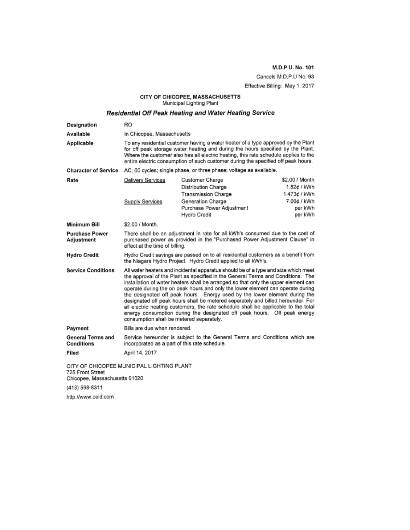M.D.P.U. No. 101 Cancels M.D.P.U No. 93

Effective Billing: May 1, 2017

# CITY OF CHICOPEE, MASSACHUSETTS<br>Municipal Lighting Plant

### Residential Off Peak Heating and Water Heating Service

| Designation                                                                                    | <b>RO</b>                                                                                                                                                                                                                                                                                                                                                                                                                                                                                                                                                                                                                                                                                                                    |                                                                      |                                               |
|------------------------------------------------------------------------------------------------|------------------------------------------------------------------------------------------------------------------------------------------------------------------------------------------------------------------------------------------------------------------------------------------------------------------------------------------------------------------------------------------------------------------------------------------------------------------------------------------------------------------------------------------------------------------------------------------------------------------------------------------------------------------------------------------------------------------------------|----------------------------------------------------------------------|-----------------------------------------------|
| Available                                                                                      | In Chicopee, Massachusetts                                                                                                                                                                                                                                                                                                                                                                                                                                                                                                                                                                                                                                                                                                   |                                                                      |                                               |
| Applicable                                                                                     | To any residential customer having a water heater of a type approved by the Plant<br>for off peak storage water heating and during the hours specified by the Plant.<br>Where the customer also has all electric heating, this rate schedule applies to the<br>entire electric consumption of such customer during the specified off peak hours.                                                                                                                                                                                                                                                                                                                                                                             |                                                                      |                                               |
| <b>Character of Service</b>                                                                    |                                                                                                                                                                                                                                                                                                                                                                                                                                                                                                                                                                                                                                                                                                                              | AC; 60 cycles; single phase, or three phase; voltage as available.   |                                               |
| Rate                                                                                           | Delivery Services                                                                                                                                                                                                                                                                                                                                                                                                                                                                                                                                                                                                                                                                                                            | Customer Charge<br>Distribution Charge<br><b>Transmission Charge</b> | \$2.00 / Month<br>1.82¢ / kWh<br>1.473¢ / kWh |
|                                                                                                | Supply Services                                                                                                                                                                                                                                                                                                                                                                                                                                                                                                                                                                                                                                                                                                              | Generation Charge<br>Purchase Power Adjustment<br>Hydro Credit       | 7.00¢ / kWh<br>per kWh<br>per kWh             |
| Minimum Bill                                                                                   | \$2.00 / Month.                                                                                                                                                                                                                                                                                                                                                                                                                                                                                                                                                                                                                                                                                                              |                                                                      |                                               |
| <b>Purchase Power</b><br>Adjustment                                                            | There shall be an adjustment in rate for all kWh's consumed due to the cost of<br>purchased power as provided in the "Purchased Power Adjustment Clause" in<br>effect at the time of billing.                                                                                                                                                                                                                                                                                                                                                                                                                                                                                                                                |                                                                      |                                               |
| <b>Hydro Credit</b>                                                                            | Hydro Credit savings are passed on to all residential customers as a benefit from<br>the Niagara Hydro Project. Hydro Credit applied to all kWh's.                                                                                                                                                                                                                                                                                                                                                                                                                                                                                                                                                                           |                                                                      |                                               |
| <b>Service Conditions</b>                                                                      | All water heaters and incidental apparatus should be of a type and size which meet<br>the approval of the Plant as specified in the General Terms and Conditions. The<br>installation of water heaters shall be arranged so that only the upper element can<br>operate during the on peak hours and only the lower element can operate during<br>the designated off peak hours. Energy used by the lower element during the<br>designated off peak hours shall be metered separately and billed hereunder. For<br>all electric heating customers, the rate schedule shall be applicable to the total<br>energy consumption during the designated off peak hours. Off peak energy<br>consumption shall be metered separately. |                                                                      |                                               |
| Payment                                                                                        | Bills are due when rendered.                                                                                                                                                                                                                                                                                                                                                                                                                                                                                                                                                                                                                                                                                                 |                                                                      |                                               |
| General Terms and<br>Conditions                                                                | Service hereunder is subject to the General Terms and Conditions which are<br>incorporated as a part of this rate schedule.                                                                                                                                                                                                                                                                                                                                                                                                                                                                                                                                                                                                  |                                                                      |                                               |
| Filed                                                                                          | April 14, 2017                                                                                                                                                                                                                                                                                                                                                                                                                                                                                                                                                                                                                                                                                                               |                                                                      |                                               |
| CITY OF CHICOPEE MUNICIPAL LIGHTING PLANT<br>725 Front Street<br>Chicopee, Massachusetts 01020 |                                                                                                                                                                                                                                                                                                                                                                                                                                                                                                                                                                                                                                                                                                                              |                                                                      |                                               |

(413) 598-8311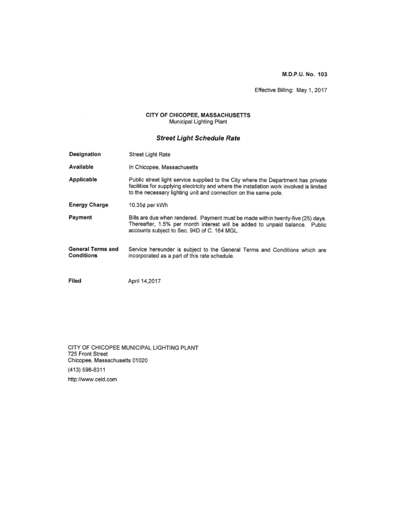M.D.P.U. No. 103

Effective Billing: May 1, 2017

# CITY OF CHICOPEE, MASSACHUSETTS<br>Municipal Lighting Plant

### **Street Light Schedule Rate**

| Designation                     | Street Light Rate                                                                                                                                                                                                                                |
|---------------------------------|--------------------------------------------------------------------------------------------------------------------------------------------------------------------------------------------------------------------------------------------------|
| Available                       | In Chicopee, Massachusetts                                                                                                                                                                                                                       |
| Applicable                      | Public street light service supplied to the City where the Department has private<br>facilities for supplying electricity and where the installation work involved is limited<br>to the necessary lighting unit and connection on the same pole. |
| <b>Energy Charge</b>            | 10.35¢ per kWh                                                                                                                                                                                                                                   |
| Payment                         | Bills are due when rendered. Payment must be made within twenty-five (25) days.<br>Thereafter, 1.5% per month interest will be added to unpaid balance. Public<br>accounts subject to Sec. 94D of C. 164 MGL.                                    |
| General Terms and<br>Conditions | Service hereunder is subject to the General Terms and Conditions which are<br>incorporated as a part of this rate schedule.                                                                                                                      |
| Filed                           | April 14,2017                                                                                                                                                                                                                                    |

CITY OF CHICOPEE MUNICIPAL LIGHTING PLANT<br>725 Front Street<br>Chicopee, Massachusetts 01020 (413) 598-8311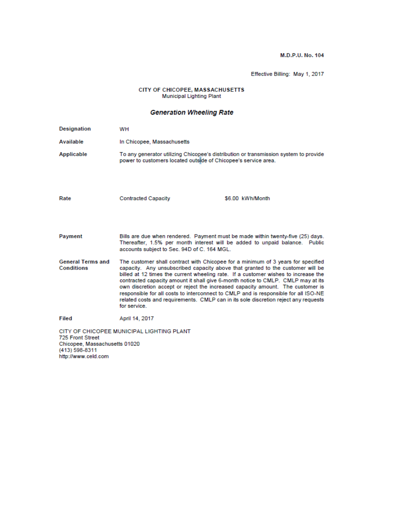M.D.P.U. No. 104

Effective Billing: May 1, 2017

#### CITY OF CHICOPEE, MASSACHUSETTS Municipal Lighting Plant

### **Generation Wheeling Rate**

| <b>Designation</b>                                                                         | WH                                                                                                                                                                                                                                                                                                                                                                                                                                                                                                                                                                                                                          |                  |
|--------------------------------------------------------------------------------------------|-----------------------------------------------------------------------------------------------------------------------------------------------------------------------------------------------------------------------------------------------------------------------------------------------------------------------------------------------------------------------------------------------------------------------------------------------------------------------------------------------------------------------------------------------------------------------------------------------------------------------------|------------------|
| Available                                                                                  | In Chicopee, Massachusetts                                                                                                                                                                                                                                                                                                                                                                                                                                                                                                                                                                                                  |                  |
| Applicable                                                                                 | To any generator utilizing Chicopee's distribution or transmission system to provide<br>power to customers located outside of Chicopee's service area.                                                                                                                                                                                                                                                                                                                                                                                                                                                                      |                  |
| Rate                                                                                       | <b>Contracted Capacity</b>                                                                                                                                                                                                                                                                                                                                                                                                                                                                                                                                                                                                  | \$6.00 kWh/Month |
| Payment                                                                                    | Bills are due when rendered. Payment must be made within twenty-five (25) days.<br>Thereafter, 1.5% per month interest will be added to unpaid balance. Public<br>accounts subject to Sec. 94D of C. 164 MGL.                                                                                                                                                                                                                                                                                                                                                                                                               |                  |
| <b>General Terms and</b><br>Conditions                                                     | The customer shall contract with Chicopee for a minimum of 3 years for specified<br>capacity. Any unsubscribed capacity above that granted to the customer will be<br>billed at 12 times the current wheeling rate. If a customer wishes to increase the<br>contracted capacity amount it shall give 6-month notice to CMLP. CMLP may at its<br>own discretion accept or reject the increased capacity amount. The customer is<br>responsible for all costs to interconnect to CMLP and is responsible for all ISO-NE<br>related costs and requirements. CMLP can in its sole discretion reject any requests<br>for service |                  |
| Filed                                                                                      | April 14, 2017                                                                                                                                                                                                                                                                                                                                                                                                                                                                                                                                                                                                              |                  |
| 725 Front Street<br>Chicopee, Massachusetts 01020<br>(413) 598-8311<br>http://www.celd.com | CITY OF CHICOPEE MUNICIPAL LIGHTING PLANT                                                                                                                                                                                                                                                                                                                                                                                                                                                                                                                                                                                   |                  |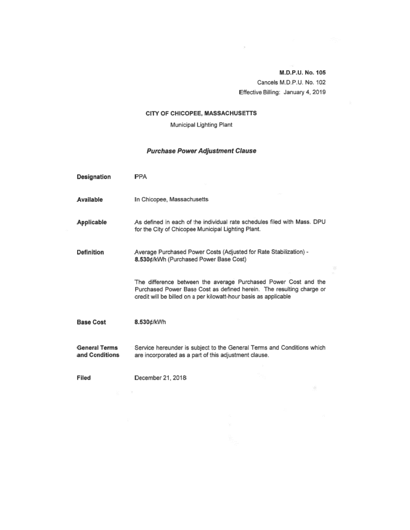M.D.P.U. No. 105 Cancels M.D.P.U. No. 102 Effective Billing: January 4, 2019

 $\mathcal{P}^{\perp}$  .

### CITY OF CHICOPEE, MASSACHUSETTS

Municipal Lighting Plant

### **Purchase Power Adjustment Clause**

| <b>Designation</b>                     | PPA                                                                                                                                                                                                         |  |
|----------------------------------------|-------------------------------------------------------------------------------------------------------------------------------------------------------------------------------------------------------------|--|
| Available                              | In Chicopee, Massachusetts                                                                                                                                                                                  |  |
| Applicable                             | As defined in each of the individual rate schedules filed with Mass. DPU<br>for the City of Chicopee Municipal Lighting Plant.                                                                              |  |
| Definition                             | Average Purchased Power Costs (Adjusted for Rate Stabilization) -<br>8.530¢/kWh (Purchased Power Base Cost)                                                                                                 |  |
|                                        | The difference between the average Purchased Power Cost and the<br>Purchased Power Base Cost as defined herein. The resulting charge or<br>credit will be billed on a per kilowatt-hour basis as applicable |  |
| <b>Base Cost</b>                       | 8.530¢/kWh                                                                                                                                                                                                  |  |
| <b>General Terms</b><br>and Conditions | Service hereunder is subject to the General Terms and Conditions which<br>are incorporated as a part of this adjustment clause.                                                                             |  |
| Filed                                  | December 21, 2018                                                                                                                                                                                           |  |

 $\mathbf{g} = -\mathbf{x}$